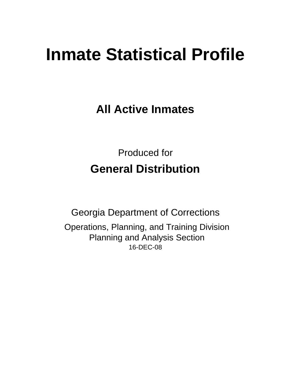# **Inmate Statistical Profile**

**All Active Inmates**

Produced for **General Distribution**

16-DEC-08 Georgia Department of Corrections Operations, Planning, and Training Division Planning and Analysis Section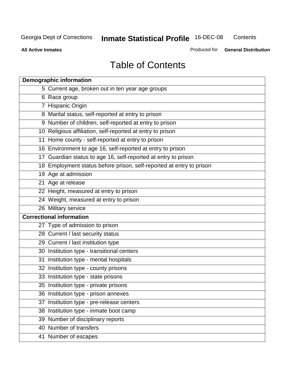**Contents** 

**All Active Inmates**

Produced for **General Distribution**

# Table of Contents

| <b>Demographic information</b>                                       |  |
|----------------------------------------------------------------------|--|
| 5 Current age, broken out in ten year age groups                     |  |
| 6 Race group                                                         |  |
| 7 Hispanic Origin                                                    |  |
| 8 Marital status, self-reported at entry to prison                   |  |
| 9 Number of children, self-reported at entry to prison               |  |
| 10 Religious affiliation, self-reported at entry to prison           |  |
| 11 Home county - self-reported at entry to prison                    |  |
| 16 Environment to age 16, self-reported at entry to prison           |  |
| 17 Guardian status to age 16, self-reported at entry to prison       |  |
| 18 Employment status before prison, self-reported at entry to prison |  |
| 19 Age at admission                                                  |  |
| 21 Age at release                                                    |  |
| 22 Height, measured at entry to prison                               |  |
| 24 Weight, measured at entry to prison                               |  |
| 26 Military service                                                  |  |
| <b>Correctional information</b>                                      |  |
| 27 Type of admission to prison                                       |  |
| 28 Current / last security status                                    |  |
| 29 Current / last institution type                                   |  |
| 30 Institution type - transitional centers                           |  |
| 31 Institution type - mental hospitals                               |  |
| 32 Institution type - county prisons                                 |  |
| 33 Institution type - state prisons                                  |  |
| 35 Institution type - private prisons                                |  |
| 36 Institution type - prison annexes                                 |  |
| 37 Institution type - pre-release centers                            |  |
| 38 Institution type - inmate boot camp                               |  |
| 39 Number of disciplinary reports                                    |  |
| 40 Number of transfers                                               |  |
| 41 Number of escapes                                                 |  |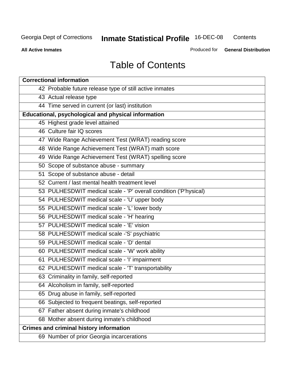**Contents** 

**All Active Inmates**

Produced for **General Distribution**

# Table of Contents

| <b>Correctional information</b>                                  |
|------------------------------------------------------------------|
| 42 Probable future release type of still active inmates          |
| 43 Actual release type                                           |
| 44 Time served in current (or last) institution                  |
| Educational, psychological and physical information              |
| 45 Highest grade level attained                                  |
| 46 Culture fair IQ scores                                        |
| 47 Wide Range Achievement Test (WRAT) reading score              |
| 48 Wide Range Achievement Test (WRAT) math score                 |
| 49 Wide Range Achievement Test (WRAT) spelling score             |
| 50 Scope of substance abuse - summary                            |
| 51 Scope of substance abuse - detail                             |
| 52 Current / last mental health treatment level                  |
| 53 PULHESDWIT medical scale - 'P' overall condition ('P'hysical) |
| 54 PULHESDWIT medical scale - 'U' upper body                     |
| 55 PULHESDWIT medical scale - 'L' lower body                     |
| 56 PULHESDWIT medical scale - 'H' hearing                        |
| 57 PULHESDWIT medical scale - 'E' vision                         |
| 58 PULHESDWIT medical scale -'S' psychiatric                     |
| 59 PULHESDWIT medical scale - 'D' dental                         |
| 60 PULHESDWIT medical scale - 'W' work ability                   |
| 61 PULHESDWIT medical scale - 'I' impairment                     |
| 62 PULHESDWIT medical scale - 'T' transportability               |
| 63 Criminality in family, self-reported                          |
| 64 Alcoholism in family, self-reported                           |
| 65 Drug abuse in family, self-reported                           |
| 66 Subjected to frequent beatings, self-reported                 |
| 67 Father absent during inmate's childhood                       |
| 68 Mother absent during inmate's childhood                       |
| <b>Crimes and criminal history information</b>                   |
| 69 Number of prior Georgia incarcerations                        |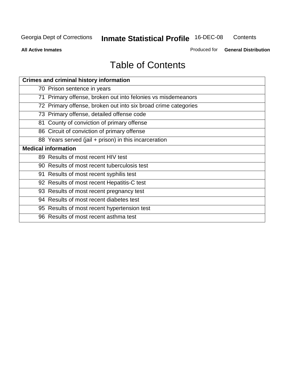**Contents** 

**All Active Inmates**

Produced for **General Distribution**

# Table of Contents

| <b>Crimes and criminal history information</b>                 |
|----------------------------------------------------------------|
| 70 Prison sentence in years                                    |
| 71 Primary offense, broken out into felonies vs misdemeanors   |
| 72 Primary offense, broken out into six broad crime categories |
| 73 Primary offense, detailed offense code                      |
| 81 County of conviction of primary offense                     |
| 86 Circuit of conviction of primary offense                    |
| 88 Years served (jail + prison) in this incarceration          |
| <b>Medical information</b>                                     |
| 89 Results of most recent HIV test                             |
| 90 Results of most recent tuberculosis test                    |
| 91 Results of most recent syphilis test                        |
| 92 Results of most recent Hepatitis-C test                     |
| 93 Results of most recent pregnancy test                       |
| 94 Results of most recent diabetes test                        |
| 95 Results of most recent hypertension test                    |
| 96 Results of most recent asthma test                          |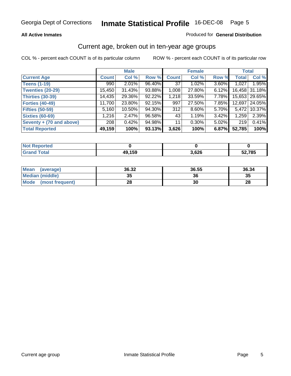#### **All Active Inmates**

#### Produced for **General Distribution**

#### Current age, broken out in ten-year age groups

|                          |              | <b>Male</b> |        |              | <b>Female</b> |       |              | <b>Total</b>  |
|--------------------------|--------------|-------------|--------|--------------|---------------|-------|--------------|---------------|
| <b>Current Age</b>       | <b>Count</b> | Col %       | Row %  | <b>Count</b> | Col %         | Row % | <b>Total</b> | Col %         |
| <b>Teens (1-19)</b>      | 990          | $2.01\%$    | 96.40% | 37           | 1.02%         | 3.60% | 1,027        | 1.95%         |
| <b>Twenties (20-29)</b>  | 15,450       | 31.43%      | 93.88% | 1,008        | 27.80%        | 6.12% | 16,458       | 31.18%        |
| <b>Thirties (30-39)</b>  | 14,435       | $29.36\%$   | 92.22% | 1,218        | 33.59%        | 7.78% |              | 15,653 29.65% |
| <b>Forties (40-49)</b>   | 11,700       | 23.80%      | 92.15% | 997          | 27.50%        | 7.85% | 12,697       | 24.05%        |
| <b>Fifties (50-59)</b>   | 5,160        | $10.50\%$   | 94.30% | 312          | 8.60%         | 5.70% | 5,472        | 10.37%        |
| <b>Sixties (60-69)</b>   | 1,216        | 2.47%       | 96.58% | 43           | 1.19%         | 3.42% | 1,259        | 2.39%         |
| Seventy + (70 and above) | 208          | 0.42%       | 94.98% | 11           | 0.30%         | 5.02% | 219          | 0.41%         |
| <b>Total Reported</b>    | 49,159       | 100%        | 93.13% | 3,626        | 100%          | 6.87% | 52,785       | 100%          |

| <b>Not Reported</b>     |        |       |        |
|-------------------------|--------|-------|--------|
| <b>Total</b><br>l Grand | 49,159 | 3,626 | 52,785 |

| <b>Mean</b><br>(average) | 36.32    | 36.55 | 36.34 |
|--------------------------|----------|-------|-------|
| Median (middle)          | つに<br>vu | 36    | 35    |
| Mode<br>(most frequent)  | 28       | 30    | 28    |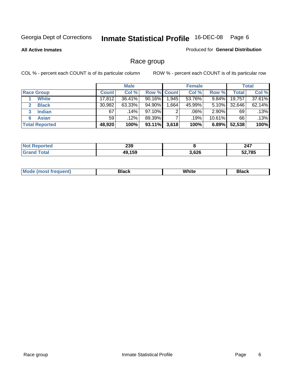**All Active Inmates**

#### Produced for **General Distribution**

### Race group

|                       |              | <b>Male</b> |                    |       | <b>Female</b> |           |        | <b>Total</b> |
|-----------------------|--------------|-------------|--------------------|-------|---------------|-----------|--------|--------------|
| <b>Race Group</b>     | <b>Count</b> | Col %       | <b>Row % Count</b> |       | Col %         | Row %     | Total  | Col %        |
| <b>White</b>          | 17,812       | 36.41%      | $90.16\%$          | 1,945 | 53.76%        | 9.84%     | 19,757 | 37.61%       |
| <b>Black</b>          | 30,982       | 63.33%      | 94.90%             | .664  | 45.99%        | $5.10\%$  | 32,646 | 62.14%       |
| <b>Indian</b><br>3    | 67           | $.14\%$     | 97.10%             | 2     | .06%          | $2.90\%$  | 69     | .13%         |
| <b>Asian</b>          | 59           | $.12\%$     | 89.39%             |       | .19%          | $10.61\%$ | 66     | .13%         |
| <b>Total Reported</b> | 48,920       | 100%        | 93.11%             | 3,618 | 100%          | 6.89%     | 52,538 | 100%         |

| 239              |       | 247  |
|------------------|-------|------|
| <b>AEO</b><br>лι | 3,626 | ,785 |

|  | $Mc$ | Black | White<br>$ -$ | 21904<br>DIACK |
|--|------|-------|---------------|----------------|
|--|------|-------|---------------|----------------|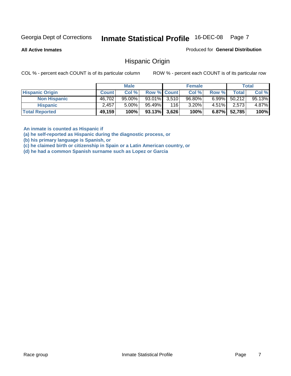**All Active Inmates**

Produced for **General Distribution**

#### Hispanic Origin

COL % - percent each COUNT is of its particular column ROW % - percent each COUNT is of its particular row

|                        |              | <b>Male</b> |                    |     | <b>Female</b> |          |              | <b>Total</b> |
|------------------------|--------------|-------------|--------------------|-----|---------------|----------|--------------|--------------|
| <b>Hispanic Origin</b> | <b>Count</b> | Col %       | <b>Row % Count</b> |     | Col %         | Row %    | Total        | Col %        |
| <b>Non Hispanic</b>    | 46,702       | $95.00\%$   | $93.01\%$ 3.510    |     | $96.80\%$     | $6.99\%$ | 50,212       | 95.13%       |
| <b>Hispanic</b>        | 2,457        | $5.00\%$    | 95.49%             | 116 | 3.20%         | $4.51\%$ | 2,573        | 4.87%        |
| <b>Total Reported</b>  | 49,159       | 100%        | $93.13\%$ 3,626    |     | 100%          |          | 6.87% 52,785 | 100%         |

**An inmate is counted as Hispanic if** 

**(a) he self-reported as Hispanic during the diagnostic process, or** 

**(b) his primary language is Spanish, or** 

**(c) he claimed birth or citizenship in Spain or a Latin American country, or** 

**(d) he had a common Spanish surname such as Lopez or Garcia**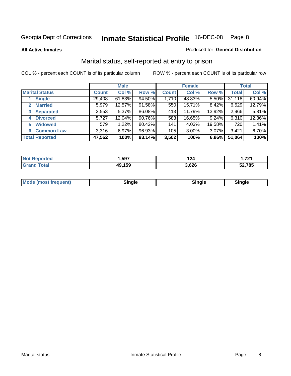**All Active Inmates**

#### Produced for **General Distribution**

### Marital status, self-reported at entry to prison

|                                    | <b>Male</b>  |          |        | <b>Female</b> |        |        | <b>Total</b> |        |
|------------------------------------|--------------|----------|--------|---------------|--------|--------|--------------|--------|
| <b>Marital Status</b>              | <b>Count</b> | Col %    | Row %  | <b>Count</b>  | Col %  | Row %  | <b>Total</b> | Col %  |
| <b>Single</b>                      | 29,408       | 61.83%   | 94.50% | 1,710         | 48.83% | 5.50%  | 31,118       | 60.94% |
| <b>Married</b><br>$\mathbf{2}^-$   | 5,979        | 12.57%   | 91.58% | 550           | 15.71% | 8.42%  | 6,529        | 12.79% |
| <b>Separated</b><br>3 <sup>1</sup> | 2,553        | $5.37\%$ | 86.08% | 413           | 11.79% | 13.92% | 2,966        | 5.81%  |
| <b>Divorced</b><br>4               | 5,727        | 12.04%   | 90.76% | 583           | 16.65% | 9.24%  | 6,310        | 12.36% |
| <b>Widowed</b><br>5                | 579          | 1.22%    | 80.42% | 141           | 4.03%  | 19.58% | 720          | 1.41%  |
| <b>Common Law</b><br>6.            | 3,316        | 6.97%    | 96.93% | 105           | 3.00%  | 3.07%  | 3,421        | 6.70%  |
| <b>Total Reported</b>              | 47,562       | 100%     | 93.14% | 3,502         | 100%   | 6.86%  | 51,064       | 100%   |

| ,597        | 124<br>$  -$        | 701  |
|-------------|---------------------|------|
| 159<br>11 L | coc<br>,vzv<br>$ -$ | .785 |

|  | Mode (most f<br>freauent) | `ınale |  | `inale |
|--|---------------------------|--------|--|--------|
|--|---------------------------|--------|--|--------|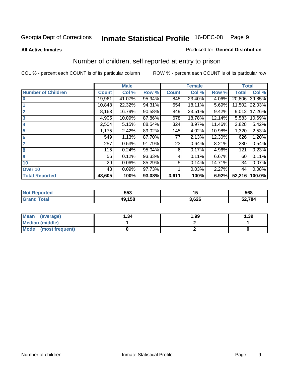#### **All Active Inmates**

#### Produced for **General Distribution**

### Number of children, self reported at entry to prison

|                           | <b>Male</b>  |        |        |              | <b>Female</b> |        | <b>Total</b> |        |
|---------------------------|--------------|--------|--------|--------------|---------------|--------|--------------|--------|
| <b>Number of Children</b> | <b>Count</b> | Col %  | Row %  | <b>Count</b> | Col %         | Row %  | <b>Total</b> | Col %  |
| $\bf{0}$                  | 19,961       | 41.07% | 95.94% | 845          | 23.40%        | 4.06%  | 20,806       | 39.85% |
|                           | 10,848       | 22.32% | 94.31% | 654          | 18.11%        | 5.69%  | 11,502       | 22.03% |
| $\overline{2}$            | 8,163        | 16.79% | 90.58% | 849          | 23.51%        | 9.42%  | 9,012        | 17.26% |
| 3                         | 4,905        | 10.09% | 87.86% | 678          | 18.78%        | 12.14% | 5,583        | 10.69% |
| 4                         | 2,504        | 5.15%  | 88.54% | 324          | 8.97%         | 11.46% | 2,828        | 5.42%  |
| 5                         | 1,175        | 2.42%  | 89.02% | 145          | 4.02%         | 10.98% | 1,320        | 2.53%  |
| $6\phantom{a}$            | 549          | 1.13%  | 87.70% | 77           | 2.13%         | 12.30% | 626          | 1.20%  |
| 7                         | 257          | 0.53%  | 91.79% | 23           | 0.64%         | 8.21%  | 280          | 0.54%  |
| 8                         | 115          | 0.24%  | 95.04% | 6            | 0.17%         | 4.96%  | 121          | 0.23%  |
| 9                         | 56           | 0.12%  | 93.33% | 4            | 0.11%         | 6.67%  | 60           | 0.11%  |
| 10                        | 29           | 0.06%  | 85.29% | 5            | 0.14%         | 14.71% | 34           | 0.07%  |
| Over 10                   | 43           | 0.09%  | 97.73% |              | 0.03%         | 2.27%  | 44           | 0.08%  |
| <b>Total Reported</b>     | 48,605       | 100%   | 93.08% | 3,611        | 100%          | 6.92%  | 52,216       | 100.0% |

| . . | 553<br>- - - | $\sim$ | 568    |
|-----|--------------|--------|--------|
|     | 158          | .626   | 52,784 |

| <b>Mean</b><br>(average) | ∣.34 | 1.99 | .39 |
|--------------------------|------|------|-----|
| <b>Median (middle)</b>   |      |      |     |
| Mode<br>(most frequent)  |      |      |     |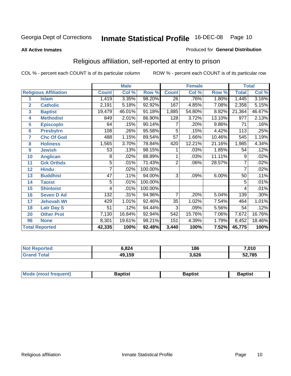#### **All Active Inmates**

#### Produced for **General Distribution**

### Religious affiliation, self-reported at entry to prison

|                  | <b>Male</b>                  |                 |        |         |                 | <b>Female</b> | <b>Total</b> |                     |        |
|------------------|------------------------------|-----------------|--------|---------|-----------------|---------------|--------------|---------------------|--------|
|                  | <b>Religious Affiliation</b> | <b>Count</b>    | Col %  | Row %   | <b>Count</b>    | Col %         | Row %        | <b>Total</b>        | Col %  |
| 1                | <b>Islam</b>                 | 1,419           | 3.35%  | 98.20%  | $\overline{26}$ | .76%          | $1.80\%$     | 1,445               | 3.16%  |
| $\overline{2}$   | <b>Catholic</b>              | 2,191           | 5.18%  | 92.92%  | 167             | 4.85%         | 7.08%        | 2,358               | 5.15%  |
| 3                | <b>Baptist</b>               | 19,479          | 46.01% | 91.18%  | 1,885           | 54.80%        | 8.82%        | $\overline{2}1,364$ | 46.67% |
| 4                | <b>Methodist</b>             | 849             | 2.01%  | 86.90%  | 128             | 3.72%         | 13.10%       | 977                 | 2.13%  |
| 5                | <b>EpiscopIn</b>             | 64              | .15%   | 90.14%  | 7               | .20%          | 9.86%        | $\overline{71}$     | .16%   |
| $6\phantom{1}6$  | <b>Presbytrn</b>             | 108             | .26%   | 95.58%  | 5               | .15%          | 4.42%        | $\overline{113}$    | .25%   |
| 7                | <b>Chc Of God</b>            | 488             | 1.15%  | 89.54%  | $\overline{57}$ | 1.66%         | 10.46%       | 545                 | 1.19%  |
| 8                | <b>Holiness</b>              | 1,565           | 3.70%  | 78.84%  | 420             | 12.21%        | 21.16%       | 1,985               | 4.34%  |
| $\boldsymbol{9}$ | <b>Jewish</b>                | 53              | .13%   | 98.15%  |                 | .03%          | 1.85%        | 54                  | .12%   |
| 10               | <b>Anglican</b>              | 8               | .02%   | 88.89%  |                 | .03%          | 11.11%       | 9                   | .02%   |
| 11               | <b>Grk Orthdx</b>            | 5               | .01%   | 71.43%  | 2               | .06%          | 28.57%       |                     | .02%   |
| 12               | <b>Hindu</b>                 | 7               | .02%   | 100.00% |                 |               |              | 7                   | .02%   |
| 13               | <b>Buddhist</b>              | $\overline{47}$ | .11%   | 94.00%  | $\overline{3}$  | .09%          | 6.00%        | 50                  | .11%   |
| 14               | <b>Taoist</b>                | 5               | .01%   | 100.00% |                 |               |              | 5                   | .01%   |
| 15               | <b>Shintoist</b>             | 4               | .01%   | 100.00% |                 |               |              | 4                   | .01%   |
| 16               | <b>Seven D Ad</b>            | 132             | .31%   | 94.96%  | 7               | .20%          | 5.04%        | 139                 | .30%   |
| 17               | <b>Jehovah Wt</b>            | 429             | 1.01%  | 92.46%  | 35              | 1.02%         | 7.54%        | 464                 | 1.01%  |
| 18               | <b>Latr Day S</b>            | 51              | .12%   | 94.44%  | 3               | .09%          | 5.56%        | 54                  | .12%   |
| 20               | <b>Other Prot</b>            | 7,130           | 16.84% | 92.94%  | 542             | 15.76%        | 7.06%        | 7,672               | 16.76% |
| 96               | <b>None</b>                  | 8,301           | 19.61% | 98.21%  | 151             | 4.39%         | 1.79%        | 8,452               | 18.46% |
|                  | <b>Total Reported</b>        | 42,335          | 100%   | 92.48%  | 3,440           | 100%          | 7.52%        | 45,775              | 100%   |

| orted  | ,824   | 186   | 7,010  |  |
|--------|--------|-------|--------|--|
| ั่วtaเ | 49,159 | 3,626 | 52,785 |  |

| <b>Mode</b><br>frequent)<br>umost | 3aptist | 3aptist | <b>Baptist</b> |
|-----------------------------------|---------|---------|----------------|
|                                   |         |         |                |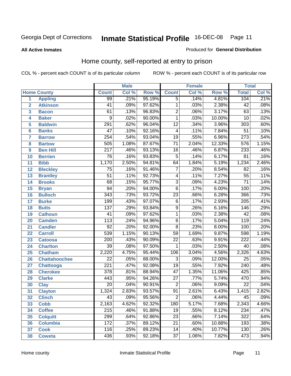**All Active Inmates**

#### Produced for **General Distribution**

### Home county, self-reported at entry to prison

|                 |                      | <b>Male</b>      |       |        |                 | <b>Female</b> |        | <b>Total</b>     |                            |  |
|-----------------|----------------------|------------------|-------|--------|-----------------|---------------|--------|------------------|----------------------------|--|
|                 | <b>Home County</b>   | <b>Count</b>     | Col % | Row %  | <b>Count</b>    | Col %         | Row %  | <b>Total</b>     | $\overline{\text{Col }^9}$ |  |
| 1               | <b>Appling</b>       | 99               | .21%  | 95.19% | $\overline{5}$  | .14%          | 4.81%  | 104              | .21%                       |  |
| $\overline{2}$  | <b>Atkinson</b>      | 41               | .09%  | 97.62% | $\mathbf 1$     | .03%          | 2.38%  | $\overline{42}$  | .08%                       |  |
| 3               | <b>Bacon</b>         | 61               | .13%  | 96.83% | $\overline{2}$  | .06%          | 3.17%  | 63               | .13%                       |  |
| 4               | <b>Baker</b>         | 9                | .02%  | 90.00% | $\mathbf 1$     | .03%          | 10.00% | 10               | .02%                       |  |
| 5               | <b>Baldwin</b>       | $\overline{291}$ | .62%  | 96.04% | $\overline{12}$ | .34%          | 3.96%  | $\overline{303}$ | .60%                       |  |
| $6\phantom{1}6$ | <b>Banks</b>         | $\overline{47}$  | .10%  | 92.16% | $\overline{4}$  | .11%          | 7.84%  | $\overline{51}$  | .10%                       |  |
| $\overline{7}$  | <b>Barrow</b>        | 254              | .54%  | 93.04% | $\overline{19}$ | .55%          | 6.96%  | $\overline{273}$ | .54%                       |  |
| 8               | <b>Bartow</b>        | 505              | 1.08% | 87.67% | $\overline{71}$ | 2.04%         | 12.33% | $\overline{576}$ | 1.15%                      |  |
| 9               | <b>Ben Hill</b>      | $\overline{217}$ | .46%  | 93.13% | $\overline{16}$ | .46%          | 6.87%  | 233              | .46%                       |  |
| 10              | <b>Berrien</b>       | $\overline{76}$  | .16%  | 93.83% | 5               | .14%          | 6.17%  | $\overline{81}$  | .16%                       |  |
| 11              | <b>Bibb</b>          | 1,170            | 2.50% | 94.81% | 64              | 1.84%         | 5.19%  | 1,234            | 2.46%                      |  |
| 12              | <b>Bleckley</b>      | $\overline{75}$  | .16%  | 91.46% | $\overline{7}$  | .20%          | 8.54%  | 82               | .16%                       |  |
| 13              | <b>Brantley</b>      | $\overline{51}$  | .11%  | 92.73% | 4               | .11%          | 7.27%  | $\overline{55}$  | .11%                       |  |
| 14              | <b>Brooks</b>        | 68               | .15%  | 95.77% | $\overline{3}$  | .09%          | 4.23%  | $\overline{71}$  | .14%                       |  |
| 15              | <b>Bryan</b>         | $\overline{94}$  | .20%  | 94.00% | $\overline{6}$  | .17%          | 6.00%  | 100              | .20%                       |  |
| 16              | <b>Bulloch</b>       | $\overline{343}$ | .73%  | 93.72% | $\overline{23}$ | .66%          | 6.28%  | 366              | .73%                       |  |
| 17              | <b>Burke</b>         | 199              | .43%  | 97.07% | $\overline{6}$  | .17%          | 2.93%  | $\overline{205}$ | .41%                       |  |
| 18              | <b>Butts</b>         | $\overline{137}$ | .29%  | 93.84% | $\overline{9}$  | .26%          | 6.16%  | 146              | .29%                       |  |
| 19              | <b>Calhoun</b>       | $\overline{41}$  | .09%  | 97.62% | $\overline{1}$  | .03%          | 2.38%  | $\overline{42}$  | .08%                       |  |
| 20              | <b>Camden</b>        | $\overline{113}$ | .24%  | 94.96% | $\overline{6}$  | .17%          | 5.04%  | 119              | .24%                       |  |
| 21              | <b>Candler</b>       | $\overline{92}$  | .20%  | 92.00% | $\overline{8}$  | .23%          | 8.00%  | 100              | .20%                       |  |
| 22              | <b>Carroll</b>       | 539              | 1.15% | 90.13% | $\overline{59}$ | 1.69%         | 9.87%  | 598              | 1.19%                      |  |
| 23              | <b>Catoosa</b>       | $\overline{200}$ | .43%  | 90.09% | $\overline{22}$ | .63%          | 9.91%  | 222              | .44%                       |  |
| 24              | <b>Charlton</b>      | $\overline{39}$  | .08%  | 97.50% | 1               | .03%          | 2.50%  | 40               | .08%                       |  |
| 25              | <b>Chatham</b>       | 2,220            | 4.75% | 95.44% | 106             | 3.04%         | 4.56%  | 2,326            | 4.63%                      |  |
| 26              | <b>Chattahoochee</b> | $\overline{22}$  | .05%  | 88.00% | 3               | .09%          | 12.00% | 25               | .05%                       |  |
| 27              | <b>Chattooga</b>     | $\overline{221}$ | .47%  | 92.08% | $\overline{19}$ | .55%          | 7.92%  | $\overline{240}$ | .48%                       |  |
| 28              | <b>Cherokee</b>      | $\overline{378}$ | .81%  | 88.94% | $\overline{47}$ | 1.35%         | 11.06% | 425              | .85%                       |  |
| 29              | <b>Clarke</b>        | 443              | .95%  | 94.26% | $\overline{27}$ | .77%          | 5.74%  | 470              | .94%                       |  |
| 30              | <b>Clay</b>          | $\overline{20}$  | .04%  | 90.91% | $\overline{2}$  | .06%          | 9.09%  | $\overline{22}$  | .04%                       |  |
| $\overline{31}$ | <b>Clayton</b>       | 1,324            | 2.83% | 93.57% | $\overline{91}$ | 2.61%         | 6.43%  | 1,415            | 2.82%                      |  |
| 32              | <b>Clinch</b>        | 43               | .09%  | 95.56% | 2               | .06%          | 4.44%  | 45               | $.09\%$                    |  |
| 33              | <b>Cobb</b>          | 2,163            | 4.62% | 92.32% | 180             | 5.17%         | 7.68%  | 2,343            | 4.66%                      |  |
| 34              | <b>Coffee</b>        | 215              | .46%  | 91.88% | 19              | .55%          | 8.12%  | 234              | .47%                       |  |
| 35              | <b>Colquitt</b>      | 299              | .64%  | 92.86% | $\overline{23}$ | .66%          | 7.14%  | 322              | .64%                       |  |
| 36              | <b>Columbia</b>      | $\overline{172}$ | .37%  | 89.12% | 21              | .60%          | 10.88% | 193              | .38%                       |  |
| 37              | <b>Cook</b>          | 116              | .25%  | 89.23% | 14              | .40%          | 10.77% | 130              | .26%                       |  |
| 38              | <b>Coweta</b>        | 436              | .93%  | 92.18% | $\overline{37}$ | 1.06%         | 7.82%  | 473              | .94%                       |  |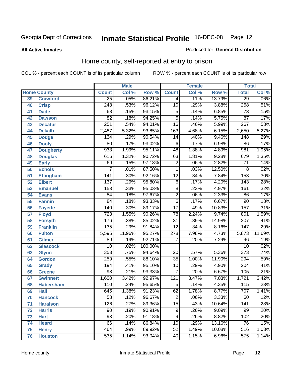**All Active Inmates**

#### Produced for **General Distribution**

### Home county, self-reported at entry to prison

|                 |                    |                  | <b>Male</b> |                  |                  | <b>Female</b> |          | <b>Total</b>     |         |
|-----------------|--------------------|------------------|-------------|------------------|------------------|---------------|----------|------------------|---------|
|                 | <b>Home County</b> | <b>Count</b>     | Col %       | Row <sup>%</sup> | <b>Count</b>     | Col %         | Row %    | <b>Total</b>     | Col %   |
| 39              | <b>Crawford</b>    | $\overline{25}$  | .05%        | 86.21%           | 4                | .11%          | 13.79%   | 29               | $.06\%$ |
| 40              | <b>Crisp</b>       | $\overline{248}$ | .53%        | 96.12%           | $\overline{10}$  | .29%          | 3.88%    | 258              | .51%    |
| 41              | <b>Dade</b>        | 68               | .15%        | 93.15%           | 5                | .14%          | 6.85%    | 73               | .15%    |
| 42              | <b>Dawson</b>      | $\overline{82}$  | .18%        | 94.25%           | $\overline{5}$   | .14%          | 5.75%    | $\overline{87}$  | .17%    |
| 43              | <b>Decatur</b>     | 251              | .54%        | 94.01%           | $\overline{16}$  | .46%          | 5.99%    | 267              | .53%    |
| 44              | <b>Dekalb</b>      | 2,487            | 5.32%       | 93.85%           | 163              | 4.68%         | 6.15%    | 2,650            | 5.27%   |
| 45              | <b>Dodge</b>       | 134              | .29%        | 90.54%           | $\overline{14}$  | .40%          | 9.46%    | 148              | .29%    |
| 46              | <b>Dooly</b>       | $\overline{80}$  | .17%        | 93.02%           | $\overline{6}$   | .17%          | 6.98%    | 86               | .17%    |
| 47              | <b>Dougherty</b>   | $\overline{933}$ | 1.99%       | 95.11%           | $\overline{48}$  | 1.38%         | 4.89%    | 981              | 1.95%   |
| 48              | <b>Douglas</b>     | 616              | 1.32%       | 90.72%           | 63               | 1.81%         | 9.28%    | 679              | 1.35%   |
| 49              | <b>Early</b>       | 69               | .15%        | 97.18%           | $\overline{2}$   | .06%          | 2.82%    | $\overline{71}$  | .14%    |
| 50              | <b>Echols</b>      | 7                | .01%        | 87.50%           | $\mathbf 1$      | .03%          | 12.50%   | 8                | .02%    |
| $\overline{51}$ | Effingham          | $\overline{141}$ | .30%        | 92.16%           | $\overline{12}$  | .34%          | 7.84%    | 153              | .30%    |
| 52              | <b>Elbert</b>      | 137              | .29%        | 95.80%           | 6                | .17%          | 4.20%    | $\overline{143}$ | .28%    |
| 53              | <b>Emanuel</b>     | 153              | .33%        | 95.03%           | $\overline{8}$   | .23%          | 4.97%    | 161              | .32%    |
| 54              | <b>Evans</b>       | $\overline{84}$  | .18%        | 97.67%           | $\overline{2}$   | .06%          | 2.33%    | 86               | .17%    |
| 55              | <b>Fannin</b>      | $\overline{84}$  | .18%        | 93.33%           | $\overline{6}$   | .17%          | 6.67%    | $\overline{90}$  | .18%    |
| 56              | <b>Fayette</b>     | 140              | .30%        | 89.17%           | $\overline{17}$  | .49%          | 10.83%   | 157              | .31%    |
| 57              | <b>Floyd</b>       | 723              | 1.55%       | 90.26%           | $\overline{78}$  | 2.24%         | 9.74%    | 801              | 1.59%   |
| 58              | <b>Forsyth</b>     | 176              | .38%        | 85.02%           | $\overline{31}$  | .89%          | 14.98%   | $\overline{207}$ | .41%    |
| 59              | <b>Franklin</b>    | $\overline{135}$ | .29%        | 91.84%           | $\overline{12}$  | .34%          | 8.16%    | 147              | .29%    |
| 60              | <b>Fulton</b>      | 5,595            | 11.96%      | 95.27%           | $\overline{278}$ | 7.98%         | 4.73%    | 5,873            | 11.69%  |
| 61              | Gilmer             | 89               | .19%        | 92.71%           | 7                | .20%          | 7.29%    | 96               | .19%    |
| 62              | <b>Glascock</b>    | $\overline{10}$  | .02%        | 100.00%          |                  |               |          | $\overline{10}$  | .02%    |
| 63              | <b>Glynn</b>       | 353              | .75%        | 94.64%           | $\overline{20}$  | .57%          | 5.36%    | $\overline{373}$ | .74%    |
| 64              | <b>Gordon</b>      | 259              | .55%        | 88.10%           | $\overline{35}$  | 1.00%         | 11.90%   | 294              | .59%    |
| 65              | <b>Grady</b>       | 194              | .41%        | 95.10%           | $\overline{10}$  | .29%          | 4.90%    | $\overline{204}$ | .41%    |
| 66              | <b>Greene</b>      | $\overline{98}$  | .21%        | 93.33%           | $\overline{7}$   | .20%          | 6.67%    | 105              | .21%    |
| 67              | <b>Gwinnett</b>    | 1,600            | 3.42%       | 92.97%           | 121              | 3.47%         | 7.03%    | 1,721            | 3.42%   |
| 68              | <b>Habersham</b>   | 110              | .24%        | 95.65%           | $\overline{5}$   | .14%          | 4.35%    | $\overline{115}$ | .23%    |
| 69              | <b>Hall</b>        | $\overline{645}$ | 1.38%       | 91.23%           | 62               | 1.78%         | 8.77%    | 707              | 1.41%   |
| 70              | <b>Hancock</b>     | 58               | .12%        | 96.67%           | 2                | .06%          | $3.33\%$ | 60               | .12%    |
| 71              | <b>Haralson</b>    | 126              | .27%        | 89.36%           | $\overline{15}$  | .43%          | 10.64%   | 141              | .28%    |
| 72              | <b>Harris</b>      | 90               | .19%        | 90.91%           | 9                | .26%          | 9.09%    | $\overline{99}$  | .20%    |
| 73              | <b>Hart</b>        | $\overline{93}$  | .20%        | 91.18%           | $\overline{9}$   | .26%          | 8.82%    | 102              | .20%    |
| 74              | <b>Heard</b>       | $\overline{66}$  | .14%        | 86.84%           | 10               | .29%          | 13.16%   | 76               | .15%    |
| 75              | <b>Henry</b>       | 464              | .99%        | 89.92%           | $\overline{52}$  | 1.49%         | 10.08%   | 516              | 1.03%   |
| 76              | <b>Houston</b>     | 535              | 1.14%       | 93.04%           | 40               | 1.15%         | 6.96%    | 575              | 1.14%   |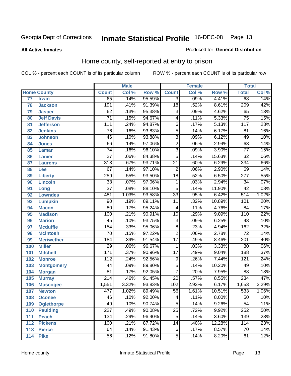#### **All Active Inmates**

#### Produced for **General Distribution**

### Home county, self-reported at entry to prison

|     |                    |                  | <b>Male</b> |        |                           | <b>Female</b> |          | <b>Total</b>     |       |
|-----|--------------------|------------------|-------------|--------|---------------------------|---------------|----------|------------------|-------|
|     | <b>Home County</b> | <b>Count</b>     | Col %       | Row %  | <b>Count</b>              | Col %         | Row %    | <b>Total</b>     | Col % |
| 77  | <b>Irwin</b>       | 65               | .14%        | 95.59% | 3                         | .09%          | 4.41%    | 68               | .14%  |
| 78  | <b>Jackson</b>     | 191              | .41%        | 91.39% | $\overline{18}$           | .52%          | 8.61%    | 209              | .42%  |
| 79  | <b>Jasper</b>      | $\overline{62}$  | .13%        | 95.38% | $\overline{3}$            | .09%          | 4.62%    | 65               | .13%  |
| 80  | <b>Jeff Davis</b>  | $\overline{71}$  | .15%        | 94.67% | 4                         | .11%          | 5.33%    | $\overline{75}$  | .15%  |
| 81  | <b>Jefferson</b>   | $\overline{111}$ | .24%        | 94.87% | $\overline{6}$            | .17%          | 5.13%    | $\overline{117}$ | .23%  |
| 82  | <b>Jenkins</b>     | $\overline{76}$  | .16%        | 93.83% | $\overline{5}$            | .14%          | 6.17%    | 81               | .16%  |
| 83  | <b>Johnson</b>     | $\overline{46}$  | .10%        | 93.88% | $\overline{3}$            | .09%          | 6.12%    | 49               | .10%  |
| 84  | <b>Jones</b>       | 66               | .14%        | 97.06% | $\overline{2}$            | .06%          | 2.94%    | 68               | .14%  |
| 85  | <b>Lamar</b>       | $\overline{74}$  | .16%        | 96.10% | $\overline{\overline{3}}$ | .09%          | 3.90%    | $\overline{77}$  | .15%  |
| 86  | <b>Lanier</b>      | $\overline{27}$  | .06%        | 84.38% | $\overline{5}$            | .14%          | 15.63%   | $\overline{32}$  | .06%  |
| 87  | <b>Laurens</b>     | $\overline{313}$ | .67%        | 93.71% | $\overline{21}$           | .60%          | 6.29%    | 334              | .66%  |
| 88  | Lee                | 67               | .14%        | 97.10% | $\overline{2}$            | .06%          | 2.90%    | 69               | .14%  |
| 89  | <b>Liberty</b>     | 259              | .55%        | 93.50% | $\overline{18}$           | .52%          | 6.50%    | $\overline{277}$ | .55%  |
| 90  | <b>Lincoln</b>     | $\overline{33}$  | .07%        | 97.06% | 1                         | .03%          | 2.94%    | 34               | .07%  |
| 91  | Long               | $\overline{37}$  | .08%        | 88.10% | $\overline{5}$            | .14%          | 11.90%   | $\overline{42}$  | .08%  |
| 92  | <b>Lowndes</b>     | 481              | 1.03%       | 93.58% | $\overline{33}$           | .95%          | 6.42%    | $\overline{514}$ | 1.02% |
| 93  | <b>Lumpkin</b>     | $\overline{90}$  | .19%        | 89.11% | $\overline{11}$           | .32%          | 10.89%   | 101              | .20%  |
| 94  | <b>Macon</b>       | $\overline{80}$  | .17%        | 95.24% | 4                         | .11%          | 4.76%    | 84               | .17%  |
| 95  | <b>Madison</b>     | 100              | .21%        | 90.91% | $\overline{10}$           | .29%          | 9.09%    | 110              | .22%  |
| 96  | <b>Marion</b>      | $\overline{45}$  | .10%        | 93.75% | $\overline{3}$            | .09%          | 6.25%    | 48               | .10%  |
| 97  | <b>Mcduffie</b>    | 154              | .33%        | 95.06% | $\overline{8}$            | .23%          | 4.94%    | 162              | .32%  |
| 98  | <b>Mcintosh</b>    | $\overline{70}$  | .15%        | 97.22% | $\overline{2}$            | .06%          | 2.78%    | $\overline{72}$  | .14%  |
| 99  | <b>Meriwether</b>  | 184              | .39%        | 91.54% | $\overline{17}$           | .49%          | 8.46%    | $\overline{201}$ | .40%  |
| 100 | <b>Miller</b>      | $\overline{29}$  | .06%        | 96.67% | 1                         | .03%          | 3.33%    | 30               | .06%  |
| 101 | <b>Mitchell</b>    | 171              | .37%        | 90.96% | $\overline{17}$           | .49%          | 9.04%    | 188              | .37%  |
| 102 | <b>Monroe</b>      | $\overline{112}$ | .24%        | 92.56% | 9                         | .26%          | 7.44%    | 121              | .24%  |
| 103 | <b>Montgomery</b>  | $\overline{44}$  | .09%        | 89.80% | $\overline{5}$            | .14%          | 10.20%   | 49               | .10%  |
| 104 | <b>Morgan</b>      | $\overline{81}$  | .17%        | 92.05% | $\overline{7}$            | .20%          | 7.95%    | 88               | .18%  |
| 105 | <b>Murray</b>      | $\overline{214}$ | .46%        | 91.45% | $\overline{20}$           | .57%          | 8.55%    | 234              | .47%  |
| 106 | <b>Muscogee</b>    | 1,551            | 3.32%       | 93.83% | 102                       | 2.93%         | 6.17%    | 1,653            | 3.29% |
| 107 | <b>Newton</b>      | 477              | 1.02%       | 89.49% | $\overline{56}$           | 1.61%         | 10.51%   | 533              | 1.06% |
| 108 | <b>Oconee</b>      | 46               | .10%        | 92.00% | 4                         | .11%          | $8.00\%$ | 50               | .10%  |
| 109 | <b>Oglethorpe</b>  | 49               | .10%        | 90.74% | $\overline{5}$            | .14%          | 9.26%    | $\overline{54}$  | .11%  |
| 110 | <b>Paulding</b>    | $\overline{227}$ | .49%        | 90.08% | $\overline{25}$           | .72%          | 9.92%    | 252              | .50%  |
| 111 | <b>Peach</b>       | 134              | .29%        | 96.40% | $\overline{5}$            | .14%          | 3.60%    | 139              | .28%  |
| 112 | <b>Pickens</b>     | 100              | .21%        | 87.72% | 14                        | .40%          | 12.28%   | 114              | .23%  |
| 113 | <b>Pierce</b>      | 64               | .14%        | 91.43% | 6                         | .17%          | 8.57%    | 70               | .14%  |
| 114 | <b>Pike</b>        | 56               | .12%        | 91.80% | $\overline{5}$            | .14%          | 8.20%    | 61               | .12%  |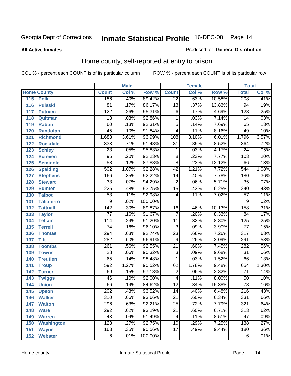#### **All Active Inmates**

#### Produced for **General Distribution**

### Home county, self-reported at entry to prison

|     |                    |                  | <b>Male</b> |         |                 | <b>Female</b> |        | <b>Total</b>     |       |
|-----|--------------------|------------------|-------------|---------|-----------------|---------------|--------|------------------|-------|
|     | <b>Home County</b> | <b>Count</b>     | Col %       | Row %   | <b>Count</b>    | Col %         | Row %  | <b>Total</b>     | Col % |
| 115 | <b>Polk</b>        | 186              | .40%        | 89.42%  | $\overline{22}$ | .63%          | 10.58% | 208              | .41%  |
| 116 | <b>Pulaski</b>     | $\overline{81}$  | .17%        | 86.17%  | $\overline{13}$ | .37%          | 13.83% | 94               | .19%  |
| 117 | <b>Putnam</b>      | $\overline{122}$ | .26%        | 95.31%  | $\overline{6}$  | .17%          | 4.69%  | 128              | .25%  |
| 118 | Quitman            | $\overline{13}$  | .03%        | 92.86%  | 1               | .03%          | 7.14%  | 14               | .03%  |
| 119 | <b>Rabun</b>       | 60               | .13%        | 92.31%  | 5               | .14%          | 7.69%  | 65               | .13%  |
| 120 | <b>Randolph</b>    | 45               | .10%        | 91.84%  | 4               | .11%          | 8.16%  | 49               | .10%  |
| 121 | <b>Richmond</b>    | 1,688            | 3.61%       | 93.99%  | 108             | 3.10%         | 6.01%  | 1,796            | 3.57% |
| 122 | <b>Rockdale</b>    | 333              | .71%        | 91.48%  | $\overline{31}$ | .89%          | 8.52%  | 364              | .72%  |
| 123 | <b>Schley</b>      | $\overline{23}$  | .05%        | 95.83%  | 1               | .03%          | 4.17%  | $\overline{24}$  | .05%  |
| 124 | <b>Screven</b>     | $\overline{95}$  | .20%        | 92.23%  | 8               | .23%          | 7.77%  | 103              | .20%  |
| 125 | <b>Seminole</b>    | $\overline{58}$  | .12%        | 87.88%  | $\overline{8}$  | .23%          | 12.12% | 66               | .13%  |
| 126 | <b>Spalding</b>    | 502              | 1.07%       | 92.28%  | $\overline{42}$ | 1.21%         | 7.72%  | 544              | 1.08% |
| 127 | <b>Stephens</b>    | 166              | .35%        | 92.22%  | $\overline{14}$ | .40%          | 7.78%  | 180              | .36%  |
| 128 | <b>Stewart</b>     | $\overline{33}$  | .07%        | 94.29%  | $\overline{2}$  | .06%          | 5.71%  | $\overline{35}$  | .07%  |
| 129 | <b>Sumter</b>      | $\overline{225}$ | .48%        | 93.75%  | $\overline{15}$ | .43%          | 6.25%  | 240              | .48%  |
| 130 | <b>Talbot</b>      | $\overline{53}$  | .11%        | 92.98%  | 4               | .11%          | 7.02%  | $\overline{57}$  | .11%  |
| 131 | <b>Taliaferro</b>  | $\overline{9}$   | .02%        | 100.00% |                 |               |        | 9                | .02%  |
| 132 | <b>Tattnall</b>    | $\overline{142}$ | .30%        | 89.87%  | $\overline{16}$ | .46%          | 10.13% | 158              | .31%  |
| 133 | <b>Taylor</b>      | $\overline{77}$  | .16%        | 91.67%  | $\overline{7}$  | .20%          | 8.33%  | $\overline{84}$  | .17%  |
| 134 | <b>Telfair</b>     | 114              | .24%        | 91.20%  | $\overline{11}$ | .32%          | 8.80%  | $\overline{125}$ | .25%  |
| 135 | <b>Terrell</b>     | $\overline{74}$  | .16%        | 96.10%  | $\overline{3}$  | .09%          | 3.90%  | $\overline{77}$  | .15%  |
| 136 | <b>Thomas</b>      | 294              | .63%        | 92.74%  | $\overline{23}$ | .66%          | 7.26%  | $\overline{317}$ | .63%  |
| 137 | <b>Tift</b>        | 282              | .60%        | 96.91%  | $\overline{9}$  | .26%          | 3.09%  | 291              | .58%  |
| 138 | <b>Toombs</b>      | 261              | .56%        | 92.55%  | $\overline{21}$ | .60%          | 7.45%  | 282              | .56%  |
| 139 | <b>Towns</b>       | $\overline{28}$  | .06%        | 90.32%  | $\overline{3}$  | .09%          | 9.68%  | $\overline{31}$  | .06%  |
| 140 | <b>Treutlen</b>    | 65               | .14%        | 98.48%  | 1               | .03%          | 1.52%  | 66               | .13%  |
| 141 | <b>Troup</b>       | 592              | 1.27%       | 90.52%  | 62              | 1.78%         | 9.48%  | 654              | 1.30% |
| 142 | <b>Turner</b>      | $\overline{69}$  | .15%        | 97.18%  | $\overline{2}$  | .06%          | 2.82%  | $\overline{71}$  | .14%  |
| 143 | <b>Twiggs</b>      | 46               | .10%        | 92.00%  | 4               | .11%          | 8.00%  | $\overline{50}$  | .10%  |
| 144 | <b>Union</b>       | 66               | .14%        | 84.62%  | $\overline{12}$ | .34%          | 15.38% | $\overline{78}$  | .16%  |
| 145 | <b>Upson</b>       | $\overline{202}$ | .43%        | 93.52%  | $\overline{14}$ | .40%          | 6.48%  | $\overline{216}$ | .43%  |
| 146 | <b>Walker</b>      | 310              | .66%        | 93.66%  | 21              | .60%          | 6.34%  | 331              | .66%  |
| 147 | <b>Walton</b>      | 296              | .63%        | 92.21%  | $\overline{25}$ | .72%          | 7.79%  | 321              | .64%  |
| 148 | <b>Ware</b>        | 292              | .62%        | 93.29%  | $\overline{21}$ | .60%          | 6.71%  | $\overline{313}$ | .62%  |
| 149 | <b>Warren</b>      | 43               | .09%        | 91.49%  | 4               | .11%          | 8.51%  | 47               | .09%  |
| 150 | <b>Washington</b>  | 128              | .27%        | 92.75%  | $\overline{10}$ | .29%          | 7.25%  | 138              | .27%  |
| 151 | <b>Wayne</b>       | 163              | .35%        | 90.56%  | $\overline{17}$ | .49%          | 9.44%  | 180              | .36%  |
|     | 152 Webster        | $\overline{6}$   | .01%        | 100.00% |                 |               |        | $\overline{6}$   | .01%  |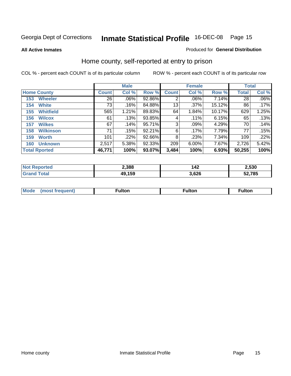**All Active Inmates**

#### Produced for **General Distribution**

### Home county, self-reported at entry to prison

|                      |                  |              | <b>Male</b> |        |              | <b>Female</b> | <b>Total</b> |              |         |
|----------------------|------------------|--------------|-------------|--------|--------------|---------------|--------------|--------------|---------|
| <b>Home County</b>   |                  | <b>Count</b> | Col %       | Row %  | <b>Count</b> | Col %         | Row %        | <b>Total</b> | Col %   |
| 153                  | <b>Wheeler</b>   | 26           | .06%        | 92.86% | 2            | .06%          | 7.14%        | 28           | $.06\%$ |
| 154                  | <b>White</b>     | 73           | .16%        | 84.88% | 13           | .37%          | 15.12%       | 86           | .17%    |
| 155                  | <b>Whitfield</b> | 565          | 1.21%       | 89.83% | 64           | 1.84%         | 10.17%       | 629          | 1.25%   |
| 156                  | <b>Wilcox</b>    | 61           | .13%        | 93.85% | 4            | $.11\%$       | 6.15%        | 65           | .13%    |
| 157                  | <b>Wilkes</b>    | 67           | .14%        | 95.71% | 3            | .09%          | 4.29%        | 70           | .14%    |
| 158                  | <b>Wilkinson</b> | 71           | .15%        | 92.21% | 6            | .17%          | 7.79%        | 77           | .15%    |
| 159                  | <b>Worth</b>     | 101          | .22%        | 92.66% | 8            | .23%          | 7.34%        | 109          | .22%    |
| 160                  | <b>Unknown</b>   | 2,517        | 5.38%       | 92.33% | 209          | 6.00%         | 7.67%        | 2,726        | 5.42%   |
| <b>Total Rported</b> |                  | 46,771       | 100%        | 93.07% | 3,484        | 100%          | 6.93%        | 50,255       | 100%    |

| oorted<br>ומשו | 2,388  | 142  | 2,530 |
|----------------|--------|------|-------|
| . Gr           | 49,159 | ,626 | 2.785 |

| <b>Mode</b> | . | unon | -uποι. |
|-------------|---|------|--------|
|             |   |      |        |
|             |   |      |        |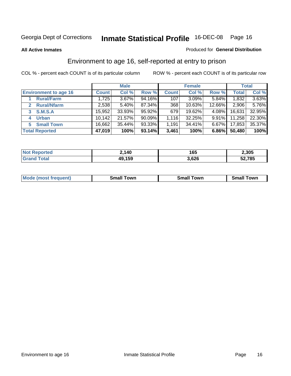**All Active Inmates**

#### Produced for **General Distribution**

### Environment to age 16, self-reported at entry to prison

|                                      | <b>Male</b>  |          |        | <b>Female</b> |        |          | <b>Total</b> |        |
|--------------------------------------|--------------|----------|--------|---------------|--------|----------|--------------|--------|
| <b>Environment to age 16</b>         | <b>Count</b> | Col %    | Row %  | <b>Count</b>  | Col %  | Row %    | <b>Total</b> | Col %  |
| <b>Rural/Farm</b>                    | 1,725        | $3.67\%$ | 94.16% | 107           | 3.09%  | 5.84%    | 1,832        | 3.63%  |
| <b>Rural/Nfarm</b><br>$\overline{2}$ | 2,538        | 5.40%    | 87.34% | 368           | 10.63% | 12.66%   | 2,906        | 5.76%  |
| <b>S.M.S.A</b><br>3                  | 15,952       | 33.93%   | 95.92% | 679           | 19.62% | $4.08\%$ | 16,631       | 32.95% |
| <b>Urban</b><br>4                    | 10,142       | 21.57%   | 90.09% | 1,116         | 32.25% | $9.91\%$ | 11,258       | 22.30% |
| <b>Small Town</b><br>5.              | 16,662       | 35.44%   | 93.33% | 1,191         | 34.41% | 6.67%    | 17,853       | 35.37% |
| <b>Total Reported</b>                | 47,019       | 100%     | 93.14% | 3,461         | 100%   | 6.86%    | 50,480       | 100%   |

| <b>Not Reported</b> | 2,140  | 165   | 2,305  |
|---------------------|--------|-------|--------|
| <b>Grand Total</b>  | 49,159 | 3,626 | 52,785 |

| Mode (most f<br>Small<br>⊺own<br>owr<br>. owr<br>trequent)<br>яπ |  |  |
|------------------------------------------------------------------|--|--|
|                                                                  |  |  |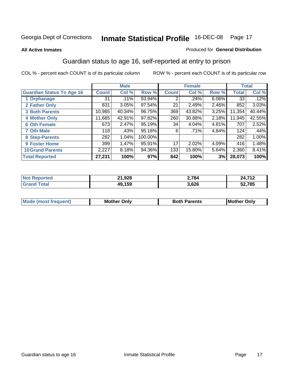#### **All Active Inmates**

#### Produced for **General Distribution**

### Guardian status to age 16, self-reported at entry to prison

|                                  |              | <b>Male</b> |         |              | <b>Female</b> |          |              | <b>Total</b> |
|----------------------------------|--------------|-------------|---------|--------------|---------------|----------|--------------|--------------|
| <b>Guardian Status To Age 16</b> | <b>Count</b> | Col %       | Row %   | <b>Count</b> | Col %         | Row %    | <b>Total</b> | Col %        |
| 1 Orphanage                      | 31           | .11%        | 93.94%  | 2            | $.24\%$       | $6.06\%$ | 33           | .12%         |
| 2 Father Only                    | 831          | 3.05%       | 97.54%  | 21           | 2.49%         | 2.46%    | 852          | 3.03%        |
| <b>3 Both Parents</b>            | 10,985       | 40.34%      | 96.75%  | 369          | 43.82%        | 3.25%    | 11,354       | 40.44%       |
| <b>4 Mother Only</b>             | 11,685       | 42.91%      | 97.82%  | 260          | 30.88%        | 2.18%    | 11,945       | 42.55%       |
| <b>6 Oth Female</b>              | 673          | 2.47%       | 95.19%  | 34           | 4.04%         | 4.81%    | 707          | 2.52%        |
| <b>7 Oth Male</b>                | 118          | .43%        | 95.16%  | 6            | .71%          | 4.84%    | 124          | .44%         |
| 8 Step-Parents                   | 282          | 1.04%       | 100.00% |              |               |          | 282          | 1.00%        |
| <b>9 Foster Home</b>             | 399          | 1.47%       | 95.91%  | 17           | 2.02%         | 4.09%    | 416          | 1.48%        |
| <b>10 Grand Parents</b>          | 2,227        | 8.18%       | 94.36%  | 133          | 15.80%        | 5.64%    | 2,360        | 8.41%        |
| <b>Total Reported</b>            | 27,231       | 100%        | 97%     | 842          | 100%          | 3%       | 28,073       | 100%         |

| n a   | 21,928 | 2.784 | <b>740</b> |
|-------|--------|-------|------------|
| . Car | 10 150 | 3,626 | 52,785     |

| Mode | Dnlv<br>Mot | <b>Roth</b><br>Parents | <b>IMot</b><br>Onlv<br>∵hei |
|------|-------------|------------------------|-----------------------------|
|      |             |                        |                             |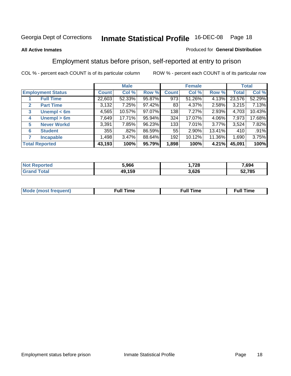#### **All Active Inmates**

#### Produced for **General Distribution**

### Employment status before prison, self-reported at entry to prison

|              |                          |              | <b>Male</b> |        |              | <b>Female</b> |        |        | <b>Total</b> |
|--------------|--------------------------|--------------|-------------|--------|--------------|---------------|--------|--------|--------------|
|              | <b>Employment Status</b> | <b>Count</b> | Col %       | Row %  | <b>Count</b> | Col %         | Row %  | Total  | Col %        |
|              | <b>Full Time</b>         | 22,603       | 52.33%      | 95.87% | 973          | 51.26%        | 4.13%  | 23,576 | 52.29%       |
| $\mathbf{2}$ | <b>Part Time</b>         | 3,132        | 7.25%       | 97.42% | 83           | 4.37%         | 2.58%  | 3,215  | 7.13%        |
| 3            | Unempl $<$ 6m            | 4,565        | 10.57%      | 97.07% | 138          | 7.27%         | 2.93%  | 4,703  | 10.43%       |
| 4            | Unempl > 6m              | 7,649        | 17.71%      | 95.94% | 324          | 17.07%        | 4.06%  | 7,973  | 17.68%       |
| 5            | <b>Never Workd</b>       | 3,391        | 7.85%       | 96.23% | 133          | 7.01%         | 3.77%  | 3,524  | 7.82%        |
| 6            | <b>Student</b>           | 355          | .82%        | 86.59% | 55           | $2.90\%$      | 13.41% | 410    | .91%         |
|              | <b>Incapable</b>         | 1,498        | 3.47%       | 88.64% | 192          | 10.12%        | 11.36% | 1,690  | 3.75%        |
|              | <b>Total Reported</b>    | 43,193       | 100%        | 95.79% | 1,898        | 100%          | 4.21%  | 45,091 | 100%         |

| orted | 5.966      | 720<br>ZО | 7,694  |
|-------|------------|-----------|--------|
|       | 159<br>IJJ | 3,626     | 52,785 |

| Mo | 'me<br>uн<br>the contract of the contract of the contract of the contract of the contract of the contract of the contract of | ïme<br>uı.<br>the contract of the contract of the contract of the contract of the contract of the contract of the contract of |
|----|------------------------------------------------------------------------------------------------------------------------------|-------------------------------------------------------------------------------------------------------------------------------|
|    |                                                                                                                              |                                                                                                                               |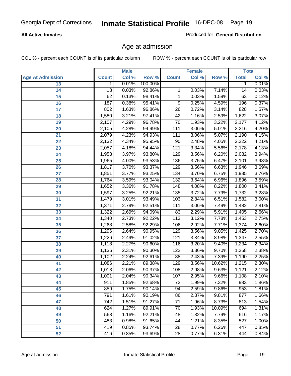#### **All Active Inmates**

Produced for **General Distribution**

### Age at admission

|                         |              | <b>Male</b> |         |                  | <b>Female</b> |        |              | <b>Total</b> |
|-------------------------|--------------|-------------|---------|------------------|---------------|--------|--------------|--------------|
| <b>Age At Admission</b> | <b>Count</b> | Col %       | Row %   | <b>Count</b>     | Col %         | Row %  | <b>Total</b> | Col %        |
| 13                      | 1            | 0.01%       | 100.00% |                  |               |        | 1            | 0.01%        |
| 14                      | 13           | 0.03%       | 92.86%  | 1                | 0.03%         | 7.14%  | 14           | 0.03%        |
| $\overline{15}$         | 62           | 0.13%       | 98.41%  | 1                | 0.03%         | 1.59%  | 63           | 0.12%        |
| 16                      | 187          | 0.38%       | 95.41%  | 9                | 0.25%         | 4.59%  | 196          | 0.37%        |
| $\overline{17}$         | 802          | 1.63%       | 96.86%  | $\overline{26}$  | 0.72%         | 3.14%  | 828          | 1.57%        |
| 18                      | 1,580        | 3.21%       | 97.41%  | $\overline{42}$  | 1.16%         | 2.59%  | 1,622        | 3.07%        |
| 19                      | 2,107        | 4.29%       | 96.78%  | 70               | 1.93%         | 3.22%  | 2,177        | 4.12%        |
| 20                      | 2,105        | 4.28%       | 94.99%  | 111              | 3.06%         | 5.01%  | 2,216        | 4.20%        |
| 21                      | 2,079        | 4.23%       | 94.93%  | 111              | 3.06%         | 5.07%  | 2,190        | 4.15%        |
| 22                      | 2,132        | 4.34%       | 95.95%  | 90               | 2.48%         | 4.05%  | 2,222        | 4.21%        |
| 23                      | 2,057        | 4.18%       | 94.44%  | 121              | 3.34%         | 5.56%  | 2,178        | 4.13%        |
| 24                      | 1,953        | 3.97%       | 93.80%  | 129              | 3.56%         | 6.20%  | 2,082        | 3.94%        |
| $\overline{25}$         | 1,965        | 4.00%       | 93.53%  | 136              | 3.75%         | 6.47%  | 2,101        | 3.98%        |
| 26                      | 1,817        | 3.70%       | 93.37%  | 129              | 3.56%         | 6.63%  | 1,946        | 3.69%        |
| 27                      | 1,851        | 3.77%       | 93.25%  | 134              | 3.70%         | 6.75%  | 1,985        | 3.76%        |
| 28                      | 1,764        | 3.59%       | 93.04%  | 132              | 3.64%         | 6.96%  | 1,896        | 3.59%        |
| 29                      | 1,652        | 3.36%       | 91.78%  | $\overline{148}$ | 4.08%         | 8.22%  | 1,800        | 3.41%        |
| 30                      | 1,597        | 3.25%       | 92.21%  | 135              | 3.72%         | 7.79%  | 1,732        | 3.28%        |
| 31                      | 1,479        | 3.01%       | 93.49%  | 103              | 2.84%         | 6.51%  | 1,582        | 3.00%        |
| 32                      | 1,371        | 2.79%       | 92.51%  | 111              | 3.06%         | 7.49%  | 1,482        | 2.81%        |
| 33                      | 1,322        | 2.69%       | 94.09%  | 83               | 2.29%         | 5.91%  | 1,405        | 2.66%        |
| 34                      | 1,340        | 2.73%       | 92.22%  | 113              | 3.12%         | 7.78%  | 1,453        | 2.75%        |
| 35                      | 1,268        | 2.58%       | 92.29%  | 106              | 2.92%         | 7.71%  | 1,374        | 2.60%        |
| 36                      | 1,296        | 2.64%       | 90.95%  | 129              | 3.56%         | 9.05%  | 1,425        | 2.70%        |
| 37                      | 1,226        | 2.49%       | 91.02%  | 121              | 3.34%         | 8.98%  | 1,347        | 2.55%        |
| 38                      | 1,118        | 2.27%       | 90.60%  | 116              | 3.20%         | 9.40%  | 1,234        | 2.34%        |
| 39                      | 1,136        | 2.31%       | 90.30%  | 122              | 3.36%         | 9.70%  | 1,258        | 2.38%        |
| 40                      | 1,102        | 2.24%       | 92.61%  | 88               | 2.43%         | 7.39%  | 1,190        | 2.25%        |
| 41                      | 1,086        | 2.21%       | 89.38%  | 129              | 3.56%         | 10.62% | 1,215        | 2.30%        |
| 42                      | 1,013        | 2.06%       | 90.37%  | 108              | 2.98%         | 9.63%  | 1,121        | 2.12%        |
| 43                      | 1,001        | 2.04%       | 90.34%  | 107              | 2.95%         | 9.66%  | 1,108        | 2.10%        |
| 44                      | 911          | 1.85%       | 92.68%  | 72               | 1.99%         | 7.32%  | 983          | 1.86%        |
| 45                      | 859          | 1.75%       | 90.14%  | 94               | 2.59%         | 9.86%  | 953          | 1.81%        |
| 46                      | 791          | 1.61%       | 90.19%  | 86               | 2.37%         | 9.81%  | 877          | 1.66%        |
| 47                      | 742          | 1.51%       | 91.27%  | 71               | 1.96%         | 8.73%  | 813          | 1.54%        |
| 48                      | 624          | 1.27%       | 89.91%  | 70               | 1.93%         | 10.09% | 694          | 1.31%        |
| 49                      | 568          | 1.16%       | 92.21%  | 48               | 1.32%         | 7.79%  | 616          | 1.17%        |
| 50                      | 483          | 0.98%       | 91.65%  | 44               | 1.21%         | 8.35%  | 527          | 1.00%        |
| 51                      | 419          | 0.85%       | 93.74%  | $\overline{28}$  | 0.77%         | 6.26%  | 447          | 0.85%        |
| 52                      | 416          | 0.85%       | 93.69%  | 28               | 0.77%         | 6.31%  | 444          | 0.84%        |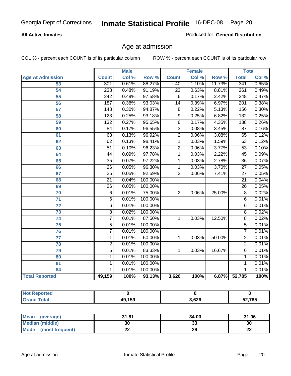#### **All Active Inmates**

Produced for **General Distribution**

### Age at admission

|                         | <b>Male</b>      |       | <b>Female</b> |                 |       | <b>Total</b> |                  |       |
|-------------------------|------------------|-------|---------------|-----------------|-------|--------------|------------------|-------|
| <b>Age At Admission</b> | <b>Count</b>     | Col % | Row %         | <b>Count</b>    | Col % | Row %        | <b>Total</b>     | Col % |
| 53                      | 301              | 0.61% | 88.27%        | 40              | 1.10% | 11.73%       | 341              | 0.65% |
| 54                      | 238              | 0.48% | 91.19%        | $\overline{23}$ | 0.63% | 8.81%        | $\overline{261}$ | 0.49% |
| $\overline{55}$         | $\overline{242}$ | 0.49% | 97.58%        | $\overline{6}$  | 0.17% | 2.42%        | 248              | 0.47% |
| $\overline{56}$         | 187              | 0.38% | 93.03%        | $\overline{14}$ | 0.39% | 6.97%        | $\overline{201}$ | 0.38% |
| $\overline{57}$         | $\overline{148}$ | 0.30% | 94.87%        | $\overline{8}$  | 0.22% | 5.13%        | 156              | 0.30% |
| 58                      | $\overline{123}$ | 0.25% | 93.18%        | $\overline{9}$  | 0.25% | 6.82%        | 132              | 0.25% |
| 59                      | $\overline{132}$ | 0.27% | 95.65%        | 6               | 0.17% | 4.35%        | 138              | 0.26% |
| 60                      | $\overline{84}$  | 0.17% | 96.55%        | $\overline{3}$  | 0.08% | 3.45%        | $\overline{87}$  | 0.16% |
| 61                      | 63               | 0.13% | 96.92%        | $\overline{2}$  | 0.06% | 3.08%        | 65               | 0.12% |
| 62                      | 62               | 0.13% | 98.41%        | $\overline{1}$  | 0.03% | 1.59%        | 63               | 0.12% |
| 63                      | $\overline{51}$  | 0.10% | 96.23%        | $\overline{2}$  | 0.06% | 3.77%        | $\overline{53}$  | 0.10% |
| 64                      | $\overline{44}$  | 0.09% | 97.78%        | 1               | 0.03% | 2.22%        | $\overline{45}$  | 0.09% |
| 65                      | $\overline{35}$  | 0.07% | 97.22%        | 1               | 0.03% | 2.78%        | $\overline{36}$  | 0.07% |
| 66                      | $\overline{26}$  | 0.05% | 96.30%        | 1               | 0.03% | 3.70%        | $\overline{27}$  | 0.05% |
| 67                      | 25               | 0.05% | 92.59%        | $\overline{2}$  | 0.06% | 7.41%        | $\overline{27}$  | 0.05% |
| 68                      | $\overline{21}$  | 0.04% | 100.00%       |                 |       |              | $\overline{21}$  | 0.04% |
| 69                      | 26               | 0.05% | 100.00%       |                 |       |              | $\overline{26}$  | 0.05% |
| 70                      | $\overline{6}$   | 0.01% | 75.00%        | $\overline{2}$  | 0.06% | 25.00%       | $\overline{8}$   | 0.02% |
| 71                      | $\overline{6}$   | 0.01% | 100.00%       |                 |       |              | 6                | 0.01% |
| $\overline{72}$         | $\overline{6}$   | 0.01% | 100.00%       |                 |       |              | $\overline{6}$   | 0.01% |
| $\overline{73}$         | $\overline{8}$   | 0.02% | 100.00%       |                 |       |              | $\overline{8}$   | 0.02% |
| $\overline{74}$         | $\overline{7}$   | 0.01% | 87.50%        | 1               | 0.03% | 12.50%       | $\overline{8}$   | 0.02% |
| $\overline{75}$         | $\overline{5}$   | 0.01% | 100.00%       |                 |       |              | 5                | 0.01% |
| 76                      | $\overline{7}$   | 0.01% | 100.00%       |                 |       |              | 7                | 0.01% |
| 77                      | $\mathbf{1}$     | 0.01% | 50.00%        | 1               | 0.03% | 50.00%       | $\overline{2}$   | 0.01% |
| 78                      | $\overline{2}$   | 0.01% | 100.00%       |                 |       |              | $\overline{2}$   | 0.01% |
| 79                      | $\overline{5}$   | 0.01% | 83.33%        | $\overline{1}$  | 0.03% | 16.67%       | $\overline{6}$   | 0.01% |
| 80                      | $\overline{1}$   | 0.01% | 100.00%       |                 |       |              | 1                | 0.01% |
| $\overline{81}$         | $\mathbf{1}$     | 0.01% | 100.00%       |                 |       |              | 1                | 0.01% |
| 84                      | 1                | 0.01% | 100.00%       |                 |       |              | 1                | 0.01% |
| <b>Total Reported</b>   | 49,159           | 100%  | 93.13%        | 3,626           | 100%  | 6.87%        | 52,785           | 100%  |

| <b>Not Reported</b> |        |       |        |
|---------------------|--------|-------|--------|
| <b>Grand Total</b>  | 49,159 | 3,626 | 52,785 |

| <b>Mean</b><br>(average)       | 31.81     | 34.00    | 31.96    |
|--------------------------------|-----------|----------|----------|
| <b>Median (middle)</b>         | 30        | ^^<br>vu | 30       |
| <b>Mode</b><br>(most frequent) | <u>__</u> | 29       | ^^<br>LL |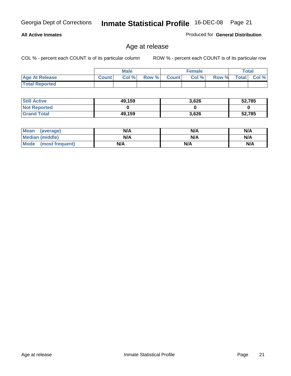#### **All Active Inmates**

Produced for **General Distribution**

### Age at release

|                       | <b>Male</b>  |      |       | <b>Female</b> |       |       | <b>Total</b> |       |
|-----------------------|--------------|------|-------|---------------|-------|-------|--------------|-------|
| <b>Age At Release</b> | <b>Count</b> | Col% | Row % | <b>Count</b>  | Col % | Row % | <b>Total</b> | Col % |
| <b>Total Reported</b> |              |      |       |               |       |       |              |       |

| <b>Still Active</b> | 49,159 | 3,626 | 52,785 |
|---------------------|--------|-------|--------|
| <b>Not Reported</b> |        |       |        |
| <b>Grand Total</b>  | 49,159 | 3,626 | 52,785 |

| Mean (average)       | N/A | N/A | N/A |
|----------------------|-----|-----|-----|
| Median (middle)      | N/A | N/A | N/A |
| Mode (most frequent) | N/A | N/A | N/A |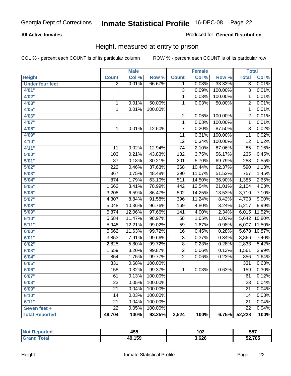#### **All Active Inmates**

#### Produced for **General Distribution**

### Height, measured at entry to prison

|                        |                  | <b>Male</b> |         |                  | Female |         | <b>Total</b>     |        |
|------------------------|------------------|-------------|---------|------------------|--------|---------|------------------|--------|
| <b>Height</b>          | <b>Count</b>     | Col %       | Row %   | <b>Count</b>     | Col %  | Row %   | <b>Total</b>     | Col %  |
| <b>Under four feet</b> | $\overline{2}$   | 0.01%       | 66.67%  | 1                | 0.03%  | 33.33%  | $\overline{3}$   | 0.01%  |
| 4'01''                 |                  |             |         | $\overline{3}$   | 0.09%  | 100.00% | $\overline{3}$   | 0.01%  |
| 4'02"                  |                  |             |         | 1                | 0.03%  | 100.00% | 1                | 0.01%  |
| 4'03"                  | $\mathbf 1$      | 0.01%       | 50.00%  | 1                | 0.03%  | 50.00%  | $\overline{2}$   | 0.01%  |
| 4'05''                 | $\mathbf 1$      | 0.01%       | 100.00% |                  |        |         | $\mathbf 1$      | 0.01%  |
| 4'06"                  |                  |             |         | $\overline{2}$   | 0.06%  | 100.00% | $\overline{2}$   | 0.01%  |
| 4'07"                  |                  |             |         | 1                | 0.03%  | 100.00% | 1                | 0.01%  |
| 4'08"                  | $\mathbf 1$      | 0.01%       | 12.50%  | $\overline{7}$   | 0.20%  | 87.50%  | $\overline{8}$   | 0.02%  |
| 4'09"                  |                  |             |         | 11               | 0.31%  | 100.00% | $\overline{11}$  | 0.02%  |
| 4'10"                  |                  |             |         | $\overline{12}$  | 0.34%  | 100.00% | $\overline{12}$  | 0.02%  |
| 4'11''                 | 11               | 0.02%       | 12.94%  | $\overline{74}$  | 2.10%  | 87.06%  | 85               | 0.16%  |
| 5'00''                 | 103              | 0.21%       | 43.83%  | $\overline{132}$ | 3.75%  | 56.17%  | 235              | 0.45%  |
| 5'01''                 | 87               | 0.18%       | 30.21%  | 201              | 5.70%  | 69.79%  | 288              | 0.55%  |
| 5'02''                 | $\overline{222}$ | 0.46%       | 37.63%  | 368              | 10.44% | 62.37%  | 590              | 1.13%  |
| 5'03''                 | 367              | 0.75%       | 48.48%  | 390              | 11.07% | 51.52%  | $\overline{757}$ | 1.45%  |
| 5'04''                 | 874              | 1.79%       | 63.10%  | $\overline{511}$ | 14.50% | 36.90%  | 1,385            | 2.65%  |
| 5'05''                 | 1,662            | 3.41%       | 78.99%  | 442              | 12.54% | 21.01%  | 2,104            | 4.03%  |
| 5'06''                 | 3,208            | 6.59%       | 86.47%  | 502              | 14.25% | 13.53%  | 3,710            | 7.10%  |
| 5'07''                 | 4,307            | 8.84%       | 91.58%  | 396              | 11.24% | 8.42%   | 4,703            | 9.00%  |
| 5'08''                 | 5,048            | 10.36%      | 96.76%  | 169              | 4.80%  | 3.24%   | 5,217            | 9.99%  |
| 5'09''                 | 5,874            | 12.06%      | 97.66%  | 141              | 4.00%  | 2.34%   | 6,015            | 11.52% |
| 5'10''                 | 5,584            | 11.47%      | 98.97%  | $\overline{58}$  | 1.65%  | 1.03%   | 5,642            | 10.80% |
| 5'11''                 | 5,948            | 12.21%      | 99.02%  | 59               | 1.67%  | 0.98%   | 6,007            | 11.50% |
| 6'00''                 | 5,662            | 11.63%      | 99.72%  | 16               | 0.45%  | 0.28%   | 5,678            | 10.87% |
| 6'01''                 | 3,853            | 7.91%       | 99.66%  | $\overline{13}$  | 0.37%  | 0.34%   | 3,866            | 7.40%  |
| 6'02''                 | 2,825            | 5.80%       | 99.72%  | $\overline{8}$   | 0.23%  | 0.28%   | 2,833            | 5.42%  |
| 6'03''                 | 1,559            | 3.20%       | 99.87%  | $\overline{2}$   | 0.06%  | 0.13%   | 1,561            | 2.99%  |
| 6'04''                 | 854              | 1.75%       | 99.77%  | $\overline{2}$   | 0.06%  | 0.23%   | 856              | 1.64%  |
| 6'05''                 | 331              | 0.68%       | 100.00% |                  |        |         | 331              | 0.63%  |
| 6'06''                 | 158              | 0.32%       | 99.37%  | 1                | 0.03%  | 0.63%   | 159              | 0.30%  |
| 6'07''                 | 61               | 0.13%       | 100.00% |                  |        |         | 61               | 0.12%  |
| 6'08''                 | 23               | 0.05%       | 100.00% |                  |        |         | 23               | 0.04%  |
| 6'09''                 | $\overline{21}$  | 0.04%       | 100.00% |                  |        |         | $\overline{21}$  | 0.04%  |
| 6'10''                 | 14               | 0.03%       | 100.00% |                  |        |         | 14               | 0.03%  |
| 6'11''                 | $\overline{21}$  | 0.04%       | 100.00% |                  |        |         | 21               | 0.04%  |
| Seven feet +           | $\overline{22}$  | 0.05%       | 100.00% |                  |        |         | $\overline{22}$  | 0.04%  |
| <b>Total Reported</b>  | 48,704           | 100%        | 93.25%  | 3,524            | 100%   | 6.75%   | 52,228           | 100%   |

| <b>rteo</b><br>NO. | 455    | 102   | 557    |
|--------------------|--------|-------|--------|
| otal<br>. Gr       | 49,159 | 3,626 | 52,785 |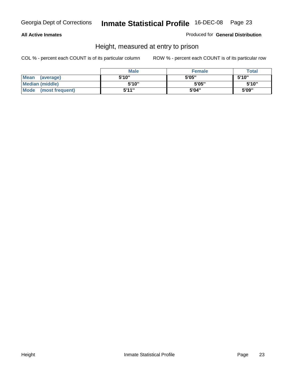#### **All Active Inmates**

Produced for **General Distribution**

### Height, measured at entry to prison

|                        | <b>Male</b> | <b>Female</b> | <b>Total</b> |
|------------------------|-------------|---------------|--------------|
| Mean (average)         | 5'10"       | 5'05"         | 5'10''       |
| <b>Median (middle)</b> | 5'10''      | 5'05"         | 5'10''       |
| Mode (most frequent)   | 5'11"       | 5'04"         | 5'09"        |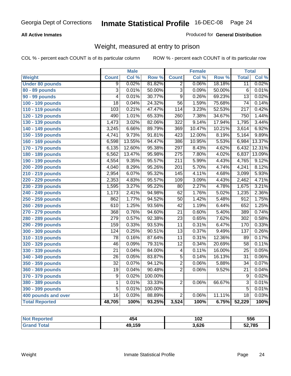#### **All Active Inmates**

#### Produced for **General Distribution**

### Weight, measured at entry to prison

|                        |                  | <b>Male</b> |         |                  | <b>Female</b> |        | <b>Total</b>     |        |
|------------------------|------------------|-------------|---------|------------------|---------------|--------|------------------|--------|
| Weight                 | <b>Count</b>     | Col %       | Row %   | <b>Count</b>     | Col %         | Row %  | <b>Total</b>     | Col %  |
| <b>Under 80 pounds</b> | 9                | 0.02%       | 81.82%  | $\overline{2}$   | 0.06%         | 18.18% | $\overline{11}$  | 0.02%  |
| 80 - 89 pounds         | $\overline{3}$   | 0.01%       | 50.00%  | $\overline{3}$   | 0.09%         | 50.00% | $\overline{6}$   | 0.01%  |
| 90 - 99 pounds         | $\overline{4}$   | 0.01%       | 30.77%  | $\overline{9}$   | 0.26%         | 69.23% | $\overline{13}$  | 0.02%  |
| 100 - 109 pounds       | $\overline{18}$  | 0.04%       | 24.32%  | $\overline{56}$  | 1.59%         | 75.68% | $\overline{74}$  | 0.14%  |
| 110 - 119 pounds       | 103              | 0.21%       | 47.47%  | 114              | 3.23%         | 52.53% | $\overline{217}$ | 0.42%  |
| 120 - 129 pounds       | 490              | 1.01%       | 65.33%  | 260              | 7.38%         | 34.67% | 750              | 1.44%  |
| 130 - 139 pounds       | 1,473            | 3.02%       | 82.06%  | $\overline{322}$ | 9.14%         | 17.94% | 1,795            | 3.44%  |
| 140 - 149 pounds       | 3,245            | 6.66%       | 89.79%  | 369              | 10.47%        | 10.21% | 3,614            | 6.92%  |
| 150 - 159 pounds       | 4,741            | 9.73%       | 91.81%  | 423              | 12.00%        | 8.19%  | 5,164            | 9.89%  |
| 160 - 169 pounds       | 6,598            | 13.55%      | 94.47%  | 386              | 10.95%        | 5.53%  | 6,984            | 13.37% |
| 170 - 179 pounds       | 6,135            | 12.60%      | 95.38%  | 297              | 8.43%         | 4.62%  | 6,432            | 12.31% |
| 180 - 189 pounds       | 6,562            | 13.47%      | 95.98%  | $\overline{275}$ | 7.80%         | 4.02%  | 6,837            | 13.09% |
| 190 - 199 pounds       | 4,554            | 9.35%       | 95.57%  | $\overline{211}$ | 5.99%         | 4.43%  | 4,765            | 9.12%  |
| 200 - 209 pounds       | 4,040            | 8.29%       | 95.26%  | $\overline{201}$ | 5.70%         | 4.74%  | 4,241            | 8.12%  |
| 210 - 219 pounds       | 2,954            | 6.07%       | 95.32%  | 145              | 4.11%         | 4.68%  | 3,099            | 5.93%  |
| 220 - 229 pounds       | 2,353            | 4.83%       | 95.57%  | $\overline{109}$ | 3.09%         | 4.43%  | 2,462            | 4.71%  |
| 230 - 239 pounds       | 1,595            | 3.27%       | 95.22%  | 80               | 2.27%         | 4.78%  | 1,675            | 3.21%  |
| 240 - 249 pounds       | 1,173            | 2.41%       | 94.98%  | $\overline{62}$  | 1.76%         | 5.02%  | 1,235            | 2.36%  |
| 250 - 259 pounds       | 862              | 1.77%       | 94.52%  | $\overline{50}$  | 1.42%         | 5.48%  | $\overline{912}$ | 1.75%  |
| 260 - 269 pounds       | 610              | 1.25%       | 93.56%  | $\overline{42}$  | 1.19%         | 6.44%  | 652              | 1.25%  |
| 270 - 279 pounds       | 368              | 0.76%       | 94.60%  | $\overline{21}$  | 0.60%         | 5.40%  | 389              | 0.74%  |
| 280 - 289 pounds       | $\overline{279}$ | 0.57%       | 92.38%  | $\overline{23}$  | 0.65%         | 7.62%  | $\overline{302}$ | 0.58%  |
| 290 - 299 pounds       | 159              | 0.33%       | 93.53%  | $\overline{11}$  | 0.31%         | 6.47%  | 170              | 0.33%  |
| 300 - 309 pounds       | 124              | 0.25%       | 90.51%  | $\overline{13}$  | 0.37%         | 9.49%  | 137              | 0.26%  |
| 310 - 319 pounds       | $\overline{78}$  | 0.16%       | 87.64%  | $\overline{11}$  | 0.31%         | 12.36% | 89               | 0.17%  |
| 320 - 329 pounds       | 46               | 0.09%       | 79.31%  | $\overline{12}$  | 0.34%         | 20.69% | $\overline{58}$  | 0.11%  |
| 330 - 339 pounds       | $\overline{21}$  | 0.04%       | 84.00%  | 4                | 0.11%         | 16.00% | $\overline{25}$  | 0.05%  |
| 340 - 349 pounds       | $\overline{26}$  | 0.05%       | 83.87%  | $\overline{5}$   | 0.14%         | 16.13% | $\overline{31}$  | 0.06%  |
| 350 - 359 pounds       | $\overline{32}$  | 0.07%       | 94.12%  | $\overline{2}$   | 0.06%         | 5.88%  | $\overline{34}$  | 0.07%  |
| 360 - 369 pounds       | 19               | 0.04%       | 90.48%  | $\overline{2}$   | 0.06%         | 9.52%  | $\overline{21}$  | 0.04%  |
| 370 - 379 pounds       | 9                | 0.02%       | 100.00% |                  |               |        | $\overline{9}$   | 0.02%  |
| 380 - 389 pounds       | $\overline{1}$   | 0.01%       | 33.33%  | $\overline{2}$   | 0.06%         | 66.67% | $\overline{3}$   | 0.01%  |
| 390 - 399 pounds       | $\overline{5}$   | 0.01%       | 100.00% |                  |               |        | $\overline{5}$   | 0.01%  |
| 400 pounds and over    | $\overline{16}$  | 0.03%       | 88.89%  | $\overline{2}$   | 0.06%         | 11.11% | $\overline{18}$  | 0.03%  |
| <b>Total Reported</b>  | 48,705           | 100%        | 93.25%  | 3,524            | 100%          | 6.75%  | 52,229           | 100%   |

| Reported<br>' N∩t | 454    | 102   | 556    |
|-------------------|--------|-------|--------|
| īota.<br>. Gr     | 49,159 | 8.626 | 52,785 |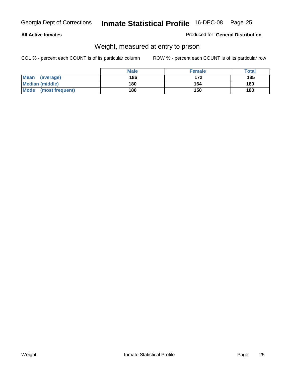#### **All Active Inmates**

#### Produced for **General Distribution**

### Weight, measured at entry to prison

|                                | <b>Male</b> | <b>Female</b> | Total |
|--------------------------------|-------------|---------------|-------|
| <b>Mean</b><br>(average)       | 186         | 172           | 185   |
| <b>Median (middle)</b>         | 180         | 164           | 180   |
| <b>Mode</b><br>(most frequent) | 180         | 150           | 180   |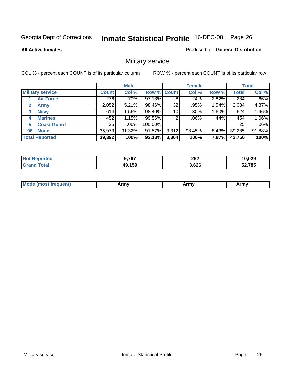**All Active Inmates**

#### Produced for **General Distribution**

### Military service

|                         |              | <b>Male</b> |             |       | <b>Female</b> |          |              | <b>Total</b> |
|-------------------------|--------------|-------------|-------------|-------|---------------|----------|--------------|--------------|
| <b>Military service</b> | <b>Count</b> | Col %       | Row % Count |       | Col %         | Row %    | <b>Total</b> | Col %        |
| <b>Air Force</b>        | 276          | .70%        | 97.18%      | 8     | .24%          | 2.82%    | 284          | .66%         |
| <b>Army</b>             | 2,052        | 5.21%       | 98.46%      | 32    | .95%          | 1.54%    | 2,084        | 4.87%        |
| <b>Navy</b><br>3        | 614          | 1.56%       | 98.40%      | 10    | $.30\%$       | 1.60%    | 624          | 1.46%        |
| <b>Marines</b><br>4     | 452          | 1.15%       | 99.56%      | 2     | $.06\%$       | .44%     | 454          | 1.06%        |
| <b>Coast Guard</b><br>5 | 25           | $.06\%$     | 100.00%     |       |               |          | 25           | .06%         |
| <b>None</b><br>96       | 35,973       | $91.32\%$   | 91.57%      | 3,312 | 98.45%        | $8.43\%$ | 39,285       | 91.88%       |
| <b>Total Reported</b>   | 39,392       | 100%        | 92.13%      | 3,364 | 100%          | 7.87%    | 42,756       | 100%         |

| <b>Reported</b><br>' N∩t | <b>9,767</b> | 262<br>____ | 10,029 |
|--------------------------|--------------|-------------|--------|
| ™otaı<br><b>Grand</b>    | 49,159       | 3,626       | 52,785 |

|  | <b>Mode</b><br>reauent)<br>.ost if | Army | Army | Army |
|--|------------------------------------|------|------|------|
|--|------------------------------------|------|------|------|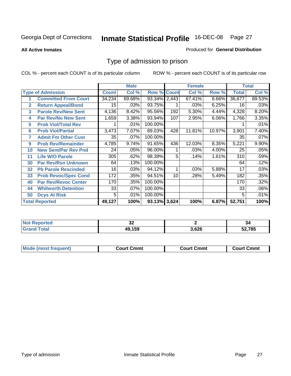**All Active Inmates**

#### Produced for **General Distribution**

### Type of admission to prison

|                |                             |              | <b>Male</b> |                    |     | <b>Female</b> |          |              | <b>Total</b> |
|----------------|-----------------------------|--------------|-------------|--------------------|-----|---------------|----------|--------------|--------------|
|                | <b>Type of Admission</b>    | <b>Count</b> | Col %       | <b>Row % Count</b> |     | Col %         | Row %    | <b>Total</b> | Col %        |
|                | <b>Committed From Court</b> | 34,234       | 69.68%      | 93.34% 2,443       |     | 67.41%        | $6.66\%$ | 36,677       | 69.53%       |
| $\overline{2}$ | <b>Return Appeal/Bond</b>   | 15           | .03%        | 93.75%             |     | .03%          | 6.25%    | 16           | .03%         |
| 3              | <b>Parole Rev/New Sent</b>  | 4,136        | 8.42%       | 95.56%             | 192 | 5.30%         | 4.44%    | 4,328        | 8.20%        |
| 4              | <b>Par Rev/No New Sent</b>  | 1,659        | 3.38%       | 93.94%             | 107 | 2.95%         | 6.06%    | 1,766        | 3.35%        |
| 5              | <b>Prob Viol/Total Rev</b>  |              | .01%        | 100.00%            |     |               |          |              | .01%         |
| 6              | <b>Prob Viol/Partial</b>    | 3,473        | 7.07%       | 89.03%             | 428 | 11.81%        | 10.97%   | 3,901        | 7.40%        |
| 7              | <b>Admit Fm Other Cust</b>  | 35           | $.07\%$     | 100.00%            |     |               |          | 35           | .07%         |
| 9              | <b>Prob Rev/Remainder</b>   | 4,785        | 9.74%       | 91.65%             | 436 | 12.03%        | 8.35%    | 5,221        | 9.90%        |
| 10             | <b>New Sent/Par Rev Pnd</b> | 24           | .05%        | 96.00%             |     | .03%          | 4.00%    | 25           | .05%         |
| 11             | <b>Life W/O Parole</b>      | 305          | .62%        | 98.39%             | 5   | .14%          | 1.61%    | 310          | .59%         |
| 30             | <b>Par Rev/Rsn Unknown</b>  | 64           | .13%        | 100.00%            |     |               |          | 64           | .12%         |
| 32             | <b>Pb Parole Rescinded</b>  | 16           | .03%        | 94.12%             | 1   | .03%          | 5.88%    | 17           | .03%         |
| 33             | <b>Prob Revoc/Spec Cond</b> | 172          | .35%        | 94.51%             | 10  | .28%          | 5.49%    | 182          | .35%         |
| 40             | <b>Par Rev/Revoc Center</b> | 170          | .35%        | 100.00%            |     |               |          | 170          | .32%         |
| 44             | <b>Whitworth Detention</b>  | 33           | .07%        | 100.00%            |     |               |          | 33           | .06%         |
| 50             | <b>Dcys At Risk</b>         | 5            | .01%        | 100.00%            |     |               |          | 5            | .01%         |
|                | <b>Total Reported</b>       | 49,127       | 100%        | 93.13% 3,624       |     | 100%          | 6.87%    | 52,751       | 100%         |

| Reported<br>NOT. | ◡▵  |     | -94    |
|------------------|-----|-----|--------|
| ota.             | 4EQ | 626 | 52,785 |

| <b>Mode</b><br><b>Cmmւ</b><br>Cmmt<br>Cmmt<br>frequent)<br>∴∩urt<br>Court (<br>:ourt<br>. |  |  |
|-------------------------------------------------------------------------------------------|--|--|
|                                                                                           |  |  |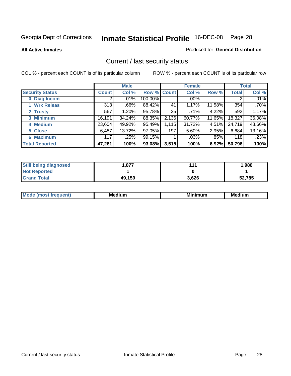**All Active Inmates**

#### Produced for **General Distribution**

### Current / last security status

|                        |              | <b>Male</b> |             |       | <b>Female</b> |          |              | <b>Total</b> |
|------------------------|--------------|-------------|-------------|-------|---------------|----------|--------------|--------------|
| <b>Security Status</b> | <b>Count</b> | Col %       | Row % Count |       | Col %         | Row %    | <b>Total</b> | Col %        |
| 0 Diag Incom           | 2            | .01%        | 100.00%     |       | .00%          |          | 2            | .01%         |
| 1 Wrk Releas           | 313          | .66%        | 88.42%      | 41    | 1.17%         | 11.58%   | 354          | $.70\%$      |
| 2 Trusty               | 567          | $1.20\%$    | 95.78%      | 25    | .71%          | 4.22%    | 592          | 1.17%        |
| 3 Minimum              | 16,191       | 34.24%      | 88.35%      | 2,136 | 60.77%        | 11.65%   | 18,327       | 36.08%       |
| 4 Medium               | 23,604       | 49.92%      | 95.49%      | 1,115 | 31.72%        | $4.51\%$ | 24,719       | 48.66%       |
| 5 Close                | 6,487        | 13.72%      | 97.05%      | 197   | 5.60%         | 2.95%    | 6,684        | 13.16%       |
| <b>6 Maximum</b>       | 117          | .25%        | 99.15%      |       | .03%          | .85%     | 118          | .23%         |
| <b>Total Reported</b>  | 47,281       | 100%        | 93.08%      | 3,515 | 100%          | 6.92%    | 50,796       | 100%         |

| <b>Still being diagnosed</b> | .877   | 111   | 1,988  |
|------------------------------|--------|-------|--------|
| <b>Not Reported</b>          |        |       |        |
| <b>Grand Total</b>           | 49,159 | 3,626 | 52,785 |

| $M_{\Omega}$<br>יחב | M۵<br>dium | <b>BAL.</b><br>num | Mer<br>dium |
|---------------------|------------|--------------------|-------------|
|                     |            |                    |             |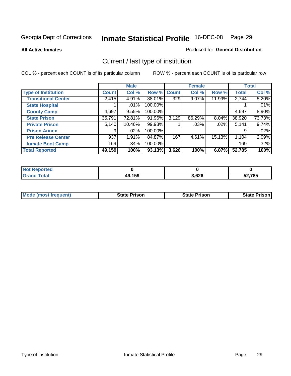**All Active Inmates**

#### Produced for **General Distribution**

### Current / last type of institution

|                            |              | <b>Male</b> |             |       | <b>Female</b> |          |              | <b>Total</b> |
|----------------------------|--------------|-------------|-------------|-------|---------------|----------|--------------|--------------|
| <b>Type of Institution</b> | <b>Count</b> | Col %       | Row % Count |       | Col %         | Row %    | <b>Total</b> | Col %        |
| <b>Transitional Center</b> | 2,415        | 4.91%       | 88.01%      | 329   | $9.07\%$      | 11.99%   | 2,744        | 5.20%        |
| <b>State Hospital</b>      |              | $.01\%$     | 100.00%     |       |               |          |              | .01%         |
| <b>County Camp</b>         | 4,697        | 9.55%       | 100.00%     |       |               |          | 4,697        | 8.90%        |
| <b>State Prison</b>        | 35,791       | 72.81%      | 91.96%      | 3,129 | 86.29%        | $8.04\%$ | 38,920       | 73.73%       |
| <b>Private Prison</b>      | 5,140        | 10.46%      | 99.98%      |       | $.03\%$       | .02%     | 5,141        | 9.74%        |
| <b>Prison Annex</b>        | 9            | $.02\%$     | 100.00%     |       |               |          | 9            | .02%         |
| <b>Pre Release Center</b>  | 937          | 1.91%       | 84.87%      | 167   | 4.61%         | 15.13%   | 1,104        | 2.09%        |
| <b>Inmate Boot Camp</b>    | 169          | $.34\%$     | 100.00%     |       |               |          | 169          | .32%         |
| <b>Total Reported</b>      | 49,159       | 100%        | 93.13%      | 3,626 | 100%          | 6.87%    | 52,785       | 100%         |

| <b>Not Reported</b> |        |       |        |
|---------------------|--------|-------|--------|
| <b>Grand Total</b>  | 49,159 | 3,626 | 52,785 |

| <b>Mode (most frequent)</b> | <b>State Prison</b> | <b>State Prison</b> | <b>State Prison I</b> |
|-----------------------------|---------------------|---------------------|-----------------------|
|                             |                     |                     |                       |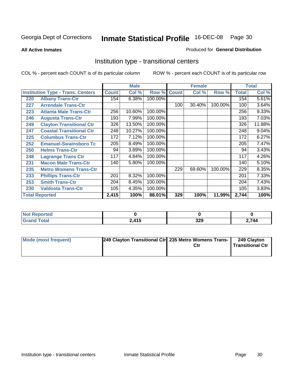**All Active Inmates**

#### Produced for **General Distribution**

### Institution type - transitional centers

|     |                                          |              | <b>Male</b> |         |              | <b>Female</b> |         |              | <b>Total</b> |
|-----|------------------------------------------|--------------|-------------|---------|--------------|---------------|---------|--------------|--------------|
|     | <b>Institution Type - Trans. Centers</b> | <b>Count</b> | Col %       | Row %   | <b>Count</b> | Col %         | Row %   | <b>Total</b> | Col %        |
| 220 | <b>Albany Trans-Ctr</b>                  | 154          | 6.38%       | 100.00% |              |               |         | 154          | 5.61%        |
| 227 | <b>Arrendale Trans-Ctr</b>               |              |             |         | 100          | 30.40%        | 100.00% | 100          | 3.64%        |
| 223 | <b>Atlanta Male Trans-Ctr</b>            | 256          | 10.60%      | 100.00% |              |               |         | 256          | 9.33%        |
| 246 | <b>Augusta Trans-Ctr</b>                 | 193          | 7.99%       | 100.00% |              |               |         | 193          | 7.03%        |
| 249 | <b>Clayton Transitional Ctr</b>          | 326          | 13.50%      | 100.00% |              |               |         | 326          | 11.88%       |
| 247 | <b>Coastal Transitional Ctr</b>          | 248          | 10.27%      | 100.00% |              |               |         | 248          | 9.04%        |
| 225 | <b>Columbus Trans-Ctr</b>                | 172          | 7.12%       | 100.00% |              |               |         | 172          | 6.27%        |
| 252 | <b>Emanuel-Swainsboro Tc</b>             | 205          | 8.49%       | 100.00% |              |               |         | 205          | 7.47%        |
| 250 | <b>Helms Trans-Ctr</b>                   | 94           | 3.89%       | 100.00% |              |               |         | 94           | 3.43%        |
| 248 | <b>Lagrange Trans Ctr</b>                | 117          | 4.84%       | 100.00% |              |               |         | 117          | 4.26%        |
| 231 | <b>Macon Male Trans-Ctr</b>              | 140          | 5.80%       | 100.00% |              |               |         | 140          | 5.10%        |
| 235 | <b>Metro Womens Trans-Ctr</b>            |              |             |         | 229          | 69.60%        | 100.00% | 229          | 8.35%        |
| 233 | <b>Phillips Trans-Ctr</b>                | 201          | 8.32%       | 100.00% |              |               |         | 201          | 7.33%        |
| 253 | <b>Smith Trans-Ctr</b>                   | 204          | 8.45%       | 100.00% |              |               |         | 204          | 7.43%        |
| 230 | <b>Valdosta Trans-Ctr</b>                | 105          | 4.35%       | 100.00% |              |               |         | 105          | 3.83%        |
|     | <b>Total Reported</b>                    | 2,415        | 100%        | 88.01%  | 329          | 100%          | 11.99%  | 2,744        | 100%         |

| NO1<br>porteg<br>$\cdots$ |                        |                   |     |
|---------------------------|------------------------|-------------------|-----|
| $\sim$                    | $\overline{115}$<br>IJ | ו מ<br>ノムソ<br>- - | 744 |

| Mode (most frequent) | 249 Clayton Transitional Ctrl 235 Metro Womens Trans- | Ctr | 249 Clayton<br><b>Transitional Ctr</b> |
|----------------------|-------------------------------------------------------|-----|----------------------------------------|
|                      |                                                       |     |                                        |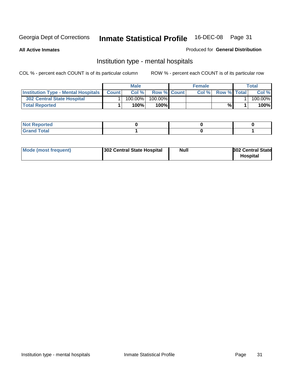**All Active Inmates**

#### Produced for **General Distribution**

### Institution type - mental hospitals

|                                                  | <b>Male</b> |                    | <b>Female</b> |                    | Total   |
|--------------------------------------------------|-------------|--------------------|---------------|--------------------|---------|
| <b>Institution Type - Mental Hospitals Count</b> | Col%        | <b>Row % Count</b> | Col%          | <b>Row % Total</b> | Col %   |
| 302 Central State Hospital                       | $100.00\%$  | 100.00%            |               |                    | 100.00% |
| <b>Total Reported</b>                            | 100%        | 100%               |               | %                  | 100%    |

| Not Reported |  |  |
|--------------|--|--|
| <b>otal</b>  |  |  |

| Mode (most frequent)<br>302 Central State Hospital | Null | <b>302 Central State</b><br><b>Hospital</b> |
|----------------------------------------------------|------|---------------------------------------------|
|----------------------------------------------------|------|---------------------------------------------|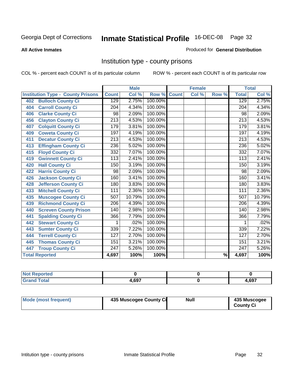#### **All Active Inmates**

#### Produced for **General Distribution**

### Institution type - county prisons

|                                          |                  | <b>Male</b> |         |              | <b>Female</b> |                          |                  | <b>Total</b>               |
|------------------------------------------|------------------|-------------|---------|--------------|---------------|--------------------------|------------------|----------------------------|
| <b>Institution Type - County Prisons</b> | <b>Count</b>     | Col %       | Row %   | <b>Count</b> | Col %         | Row %                    | <b>Total</b>     | $\overline{\text{Col }^9}$ |
| <b>Bulloch County Ci</b><br>402          | 129              | 2.75%       | 100.00% |              |               |                          | 129              | 2.75%                      |
| <b>Carroll County Ci</b><br>404          | $\overline{204}$ | 4.34%       | 100.00% |              |               |                          | $\overline{204}$ | 4.34%                      |
| <b>Clarke County Ci</b><br>406           | 98               | 2.09%       | 100.00% |              |               |                          | 98               | 2.09%                      |
| <b>Clayton County Ci</b><br>456          | $\overline{213}$ | 4.53%       | 100.00% |              |               |                          | $\overline{213}$ | 4.53%                      |
| <b>Colquitt County Ci</b><br>407         | 179              | 3.81%       | 100.00% |              |               |                          | 179              | 3.81%                      |
| <b>Coweta County Ci</b><br>409           | 197              | 4.19%       | 100.00% |              |               |                          | 197              | 4.19%                      |
| <b>Decatur County Ci</b><br>411          | 213              | 4.53%       | 100.00% |              |               |                          | 213              | 4.53%                      |
| <b>Effingham County Ci</b><br>413        | 236              | 5.02%       | 100.00% |              |               |                          | 236              | 5.02%                      |
| <b>Floyd County Ci</b><br>415            | 332              | 7.07%       | 100.00% |              |               |                          | 332              | 7.07%                      |
| <b>Gwinnett County Ci</b><br>419         | $\overline{113}$ | 2.41%       | 100.00% |              |               |                          | $\overline{113}$ | 2.41%                      |
| <b>Hall County Ci</b><br>420             | 150              | 3.19%       | 100.00% |              |               |                          | 150              | 3.19%                      |
| <b>Harris County Ci</b><br>422           | 98               | 2.09%       | 100.00% |              |               |                          | 98               | 2.09%                      |
| <b>Jackson County Ci</b><br>426          | 160              | 3.41%       | 100.00% |              |               |                          | 160              | 3.41%                      |
| <b>Jefferson County Ci</b><br>428        | 180              | 3.83%       | 100.00% |              |               |                          | 180              | 3.83%                      |
| <b>Mitchell County Ci</b><br>433         | 111              | 2.36%       | 100.00% |              |               |                          | 111              | 2.36%                      |
| <b>Muscogee County Ci</b><br>435         | 507              | 10.79%      | 100.00% |              |               |                          | 507              | 10.79%                     |
| <b>Richmond County Ci</b><br>439         | $\overline{206}$ | 4.39%       | 100.00% |              |               |                          | $\overline{206}$ | 4.39%                      |
| <b>Screven County Prison</b><br>440      | 140              | 2.98%       | 100.00% |              |               |                          | 140              | 2.98%                      |
| <b>Spalding County Ci</b><br>441         | 366              | 7.79%       | 100.00% |              |               |                          | 366              | 7.79%                      |
| <b>Stewart County Ci</b><br>442          | 1                | .02%        | 100.00% |              |               |                          | 1                | .02%                       |
| <b>Sumter County Ci</b><br>443           | 339              | 7.22%       | 100.00% |              |               |                          | 339              | 7.22%                      |
| <b>Terrell County Ci</b><br>444          | 127              | 2.70%       | 100.00% |              |               |                          | 127              | 2.70%                      |
| <b>Thomas County Ci</b><br>445           | 151              | 3.21%       | 100.00% |              |               |                          | 151              | 3.21%                      |
| <b>Troup County Ci</b><br>447            | 247              | 5.26%       | 100.00% |              |               |                          | 247              | 5.26%                      |
| <b>Total Reported</b>                    | 4,697            | 100%        | 100%    |              |               | $\overline{\frac{9}{6}}$ | 4,697            | 100%                       |

| τeα                                         |       |       |
|---------------------------------------------|-------|-------|
| $n+n$<br>$\sim$ $\sim$ $\sim$ $\sim$ $\sim$ | 0.607 | 1,697 |

| Mode (most frequent) | 435 Muscogee County Ci | Null | 435 Muscogee |
|----------------------|------------------------|------|--------------|
|                      |                        |      | County Ci    |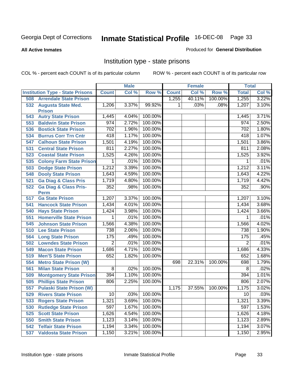#### **All Active Inmates**

#### Produced for **General Distribution**

### Institution type - state prisons

|     |                                            |                | <b>Male</b> |         |              | <b>Female</b> |         | <b>Total</b> |       |
|-----|--------------------------------------------|----------------|-------------|---------|--------------|---------------|---------|--------------|-------|
|     | <b>Institution Type - State Prisons</b>    | <b>Count</b>   | Col %       | Row %   | <b>Count</b> | Col %         | Row %   | <b>Total</b> | Col % |
| 508 | <b>Arrendale State Prison</b>              |                |             |         | 1,255        | 40.11%        | 100.00% | 1,255        | 3.22% |
| 532 | <b>Augusta State Med.</b><br><b>Prison</b> | 1,206          | 3.37%       | 99.92%  | 1            | .03%          | .08%    | 1,207        | 3.10% |
| 543 | <b>Autry State Prison</b>                  | 1,445          | 4.04%       | 100.00% |              |               |         | 1,445        | 3.71% |
| 553 | <b>Baldwin State Prison</b>                | 974            | 2.72%       | 100.00% |              |               |         | 974          | 2.50% |
| 536 | <b>Bostick State Prison</b>                | 702            | 1.96%       | 100.00% |              |               |         | 702          | 1.80% |
| 534 | <b>Burrus Corr Trn Cntr</b>                | 418            | 1.17%       | 100.00% |              |               |         | 418          | 1.07% |
| 547 | <b>Calhoun State Prison</b>                | 1,501          | 4.19%       | 100.00% |              |               |         | 1,501        | 3.86% |
| 531 | <b>Central State Prison</b>                | 811            | 2.27%       | 100.00% |              |               |         | 811          | 2.08% |
| 523 | <b>Coastal State Prison</b>                | 1,525          | 4.26%       | 100.00% |              |               |         | 1,525        | 3.92% |
| 535 | <b>Colony Farm State Prison</b>            | 1              | .01%        | 100.00% |              |               |         | 1            | .01%  |
| 503 | <b>Dodge State Prison</b>                  | 1,212          | 3.39%       | 100.00% |              |               |         | 1,212        | 3.11% |
| 548 | <b>Dooly State Prison</b>                  | 1,643          | 4.59%       | 100.00% |              |               |         | 1,643        | 4.22% |
| 521 | <b>Ga Diag &amp; Class Pris</b>            | 1,719          | 4.80%       | 100.00% |              |               |         | 1,719        | 4.42% |
| 522 | <b>Ga Diag &amp; Class Pris-</b>           | 352            | .98%        | 100.00% |              |               |         | 352          | .90%  |
|     | <b>Perm</b>                                |                |             |         |              |               |         |              |       |
| 517 | <b>Ga State Prison</b>                     | 1,207          | 3.37%       | 100.00% |              |               |         | 1,207        | 3.10% |
| 541 | <b>Hancock State Prison</b>                | 1,434          | 4.01%       | 100.00% |              |               |         | 1,434        | 3.68% |
| 540 | <b>Hays State Prison</b>                   | 1,424          | 3.98%       | 100.00% |              |               |         | 1,424        | 3.66% |
| 551 | <b>Homerville State Prison</b>             | 1              | .01%        | 100.00% |              |               |         | 1            | .01%  |
| 545 | <b>Johnson State Prison</b>                | 1,566          | 4.38%       | 100.00% |              |               |         | 1,566        | 4.02% |
| 510 | <b>Lee State Prison</b>                    | 738            | 2.06%       | 100.00% |              |               |         | 738          | 1.90% |
| 564 | <b>Long State Prison</b>                   | 175            | .49%        | 100.00% |              |               |         | 175          | .45%  |
| 502 | <b>Lowndes State Prison</b>                | $\overline{2}$ | .01%        | 100.00% |              |               |         | 2            | .01%  |
| 549 | <b>Macon State Prison</b>                  | 1,686          | 4.71%       | 100.00% |              |               |         | 1,686        | 4.33% |
| 519 | <b>Men'S State Prison</b>                  | 652            | 1.82%       | 100.00% |              |               |         | 652          | 1.68% |
| 554 | <b>Metro State Prison (W)</b>              |                |             |         | 698          | 22.31%        | 100.00% | 698          | 1.79% |
| 561 | <b>Milan State Prison</b>                  | 8              | .02%        | 100.00% |              |               |         | 8            | .02%  |
| 509 | <b>Montgomery State Prison</b>             | 394            | 1.10%       | 100.00% |              |               |         | 394          | 1.01% |
| 505 | <b>Phillips State Prison</b>               | 806            | 2.25%       | 100.00% |              |               |         | 806          | 2.07% |
| 557 | <b>Pulaski State Prison (W)</b>            |                |             |         | 1,175        | 37.55%        | 100.00% | 1,175        | 3.02% |
| 529 | <b>Rivers State Prison</b>                 | 10             | .03%        | 100.00% |              |               |         | 10           | .03%  |
| 533 | <b>Rogers State Prison</b>                 | 1,321          | 3.69%       | 100.00% |              |               |         | 1,321        | 3.39% |
| 530 | <b>Rutledge State Prison</b>               | 597            | 1.67%       | 100.00% |              |               |         | 597          | 1.53% |
| 525 | <b>Scott State Prison</b>                  | 1,626          | 4.54%       | 100.00% |              |               |         | 1,626        | 4.18% |
| 550 | <b>Smith State Prison</b>                  | 1,123          | 3.14%       | 100.00% |              |               |         | 1,123        | 2.89% |
| 542 | <b>Telfair State Prison</b>                | 1,194          | 3.34%       | 100.00% |              |               |         | 1,194        | 3.07% |
| 537 | <b>Valdosta State Prison</b>               | 1,150          | 3.21%       | 100.00% |              |               |         | 1,150        | 2.95% |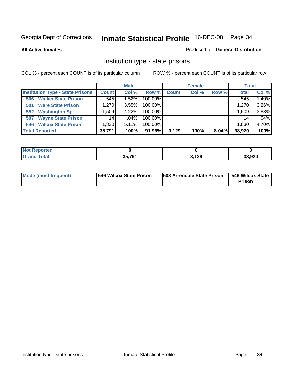**All Active Inmates**

#### Produced for **General Distribution**

### Institution type - state prisons

|                                         |              | <b>Male</b> |         |              | <b>Female</b> |       | <b>Total</b>       |       |
|-----------------------------------------|--------------|-------------|---------|--------------|---------------|-------|--------------------|-------|
| <b>Institution Type - State Prisons</b> | <b>Count</b> | Col %       | Row %   | <b>Count</b> | Col %         | Row % | <b>Total</b>       | Col % |
| <b>Walker State Prison</b><br>506       | 545          | 1.52%       | 100.00% |              |               |       | 545                | 1.40% |
| <b>Ware State Prison</b><br>501         | .270         | 3.55%       | 100.00% |              |               |       | 1,270              | 3.26% |
| <b>Washington Sp</b><br>552             | .509         | 4.22%       | 100.00% |              |               |       | 1,509              | 3.88% |
| <b>Wayne State Prison</b><br>507        | 14.          | $.04\%$     | 100.00% |              |               |       | 14                 | .04%  |
| <b>Wilcox State Prison</b><br>546       | 1,830        | 5.11%       | 100.00% |              |               |       | 1,830 <sub>1</sub> | 4.70% |
| <b>Total Reported</b>                   | 35,791       | 100%        | 91.96%  | 3,129        | 100%          | 8.04% | 38,920             | 100%  |

| oorted<br><b>NOT</b> |               |       |        |
|----------------------|---------------|-------|--------|
| <b>otal</b>          | 35 791<br>JJ. | 3,129 | 38,920 |

| 546 Wilcox State Prison<br>Mode (most frequent) | 508 Arrendale State Prison | <b>546 Wilcox State</b><br>Prison |
|-------------------------------------------------|----------------------------|-----------------------------------|
|-------------------------------------------------|----------------------------|-----------------------------------|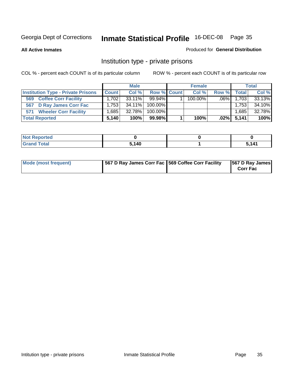**All Active Inmates**

#### Produced for **General Distribution**

### Institution type - private prisons

|                                           | <b>Male</b>  |           | <b>Female</b> |  |         | <b>Total</b> |               |        |
|-------------------------------------------|--------------|-----------|---------------|--|---------|--------------|---------------|--------|
| <b>Institution Type - Private Prisons</b> | <b>Count</b> | Col %     | Row % Count   |  | Col %   | Row %        | <b>Total</b>  | Col %  |
| <b>Coffee Corr Facility</b><br>569        | 1.702        | $33.11\%$ | $99.94\%$     |  | 100.00% | .06% ∐       | 1.703         | 33.13% |
| D Ray James Corr Fac<br>567               | 1.7531       | $34.11\%$ | $100.00\%$    |  |         |              | 1.753         | 34.10% |
| <b>Wheeler Corr Facility</b><br>571       | .685         | 32.78%    | $100.00\%$    |  |         |              | 1,685         | 32.78% |
| <b>Total Reported</b>                     | 5.140        | 100%      | 99.98%        |  | 100%    |              | $.02\%$ 5,141 | 100%   |

| rted<br>NOI                      |       |     |
|----------------------------------|-------|-----|
| <b>Total</b><br>$\mathbf{v}$ and | 5,140 | 111 |

| Mode (most frequent) | 1567 D Ray James Corr Fac 1569 Coffee Corr Facility |  | 567 D Ray James<br><b>Corr Fac</b> |
|----------------------|-----------------------------------------------------|--|------------------------------------|
|----------------------|-----------------------------------------------------|--|------------------------------------|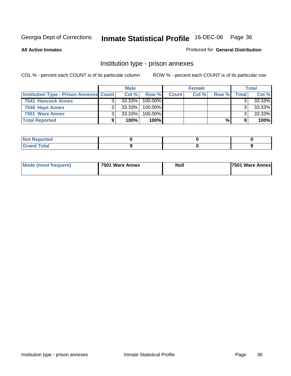**All Active Inmates**

#### Produced for **General Distribution**

### Institution type - prison annexes

|                                                | <b>Male</b> |           | <b>Female</b> |              |       | <b>Total</b> |       |        |
|------------------------------------------------|-------------|-----------|---------------|--------------|-------|--------------|-------|--------|
| <b>Institution Type - Prison Annexes Count</b> |             | Col%      | Row %         | <b>Count</b> | Col % | Row %        | Total | Col %  |
| 7541 Hancock Annex                             |             | 33.33%    | 100.00%       |              |       |              |       | 33.33% |
| 7540 Hays Annex                                |             | 33.33%    | $100.00\%$    |              |       |              |       | 33.33% |
| 7501 Ware Annex                                |             | $33.33\%$ | $100.00\%$    |              |       |              |       | 33.33% |
| <b>Total Reported</b>                          |             | 100%      | 100% <b>I</b> |              |       | %            |       | 100%   |

| rea<br>-- -                     |  |  |
|---------------------------------|--|--|
| المعامل<br>$- - - - - -$<br>--- |  |  |

| <b>Mode (most frequent)</b> | 7501 Ware Annex | Nuli | <b>7501 Ware Annexi</b> |
|-----------------------------|-----------------|------|-------------------------|
|-----------------------------|-----------------|------|-------------------------|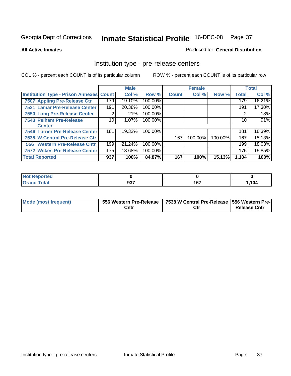#### **All Active Inmates**

#### Produced for **General Distribution**

### Institution type - pre-release centers

|                                                |     | <b>Male</b> |         |              | <b>Female</b> |         |              | <b>Total</b> |
|------------------------------------------------|-----|-------------|---------|--------------|---------------|---------|--------------|--------------|
| <b>Institution Type - Prison Annexes Count</b> |     | Col %       | Row %   | <b>Count</b> | Col %         | Row %   | <b>Total</b> | Col %        |
| 7507 Appling Pre-Release Ctr                   | 179 | 19.10%      | 100.00% |              |               |         | 179          | 16.21%       |
| 7521 Lamar Pre-Release Center                  | 191 | 20.38%      | 100.00% |              |               |         | 191          | 17.30%       |
| 7550 Long Pre-Release Center                   | 2   | .21%        | 100.00% |              |               |         | 2            | .18%         |
| 7543 Pelham Pre-Release                        | 10  | 1.07%       | 100.00% |              |               |         | 10           | .91%         |
| <b>Center</b>                                  |     |             |         |              |               |         |              |              |
| <b>7546 Turner Pre-Release Center</b>          | 181 | 19.32%      | 100.00% |              |               |         | 181          | 16.39%       |
| 7538 W Central Pre-Release Ctr                 |     |             |         | 167          | 100.00%       | 100.00% | 167          | 15.13%       |
| 556 Western Pre-Release Cntr                   | 199 | 21.24%      | 100.00% |              |               |         | 199          | 18.03%       |
| <b>7572 Wilkes Pre-Release Center</b>          | 175 | 18.68%      | 100.00% |              |               |         | 175          | 15.85%       |
| <b>Total Reported</b>                          | 937 | 100%        | 84.87%  | 167          | 100%          | 15.13%  | 1,104        | 100%         |

| <b>Not</b><br><b>Reported</b> |     |     |       |
|-------------------------------|-----|-----|-------|
| <b>Total</b>                  | 937 | 167 | 1,104 |

| Mode (most frequent) |      | 556 Western Pre-Release   7538 W Central Pre-Release   556 Western Pre- |                     |
|----------------------|------|-------------------------------------------------------------------------|---------------------|
|                      | Cntr |                                                                         | <b>Release Cntr</b> |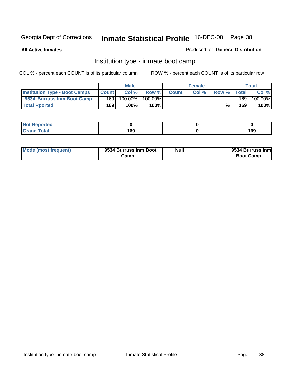**All Active Inmates**

#### Produced for **General Distribution**

### Institution type - inmate boot camp

|                                      |              | <b>Male</b> |            |              | <b>Female</b> |       |              | <b>Total</b> |
|--------------------------------------|--------------|-------------|------------|--------------|---------------|-------|--------------|--------------|
| <b>Institution Type - Boot Camps</b> | <b>Count</b> | Col %       | Row %      | <b>Count</b> | Col%          | Row % | <b>Total</b> | Col %        |
| 9534 Burruss Inm Boot Camp           | 169          | 100.00%     | $100.00\%$ |              |               |       | 169          | 100.00%      |
| <b>Total Rported</b>                 | 169          | 100%        | 100%       |              |               | $\%$  | 169          | 100%         |

| <b>rted</b><br>. |                  |                      |
|------------------|------------------|----------------------|
| $\sim$<br>$ -$   | ה ה<br>105<br>__ | A CO<br>ט ו<br>- - - |

| Mode (most frequent) | 9534 Burruss Inm Boot | Null | 9534 Burruss Inm |
|----------------------|-----------------------|------|------------------|
|                      | Camp                  |      | <b>Boot Camp</b> |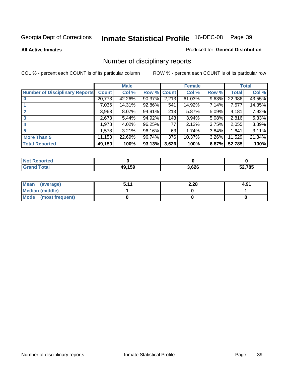#### **All Active Inmates**

#### Produced for **General Distribution**

# Number of disciplinary reports

|                                       |              | <b>Male</b> |        |              | <b>Female</b> |          |              | <b>Total</b> |
|---------------------------------------|--------------|-------------|--------|--------------|---------------|----------|--------------|--------------|
| <b>Number of Disciplinary Reports</b> | <b>Count</b> | Col %       | Row %  | <b>Count</b> | Col %         | Row %    | <b>Total</b> | Col %        |
|                                       | 20,773       | 42.26%      | 90.37% | 2,213        | $61.03\%$     | 9.63%    | 22,986       | 43.55%       |
|                                       | 7,036        | 14.31%      | 92.86% | 541          | 14.92%        | $7.14\%$ | 7,577        | 14.35%       |
| $\mathbf{2}$                          | 3,968        | $8.07\%$    | 94.91% | 213          | 5.87%         | $5.09\%$ | 4,181        | 7.92%        |
| 3                                     | 2,673        | 5.44%       | 94.92% | 143          | 3.94%         | $5.08\%$ | 2,816        | 5.33%        |
|                                       | 1,978        | $4.02\%$    | 96.25% | 77           | 2.12%         | 3.75%    | 2,055        | 3.89%        |
| 5                                     | 1,578        | $3.21\%$    | 96.16% | 63           | 1.74%         | 3.84%    | 1,641        | 3.11%        |
| <b>More Than 5</b>                    | 11,153       | 22.69%      | 96.74% | 376          | 10.37%        | $3.26\%$ | 11,529       | 21.84%       |
| <b>Total Reported</b>                 | 49,159       | 100%        | 93.13% | 3,626        | 100%          | 6.87%    | 52,785       | 100%         |

| N                   |                |       |        |
|---------------------|----------------|-------|--------|
| $\sim$ 10<br>______ | 10.150<br>11 L | 3,626 | 52.785 |

| Mean (average)       | 511 | 2.28 | 4.91 |
|----------------------|-----|------|------|
| Median (middle)      |     |      |      |
| Mode (most frequent) |     |      |      |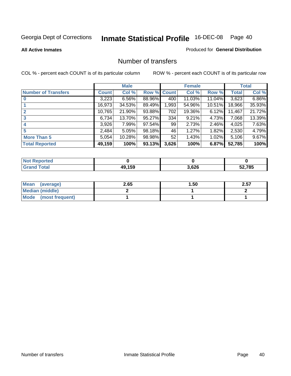#### **All Active Inmates**

#### Produced for **General Distribution**

### Number of transfers

|                            |         | <b>Male</b> |        |              | <b>Female</b> |          |              | <b>Total</b> |
|----------------------------|---------|-------------|--------|--------------|---------------|----------|--------------|--------------|
| <b>Number of Transfers</b> | Count l | Col %       | Row %  | <b>Count</b> | Col %         | Row %    | <b>Total</b> | Col %        |
|                            | 3,223   | $6.56\%$    | 88.96% | 400          | 11.03%        | 11.04%   | 3,623        | 6.86%        |
|                            | 16,973  | 34.53%      | 89.49% | ,993         | 54.96%        | 10.51%   | 18,966       | 35.93%       |
|                            | 10,765  | 21.90%      | 93.88% | 702          | 19.36%        | $6.12\%$ | 11,467       | 21.72%       |
| 3                          | 6,734   | 13.70%      | 95.27% | 334          | 9.21%         | 4.73%    | 7,068        | 13.39%       |
|                            | 3,926   | 7.99%       | 97.54% | 99           | 2.73%         | $2.46\%$ | 4,025        | 7.63%        |
| 5                          | 2,484   | 5.05%       | 98.18% | 46           | 1.27%         | 1.82%    | 2,530        | 4.79%        |
| <b>More Than 5</b>         | 5.054   | 10.28%      | 98.98% | 52           | 1.43%         | $1.02\%$ | 5,106        | 9.67%        |
| <b>Total Reported</b>      | 49,159  | 100%        | 93.13% | 3,626        | 100%          | 6.87%    | 52,785       | 100%         |

| N               |            |       |       |
|-----------------|------------|-------|-------|
| امەما<br>______ | <b>AEO</b> | 3,626 | 2,785 |

| Mean (average)       | 2.65 | 50. ا | 2.57 |
|----------------------|------|-------|------|
| Median (middle)      |      |       |      |
| Mode (most frequent) |      |       |      |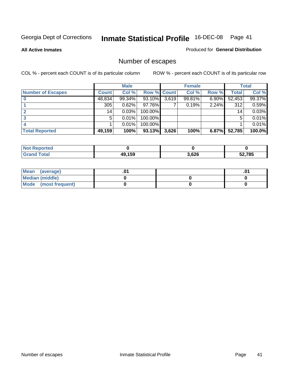**All Active Inmates**

### Produced for **General Distribution**

# Number of escapes

|                          |         | <b>Male</b> |                    |       | <b>Female</b> |          |        | <b>Total</b> |
|--------------------------|---------|-------------|--------------------|-------|---------------|----------|--------|--------------|
| <b>Number of Escapes</b> | Count l | Col %       | <b>Row % Count</b> |       | Col %         | Row %    | Total  | Col %        |
|                          | 48,834  | 99.34%      | 93.10%             | 3,619 | 99.81%        | $6.90\%$ | 52,453 | 99.37%       |
|                          | 305     | 0.62%       | 97.76%             |       | 0.19%         | 2.24%    | 312    | 0.59%        |
|                          | 14      | 0.03%       | 100.00%            |       |               |          | 14     | 0.03%        |
|                          | 5.      | 0.01%       | 100.00%            |       |               |          | 5      | 0.01%        |
|                          |         | 0.01%       | 100.00%            |       |               |          |        | 0.01%        |
| <b>Total Reported</b>    | 49,159  | 100%        | 93.13%             | 3,626 | 100%          | 6.87%    | 52,785 | 100.0%       |

| тео               |        |       |        |
|-------------------|--------|-------|--------|
| T <sub>ofol</sub> | 10 150 | 3,626 | 52,785 |

| <b>Mean</b><br>(average) |  | .0 |
|--------------------------|--|----|
| Median (middle)          |  |    |
| Mode (most frequent)     |  |    |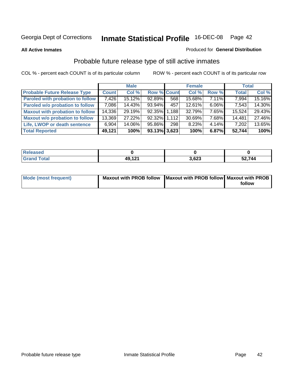**All Active Inmates**

#### Produced for **General Distribution**

# Probable future release type of still active inmates

|                                         |              | <b>Male</b> |                    |     | <b>Female</b> |          | <b>Total</b> |        |
|-----------------------------------------|--------------|-------------|--------------------|-----|---------------|----------|--------------|--------|
| <b>Probable Future Release Type</b>     | <b>Count</b> | Col %       | <b>Row % Count</b> |     | Col %         | Row %    | <b>Total</b> | Col %  |
| <b>Paroled with probation to follow</b> | 7,426        | $15.12\%$   | $92.89\%$          | 568 | 15.68%        | $7.11\%$ | 7,994        | 15.16% |
| Paroled w/o probation to follow         | 7,086        | 14.43%      | 93.94%             | 457 | $12.61\%$     | $6.06\%$ | 7,543        | 14.30% |
| <b>Maxout with probation to follow</b>  | 14,336       | 29.19%      | 92.35% 1.188       |     | 32.79%        | 7.65%    | 15,524       | 29.43% |
| <b>Maxout w/o probation to follow</b>   | 13,369       | 27.22%      | 92.32% 1.112       |     | 30.69%        | 7.68%    | 14,481       | 27.46% |
| Life, LWOP or death sentence            | 6,904        | 14.06%      | 95.86%             | 298 | 8.23%         | $4.14\%$ | 7,202        | 13.65% |
| <b>Total Reported</b>                   | 49,121       | 100%        | $93.13\%$ 3,623    |     | 100%          | 6.87%    | 52,744       | 100%   |

| Released                         |                   |       |        |
|----------------------------------|-------------------|-------|--------|
| <b>Total</b><br>Gra <sup>r</sup> | AQ 121<br>.<br>т. | 3,623 | 52,744 |

| Mode (most frequent) | Maxout with PROB follow Maxout with PROB follow Maxout with PROB |        |
|----------------------|------------------------------------------------------------------|--------|
|                      |                                                                  | follow |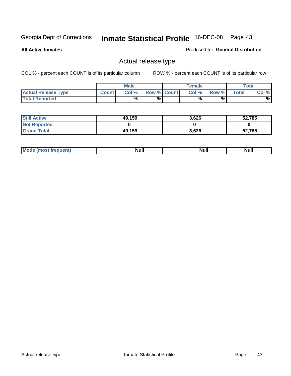**All Active Inmates**

#### Produced for **General Distribution**

### Actual release type

|                            |              | <b>Male</b> |                    | <b>Female</b> |       |       | Total |
|----------------------------|--------------|-------------|--------------------|---------------|-------|-------|-------|
| <b>Actual Release Type</b> | <b>Count</b> | Col %       | <b>Row % Count</b> | Col %1        | Row % | Total | Col % |
| <b>Total Reported</b>      |              | %           | %                  | %             | %     |       | %     |

| <b>Still Active</b> | 49,159 | 3,626 | 52,785 |
|---------------------|--------|-------|--------|
| <b>Not Reported</b> |        |       |        |
| <b>Grand Total</b>  | 49,159 | 3,626 | 52,785 |

| M<br>_____ | .<br>AU 1<br> | an d<br><u></u> | $\cdots$ |
|------------|---------------|-----------------|----------|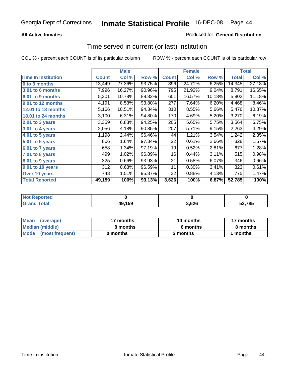#### **All Active Inmates**

#### Produced for **General Distribution**

### Time served in current (or last) institution

|                            |              | <b>Male</b> |        |              | <b>Female</b> |        |        | <b>Total</b> |
|----------------------------|--------------|-------------|--------|--------------|---------------|--------|--------|--------------|
| <b>Time In Institution</b> | <b>Count</b> | Col %       | Row %  | <b>Count</b> | Col %         | Row %  | Total  | Col %        |
| 0 to 3 months              | 13,449       | 27.36%      | 93.75% | 896          | 24.71%        | 6.25%  | 14,345 | 27.18%       |
| 3.01 to 6 months           | 7,996        | 16.27%      | 90.96% | 795          | 21.92%        | 9.04%  | 8,791  | 16.65%       |
| 6.01 to 9 months           | 5,301        | 10.78%      | 89.82% | 601          | 16.57%        | 10.18% | 5,902  | 11.18%       |
| 9.01 to 12 months          | 4,191        | 8.53%       | 93.80% | 277          | 7.64%         | 6.20%  | 4,468  | 8.46%        |
| 12.01 to 18 months         | 5,166        | 10.51%      | 94.34% | 310          | 8.55%         | 5.66%  | 5,476  | 10.37%       |
| <b>18.01 to 24 months</b>  | 3,100        | 6.31%       | 94.80% | 170          | 4.69%         | 5.20%  | 3,270  | 6.19%        |
| 2.01 to 3 years            | 3,359        | 6.83%       | 94.25% | 205          | 5.65%         | 5.75%  | 3,564  | 6.75%        |
| 3.01 to 4 years            | 2,056        | 4.18%       | 90.85% | 207          | 5.71%         | 9.15%  | 2,263  | 4.29%        |
| 4.01 to 5 years            | 1,198        | 2.44%       | 96.46% | 44           | 1.21%         | 3.54%  | 1,242  | 2.35%        |
| 5.01 to 6 years            | 806          | 1.64%       | 97.34% | 22           | 0.61%         | 2.66%  | 828    | 1.57%        |
| 6.01 to 7 years            | 658          | 1.34%       | 97.19% | 19           | 0.52%         | 2.81%  | 677    | 1.28%        |
| 7.01 to 8 years            | 499          | 1.02%       | 96.89% | 16           | 0.44%         | 3.11%  | 515    | 0.98%        |
| 8.01 to 9 years            | 325          | 0.66%       | 93.93% | 21           | 0.58%         | 6.07%  | 346    | 0.66%        |
| 9.01 to 10 years           | 312          | 0.63%       | 96.59% | 11           | 0.30%         | 3.41%  | 323    | 0.61%        |
| Over 10 years              | 743          | 1.51%       | 95.87% | 32           | 0.88%         | 4.13%  | 775    | 1.47%        |
| <b>Total Reported</b>      | 49,159       | 100%        | 93.13% | 3,626        | 100%          | 6.87%  | 52,785 | 100%         |

| orteo<br>N |        |      |        |
|------------|--------|------|--------|
| 'ntai      | 49,159 | ,626 | 52.785 |

| <b>Mean</b><br>(average) | 17 months | 14 months | 17 months |  |
|--------------------------|-----------|-----------|-----------|--|
| Median (middle)          | 8 months  | 6 months  | 8 months  |  |
| Mode (most frequent)     | 0 months  | 2 months  | months    |  |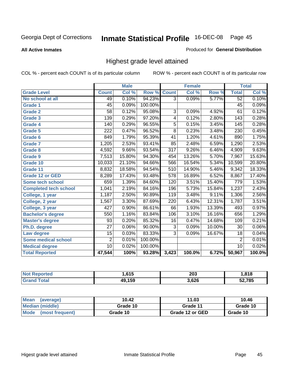**All Active Inmates**

#### Produced for **General Distribution**

### Highest grade level attained

|                              |                  | <b>Male</b> |         |                  | <b>Female</b> |        |                  | <b>Total</b> |
|------------------------------|------------------|-------------|---------|------------------|---------------|--------|------------------|--------------|
| <b>Grade Level</b>           | <b>Count</b>     | Col %       | Row %   | <b>Count</b>     | Col %         | Row %  | <b>Total</b>     | Col %        |
| No school at all             | 49               | 0.10%       | 94.23%  | $\overline{3}$   | 0.09%         | 5.77%  | 52               | 0.10%        |
| <b>Grade 1</b>               | $\overline{45}$  | 0.09%       | 100.00% |                  |               |        | $\overline{45}$  | 0.09%        |
| <b>Grade 2</b>               | $\overline{58}$  | 0.12%       | 95.08%  | 3                | 0.09%         | 4.92%  | 61               | 0.12%        |
| <b>Grade 3</b>               | 139              | 0.29%       | 97.20%  | 4                | 0.12%         | 2.80%  | 143              | 0.28%        |
| <b>Grade 4</b>               | 140              | 0.29%       | 96.55%  | $\overline{5}$   | 0.15%         | 3.45%  | 145              | 0.28%        |
| Grade 5                      | $\overline{222}$ | 0.47%       | 96.52%  | $\overline{8}$   | 0.23%         | 3.48%  | $\overline{230}$ | 0.45%        |
| Grade 6                      | 849              | 1.79%       | 95.39%  | $\overline{41}$  | 1.20%         | 4.61%  | 890              | 1.75%        |
| <b>Grade 7</b>               | 1,205            | 2.53%       | 93.41%  | 85               | 2.48%         | 6.59%  | 1,290            | 2.53%        |
| <b>Grade 8</b>               | 4,592            | 9.66%       | 93.54%  | $\overline{317}$ | 9.26%         | 6.46%  | 4,909            | 9.63%        |
| Grade 9                      | 7,513            | 15.80%      | 94.30%  | 454              | 13.26%        | 5.70%  | 7,967            | 15.63%       |
| Grade 10                     | 10,033           | 21.10%      | 94.66%  | 566              | 16.54%        | 5.34%  | 10,599           | 20.80%       |
| Grade 11                     | 8,832            | 18.58%      | 94.54%  | 510              | 14.90%        | 5.46%  | 9,342            | 18.33%       |
| <b>Grade 12 or GED</b>       | 8,289            | 17.43%      | 93.48%  | 578              | 16.89%        | 6.52%  | 8,867            | 17.40%       |
| <b>Some tech school</b>      | 659              | 1.39%       | 84.60%  | 120              | 3.51%         | 15.40% | 779              | 1.53%        |
| <b>Completed tech school</b> | 1,041            | 2.19%       | 84.16%  | 196              | 5.73%         | 15.84% | 1,237            | 2.43%        |
| College, 1 year              | 1,187            | 2.50%       | 90.89%  | 119              | 3.48%         | 9.11%  | 1,306            | 2.56%        |
| College, 2 year              | 1,567            | 3.30%       | 87.69%  | 220              | 6.43%         | 12.31% | 1,787            | 3.51%        |
| College, 3 year              | 427              | 0.90%       | 86.61%  | 66               | 1.93%         | 13.39% | 493              | 0.97%        |
| <b>Bachelor's degree</b>     | 550              | 1.16%       | 83.84%  | 106              | 3.10%         | 16.16% | 656              | 1.29%        |
| <b>Master's degree</b>       | 93               | 0.20%       | 85.32%  | 16               | 0.47%         | 14.68% | 109              | 0.21%        |
| Ph.D. degree                 | $\overline{27}$  | 0.06%       | 90.00%  | $\overline{3}$   | 0.09%         | 10.00% | 30               | 0.06%        |
| Law degree                   | $\overline{15}$  | 0.03%       | 83.33%  | $\overline{3}$   | 0.09%         | 16.67% | $\overline{18}$  | 0.04%        |
| <b>Some medical school</b>   | $\overline{2}$   | 0.01%       | 100.00% |                  |               |        | $\overline{2}$   | 0.01%        |
| <b>Medical degree</b>        | $\overline{10}$  | 0.02%       | 100.00% |                  |               |        | 10               | 0.02%        |
| <b>Total Reported</b>        | 47,544           | 100%        | 93.28%  | 3,423            | 100.0%        | 6.72%  | 50,967           | 100.0%       |

| <b>615</b><br>. . | מחר<br>∠ບວ | 040          |
|-------------------|------------|--------------|
| 1 5 Q             | しんけん       | 52.785<br>u. |

| <b>Mean</b><br>(average)       | 10.42    | 11.03           | 10.46    |
|--------------------------------|----------|-----------------|----------|
| Median (middle)                | Grade 10 | Grade 11        | Grade 10 |
| <b>Mode</b><br>(most frequent) | Grade 10 | Grade 12 or GED | Grade 10 |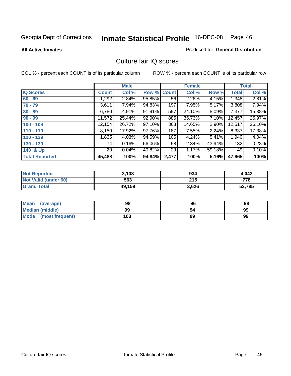#### **All Active Inmates**

### Produced for **General Distribution**

### Culture fair IQ scores

|                       |                 | <b>Male</b> |        |              | <b>Female</b> |          |              | <b>Total</b> |
|-----------------------|-----------------|-------------|--------|--------------|---------------|----------|--------------|--------------|
| <b>IQ Scores</b>      | <b>Count</b>    | Col %       | Row %  | <b>Count</b> | Col %         | Row %    | <b>Total</b> | Col %        |
| $60 - 69$             | 1,292           | 2.84%       | 95.85% | 56           | 2.26%         | 4.15%    | 1,348        | 2.81%        |
| $70 - 79$             | 3,611           | 7.94%       | 94.83% | 197          | 7.95%         | 5.17%    | 3,808        | 7.94%        |
| $80 - 89$             | 6,780           | 14.91%      | 91.91% | 597          | 24.10%        | $8.09\%$ | 7,377        | 15.38%       |
| $90 - 99$             | 11,572          | 25.44%      | 92.90% | 885          | 35.73%        | 7.10%    | 12,457       | 25.97%       |
| $100 - 109$           | 12,154          | 26.72%      | 97.10% | 363          | 14.65%        | 2.90%    | 12,517       | 26.10%       |
| $110 - 119$           | 8,150           | 17.92%      | 97.76% | 187          | 7.55%         | 2.24%    | 8,337        | 17.38%       |
| $120 - 129$           | 1,835           | 4.03%       | 94.59% | 105          | 4.24%         | $5.41\%$ | 1,940        | 4.04%        |
| $130 - 139$           | 74              | 0.16%       | 56.06% | 58           | 2.34%         | 43.94%   | 132          | 0.28%        |
| 140 & Up              | 20 <sub>1</sub> | 0.04%       | 40.82% | 29           | 1.17%         | 59.18%   | 49           | 0.10%        |
| <b>Total Reported</b> | 45,488          | 100%        | 94.84% | 2,477        | 100%          | 5.16%    | 47,965       | 100%         |

| <b>Not Reported</b>  | 3,108  | 934   | 4,042  |
|----------------------|--------|-------|--------|
| Not Valid (under 60) | 563    | 215   | 778    |
| <b>Grand Total</b>   | 49,159 | 3,626 | 52,785 |

| <b>Mean</b><br>(average) | 98  | 96 | 98 |
|--------------------------|-----|----|----|
| Median (middle)          | 99  | 94 | 99 |
| Mode<br>(most frequent)  | 103 | 99 | 99 |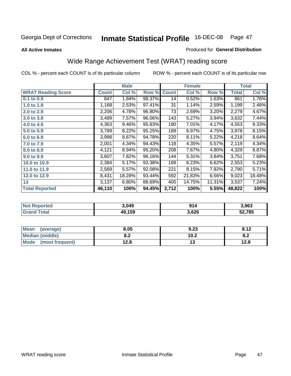#### **All Active Inmates**

#### Produced for **General Distribution**

# Wide Range Achievement Test (WRAT) reading score

|                           |              | <b>Male</b> |        |              | <b>Female</b> |        |              | <b>Total</b> |
|---------------------------|--------------|-------------|--------|--------------|---------------|--------|--------------|--------------|
| <b>WRAT Reading Score</b> | <b>Count</b> | Col %       | Row %  | <b>Count</b> | Col %         | Row %  | <b>Total</b> | Col %        |
| 0.1 to 0.9                | 847          | 1.84%       | 98.37% | 14           | 0.52%         | 1.63%  | 861          | 1.76%        |
| 1.0 to 1.9                | 1,168        | 2.53%       | 97.41% | 31           | 1.14%         | 2.59%  | 1,199        | 2.46%        |
| 2.0 to 2.9                | 2,206        | 4.78%       | 96.80% | 73           | 2.69%         | 3.20%  | 2,279        | 4.67%        |
| 3.0 to 3.9                | 3,489        | 7.57%       | 96.06% | 143          | 5.27%         | 3.94%  | 3,632        | 7.44%        |
| 4.0 to 4.9                | 4,363        | 9.46%       | 95.83% | 190          | 7.01%         | 4.17%  | 4,553        | 9.33%        |
| 5.0 to 5.9                | 3,789        | 8.22%       | 95.25% | 189          | 6.97%         | 4.75%  | 3,978        | 8.15%        |
| 6.0 to 6.9                | 3,998        | 8.67%       | 94.78% | 220          | 8.11%         | 5.22%  | 4,218        | 8.64%        |
| 7.0 to 7.9                | 2,001        | 4.34%       | 94.43% | 118          | 4.35%         | 5.57%  | 2,119        | 4.34%        |
| 8.0 to 8.9                | 4,121        | 8.94%       | 95.20% | 208          | 7.67%         | 4.80%  | 4,329        | 8.87%        |
| 9.0 to 9.9                | 3,607        | 7.82%       | 96.16% | 144          | 5.31%         | 3.84%  | 3,751        | 7.68%        |
| 10.0 to 10.9              | 2,384        | 5.17%       | 93.38% | 169          | 6.23%         | 6.62%  | 2,553        | 5.23%        |
| 11.0 to 11.9              | 2,569        | 5.57%       | 92.08% | 221          | 8.15%         | 7.92%  | 2,790        | 5.71%        |
| 12.0 to 12.9              | 8,431        | 18.28%      | 93.44% | 592          | 21.83%        | 6.56%  | 9,023        | 18.48%       |
| 13                        | 3,137        | 6.80%       | 88.69% | 400          | 14.75%        | 11.31% | 3,537        | 7.24%        |
| <b>Total Reported</b>     | 46,110       | 100%        | 94.45% | 2,712        | 100%          | 5.55%  | 48,822       | 100%         |

| n er | 3.049          | <b>04</b> | 3.963 |
|------|----------------|-----------|-------|
| . Gr | 10 150<br>. JJ | 3,626     | .785  |

| <b>Mean</b><br>(average) | 8.05       | 9.23 | 9.12<br>O.12 |
|--------------------------|------------|------|--------------|
| Median (middle)          | י ס<br>0.Z | 10.2 | o.z          |
| Mode (most frequent)     | 12.8       | ں ו  | 12.8         |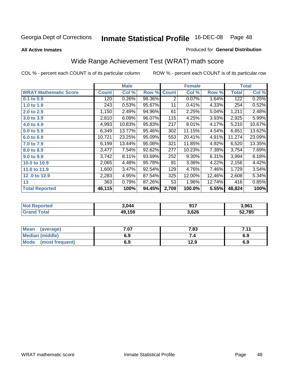**All Active Inmates**

#### Produced for **General Distribution**

# Wide Range Achievement Test (WRAT) math score

|                              |              | <b>Male</b> |        |              | <b>Female</b> |        |              | <b>Total</b> |
|------------------------------|--------------|-------------|--------|--------------|---------------|--------|--------------|--------------|
| <b>WRAT Mathematic Score</b> | <b>Count</b> | Col %       | Row %  | <b>Count</b> | Col %         | Row %  | <b>Total</b> | Col %        |
| 0.1 to 0.9                   | 120          | 0.26%       | 98.36% | 2            | 0.07%         | 1.64%  | 122          | 0.25%        |
| 1.0 to 1.9                   | 243          | 0.53%       | 95.67% | 11           | 0.41%         | 4.33%  | 254          | 0.52%        |
| 2.0 to 2.9                   | 1,150        | 2.49%       | 94.96% | 61           | 2.25%         | 5.04%  | 1,211        | 2.48%        |
| 3.0 to 3.9                   | 2,810        | 6.09%       | 96.07% | 115          | 4.25%         | 3.93%  | 2,925        | 5.99%        |
| 4.0 to 4.9                   | 4,993        | 10.83%      | 95.83% | 217          | 8.01%         | 4.17%  | 5,210        | 10.67%       |
| 5.0 to 5.9                   | 6,349        | 13.77%      | 95.46% | 302          | 11.15%        | 4.54%  | 6,651        | 13.62%       |
| 6.0 to 6.9                   | 10,721       | 23.25%      | 95.09% | 553          | 20.41%        | 4.91%  | 11,274       | 23.09%       |
| 7.0 to 7.9                   | 6,199        | 13.44%      | 95.08% | 321          | 11.85%        | 4.92%  | 6,520        | 13.35%       |
| 8.0 to 8.9                   | 3,477        | 7.54%       | 92.62% | 277          | 10.23%        | 7.38%  | 3,754        | 7.69%        |
| 9.0 to 9.9                   | 3,742        | 8.11%       | 93.69% | 252          | 9.30%         | 6.31%  | 3,994        | 8.18%        |
| 10.0 to 10.9                 | 2,065        | 4.48%       | 95.78% | 91           | 3.36%         | 4.22%  | 2,156        | 4.42%        |
| 11.0 to 11.9                 | 1,600        | $3.47\%$    | 92.54% | 129          | 4.76%         | 7.46%  | 1,729        | 3.54%        |
| 12.0 to 12.9                 | 2,283        | 4.95%       | 87.54% | 325          | 12.00%        | 12.46% | 2,608        | 5.34%        |
| 13                           | 363          | 0.79%       | 87.26% | 53           | 1.96%         | 12.74% | 416          | 0.85%        |
| <b>Total Reported</b>        | 46,115       | 100%        | 94.45% | 2,709        | 100.0%        | 5.55%  | 48,824       | 100%         |

| <b>orted</b><br>NO.           | 3.044  | 047<br>$\mathbf{v}$ . | 3,961 |
|-------------------------------|--------|-----------------------|-------|
| <b>c</b> otal<br><b>Grand</b> | 49,159 | 3,626                 | 2,785 |

| <b>Mean</b><br>(average)       | = פ<br>,ט | 7.83 | $-11$<br>. |
|--------------------------------|-----------|------|------------|
| <b>Median (middle)</b>         | 6.9       |      | 6.9        |
| <b>Mode</b><br>(most frequent) | 6.9       | 12.9 | 6.9        |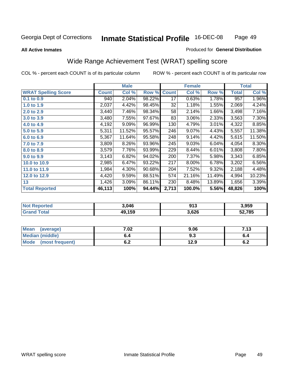#### **All Active Inmates**

#### Produced for **General Distribution**

### Wide Range Achievement Test (WRAT) spelling score

|                            |              | <b>Male</b> |        |              | <b>Female</b> |        |              | <b>Total</b> |
|----------------------------|--------------|-------------|--------|--------------|---------------|--------|--------------|--------------|
| <b>WRAT Spelling Score</b> | <b>Count</b> | Col %       | Row %  | <b>Count</b> | Col %         | Row %  | <b>Total</b> | Col %        |
| 0.1 to 0.9                 | 940          | 2.04%       | 98.22% | 17           | 0.63%         | 1.78%  | 957          | 1.96%        |
| 1.0 to 1.9                 | 2,037        | 4.42%       | 98.45% | 32           | 1.18%         | 1.55%  | 2,069        | 4.24%        |
| 2.0 to 2.9                 | 3,440        | 7.46%       | 98.34% | 58           | 2.14%         | 1.66%  | 3,498        | 7.16%        |
| 3.0 to 3.9                 | 3,480        | 7.55%       | 97.67% | 83           | 3.06%         | 2.33%  | 3,563        | 7.30%        |
| 4.0 to 4.9                 | 4,192        | 9.09%       | 96.99% | 130          | 4.79%         | 3.01%  | 4,322        | 8.85%        |
| 5.0 to 5.9                 | 5,311        | 11.52%      | 95.57% | 246          | 9.07%         | 4.43%  | 5,557        | 11.38%       |
| 6.0 to 6.9                 | 5,367        | 11.64%      | 95.58% | 248          | 9.14%         | 4.42%  | 5,615        | 11.50%       |
| 7.0 to 7.9                 | 3,809        | 8.26%       | 93.96% | 245          | 9.03%         | 6.04%  | 4,054        | 8.30%        |
| 8.0 to 8.9                 | 3,579        | 7.76%       | 93.99% | 229          | 8.44%         | 6.01%  | 3,808        | 7.80%        |
| 9.0 to 9.9                 | 3,143        | 6.82%       | 94.02% | 200          | 7.37%         | 5.98%  | 3,343        | 6.85%        |
| 10.0 to 10.9               | 2,985        | 6.47%       | 93.22% | 217          | 8.00%         | 6.78%  | 3,202        | 6.56%        |
| 11.0 to 11.9               | 1,984        | 4.30%       | 90.68% | 204          | 7.52%         | 9.32%  | 2,188        | 4.48%        |
| 12.0 to 12.9               | 4,420        | 9.59%       | 88.51% | 574          | 21.16%        | 11.49% | 4,994        | 10.23%       |
| 13                         | 1,426        | 3.09%       | 86.11% | 230          | 8.48%         | 13.89% | 1,656        | 3.39%        |
| <b>Total Reported</b>      | 46,113       | 100%        | 94.44% | 2,713        | 100.0%        | 5.56%  | 48,826       | 100%         |

| NO | 3,046  | ด1 ว<br>J I J | 3,959  |
|----|--------|---------------|--------|
|    | 49,159 | 3,626         | 52,785 |

| <b>Mean</b><br>(average)       | 7.02               | 9.06 | - 42<br>,,,J |
|--------------------------------|--------------------|------|--------------|
| <b>Median (middle)</b>         | b.4                | ৬.১  | o.4          |
| <b>Mode</b><br>(most frequent) | <u>. . </u><br>υ.Ζ | 12.9 | ν.Ζ          |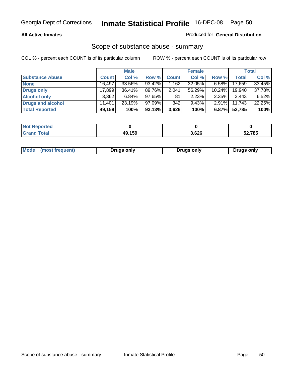#### **All Active Inmates**

#### Produced for **General Distribution**

### Scope of substance abuse - summary

|                        |              | <b>Male</b> |        |              | <b>Female</b> |           |              | <b>Total</b> |
|------------------------|--------------|-------------|--------|--------------|---------------|-----------|--------------|--------------|
| <b>Substance Abuse</b> | <b>Count</b> | Col %       | Row %  | <b>Count</b> | Col %         | Row %     | <b>Total</b> | Col %        |
| <b>None</b>            | 16,497       | 33.56%      | 93.42% | .162         | 32.05%        | $6.58\%$  | 17,659       | 33.45%       |
| <b>Drugs only</b>      | 17.899       | $36.41\%$   | 89.76% | 2,041        | 56.29%        | $10.24\%$ | 19.940       | 37.78%       |
| <b>Alcohol only</b>    | 3.362        | $6.84\%$    | 97.65% | 81           | 2.23%         | $2.35\%$  | 3,443        | 6.52%        |
| Drugs and alcohol      | 11.401       | 23.19%      | 97.09% | 342          | 9.43%         | $2.91\%$  | 11,743       | 22.25%       |
| <b>Total Reported</b>  | 49,159       | 100%        | 93.13% | 3,626        | 100%          | 6.87%     | 52,785       | 100%         |

| <b>Not Reported</b>   |        |       |        |
|-----------------------|--------|-------|--------|
| Гоtal<br><b>Grand</b> | 49,159 | 3,626 | 52,785 |

|  | Mode<br>(most frequent) | Drugs only | <b>Drugs only</b> | <b>Drugs only</b> |
|--|-------------------------|------------|-------------------|-------------------|
|--|-------------------------|------------|-------------------|-------------------|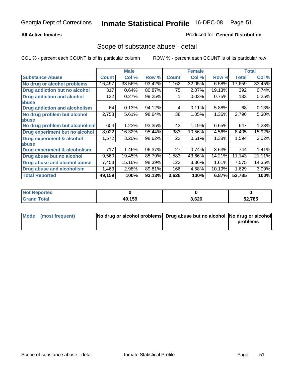#### **All Active Inmates**

#### Produced for **General Distribution**

### Scope of substance abuse - detail

|                                      |              | <b>Male</b> |        |              | <b>Female</b> |        |              | <b>Total</b> |
|--------------------------------------|--------------|-------------|--------|--------------|---------------|--------|--------------|--------------|
| <b>Substance Abuse</b>               | <b>Count</b> | Col %       | Row %  | <b>Count</b> | Col %         | Row %  | <b>Total</b> | Col %        |
| No drug or alcohol problems          | 16,497       | 33.56%      | 93.42% | 1,162        | 32.05%        | 6.58%  | 17,659       | 33.45%       |
| Drug addiction but no alcohol        | 317          | 0.64%       | 80.87% | 75           | 2.07%         | 19.13% | 392          | 0.74%        |
| <b>Drug addiction and alcohol</b>    | 132          | 0.27%       | 99.25% |              | 0.03%         | 0.75%  | 133          | 0.25%        |
| <b>labuse</b>                        |              |             |        |              |               |        |              |              |
| <b>Drug addiction and alcoholism</b> | 64           | 0.13%       | 94.12% | 4            | 0.11%         | 5.88%  | 68           | 0.13%        |
| No drug problem but alcohol          | 2,758        | 5.61%       | 98.64% | 38           | 1.05%         | 1.36%  | 2,796        | 5.30%        |
| abuse                                |              |             |        |              |               |        |              |              |
| No drug problem but alcoholism       | 604          | 1.23%       | 93.35% | 43           | 1.19%         | 6.65%  | 647          | 1.23%        |
| Drug experiment but no alcohol       | 8,022        | 16.32%      | 95.44% | 383          | 10.56%        | 4.56%  | 8,405        | 15.92%       |
| <b>Drug experiment &amp; alcohol</b> | 1,572        | 3.20%       | 98.62% | 22           | 0.61%         | 1.38%  | 1,594        | 3.02%        |
| abuse                                |              |             |        |              |               |        |              |              |
| Drug experiment & alcoholism         | 717          | 1.46%       | 96.37% | 27           | 0.74%         | 3.63%  | 744          | 1.41%        |
| Drug abuse but no alcohol            | 9,560        | 19.45%      | 85.79% | 1,583        | 43.66%        | 14.21% | 11,143       | 21.11%       |
| Drug abuse and alcohol abuse         | 7,453        | 15.16%      | 98.39% | 122          | 3.36%         | 1.61%  | 7,575        | 14.35%       |
| Drug abuse and alcoholism            | 1,463        | 2.98%       | 89.81% | 166          | 4.58%         | 10.19% | 1,629        | 3.09%        |
| <b>Total Reported</b>                | 49,159       | 100%        | 93.13% | 3,626        | 100%          | 6.87%  | 52,785       | 100%         |

| <b>Not Reported</b> |        |       |        |
|---------------------|--------|-------|--------|
| <b>otal</b>         | 49.159 | 3,626 | 52,785 |

| Mode (most frequent) | No drug or alcohol problems Drug abuse but no alcohol No drug or alcohol |          |
|----------------------|--------------------------------------------------------------------------|----------|
|                      |                                                                          | problems |
|                      |                                                                          |          |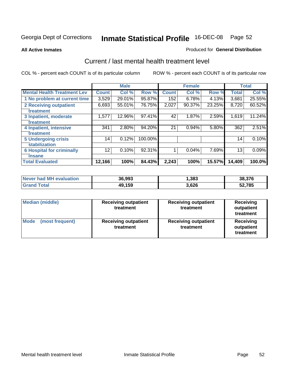#### **All Active Inmates**

#### Produced for **General Distribution**

### Current / last mental health treatment level

|                                    |              | <b>Male</b> |         |              | <b>Female</b> |        |              | <b>Total</b> |
|------------------------------------|--------------|-------------|---------|--------------|---------------|--------|--------------|--------------|
| <b>Mental Health Treatment Lev</b> | <b>Count</b> | Col %       | Row %   | <b>Count</b> | Col %         | Row %  | <b>Total</b> | Col %        |
| 1 No problem at current time       | 3,529        | 29.01%      | 95.87%  | 152          | 6.78%         | 4.13%  | 3,681        | 25.55%       |
| 2 Receiving outpatient             | 6,693        | 55.01%      | 76.75%  | 2,027        | 90.37%        | 23.25% | 8,720        | 60.52%       |
| treatment                          |              |             |         |              |               |        |              |              |
| 3 Inpatient, moderate              | 1,577        | 12.96%      | 97.41%  | 42           | 1.87%         | 2.59%  | 1,619        | 11.24%       |
| treatment                          |              |             |         |              |               |        |              |              |
| 4 Inpatient, intensive             | 341          | 2.80%       | 94.20%  | 21           | 0.94%         | 5.80%  | 362          | 2.51%        |
| treatment                          |              |             |         |              |               |        |              |              |
| <b>5 Undergoing crisis</b>         | 14           | 0.12%       | 100.00% |              |               |        | 14           | 0.10%        |
| stabilization                      |              |             |         |              |               |        |              |              |
| <b>6 Hospital for criminally</b>   | 12           | 0.10%       | 92.31%  | 1            | 0.04%         | 7.69%  | 13           | 0.09%        |
| insane                             |              |             |         |              |               |        |              |              |
| <b>Total Evaluated</b>             | 12,166       | 100%        | 84.43%  | 2,243        | 100%          | 15.57% | 14,409       | 100.0%       |

| Never had MH evaluation | 36,993 | ,383  | 38,376 |
|-------------------------|--------|-------|--------|
| <b>Grand Total</b>      | 49,159 | 3,626 | 52,785 |

| <b>Median (middle)</b>         | <b>Receiving outpatient</b><br>treatment | <b>Receiving outpatient</b><br>treatment | <b>Receiving</b><br>outpatient<br>treatment |  |
|--------------------------------|------------------------------------------|------------------------------------------|---------------------------------------------|--|
| <b>Mode</b><br>(most frequent) | <b>Receiving outpatient</b><br>treatment | <b>Receiving outpatient</b><br>treatment | <b>Receiving</b><br>outpatient<br>treatment |  |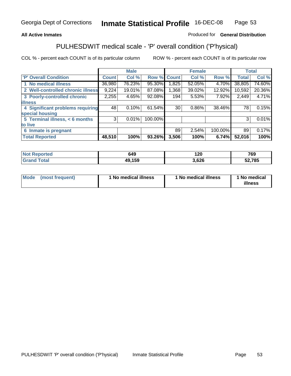#### **All Active Inmates**

#### Produced for **General Distribution**

# PULHESDWIT medical scale - 'P' overall condition ('P'hysical)

|                                   |              | <b>Male</b> |         |                 | <b>Female</b> |         |              | <b>Total</b> |
|-----------------------------------|--------------|-------------|---------|-----------------|---------------|---------|--------------|--------------|
| 'P' Overall Condition             | <b>Count</b> | Col %       | Row %   | <b>Count</b>    | Col %         | Row %   | <b>Total</b> | Col %        |
| 1 No medical illness              | 36,980       | 76.23%      | 95.30%  | 1,825           | 52.05%        | 4.70%   | 38,805       | 74.60%       |
| 2 Well-controlled chronic illness | 9,224        | 19.01%      | 87.08%  | 1,368           | 39.02%        | 12.92%  | 10,592       | 20.36%       |
| 3 Poorly-controlled chronic       | 2,255        | 4.65%       | 92.08%  | 194             | 5.53%         | 7.92%   | 2,449        | 4.71%        |
| <b>illness</b>                    |              |             |         |                 |               |         |              |              |
| 4 Significant problems requiring  | 48           | 0.10%       | 61.54%  | 30 <sub>1</sub> | $0.86\%$      | 38.46%  | 78           | 0.15%        |
| special housing                   |              |             |         |                 |               |         |              |              |
| 5 Terminal illness, < 6 months    | 3            | 0.01%       | 100.00% |                 |               |         | 3            | 0.01%        |
| to live                           |              |             |         |                 |               |         |              |              |
| 6 Inmate is pregnant              |              |             |         | 89              | 2.54%         | 100.00% | 89           | 0.17%        |
| <b>Total Reported</b>             | 48,510       | 100%        | 93.26%  | 3,506           | 100%          | 6.74%   | 52,016       | 100%         |

| <b>Not Reported</b> | 649    | 120   | 769    |
|---------------------|--------|-------|--------|
| <b>Grand Total</b>  | 49,159 | 3.626 | 52,785 |

| Mode (most frequent) | 1 No medical illness | 1 No medical illness | 1 No medical |
|----------------------|----------------------|----------------------|--------------|
|                      |                      |                      | illness      |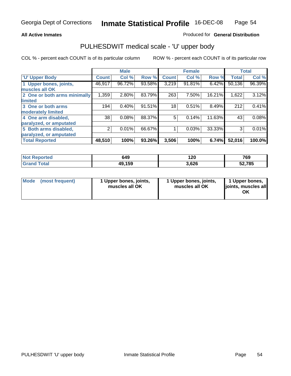#### **All Active Inmates**

#### Produced for **General Distribution**

### PULHESDWIT medical scale - 'U' upper body

|                              |              | <b>Male</b> |        |              | <b>Female</b> |        |              | <b>Total</b> |
|------------------------------|--------------|-------------|--------|--------------|---------------|--------|--------------|--------------|
| <b>U' Upper Body</b>         | <b>Count</b> | Col %       | Row %  | <b>Count</b> | Col %         | Row %  | <b>Total</b> | Col %        |
| 1 Upper bones, joints,       | 46,917       | 96.72%      | 93.58% | 3,219        | 91.81%        | 6.42%  | 50,136       | 96.39%       |
| muscles all OK               |              |             |        |              |               |        |              |              |
| 2 One or both arms minimally | 1,359        | 2.80%       | 83.79% | 263          | 7.50%         | 16.21% | 1,622        | 3.12%        |
| limited                      |              |             |        |              |               |        |              |              |
| 3 One or both arms           | 194          | 0.40%       | 91.51% | 18           | 0.51%         | 8.49%  | 212          | 0.41%        |
| moderately limited           |              |             |        |              |               |        |              |              |
| 4 One arm disabled,          | 38           | 0.08%       | 88.37% | 5            | 0.14%         | 11.63% | 43           | 0.08%        |
| paralyzed, or amputated      |              |             |        |              |               |        |              |              |
| 5 Both arms disabled,        | 2            | 0.01%       | 66.67% |              | 0.03%         | 33.33% | 3            | 0.01%        |
| paralyzed, or amputated      |              |             |        |              |               |        |              |              |
| <b>Total Reported</b>        | 48,510       | 100%        | 93.26% | 3,506        | 100%          | 6.74%  | 52,016       | 100.0%       |

| rted<br>NO.        | 649    | חר 1<br>I ZU | 769    |
|--------------------|--------|--------------|--------|
| <b>ota</b><br>. Gr | 49,159 | 3,626<br>^   | 52,785 |

| <b>Mode</b> | (most frequent) | 1 Upper bones, joints,<br>muscles all OK | 1 Upper bones, joints,<br>muscles all OK | 1 Upper bones,<br>joints, muscles all<br>ΟK |
|-------------|-----------------|------------------------------------------|------------------------------------------|---------------------------------------------|
|-------------|-----------------|------------------------------------------|------------------------------------------|---------------------------------------------|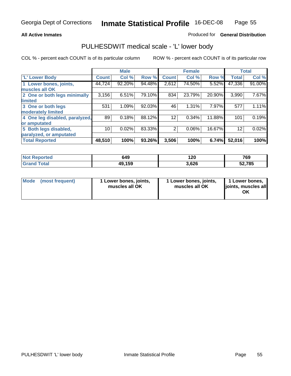#### **All Active Inmates**

#### Produced for **General Distribution**

### PULHESDWIT medical scale - 'L' lower body

|                                |              | <b>Male</b> |        |                | <b>Female</b> |        |              | <b>Total</b> |
|--------------------------------|--------------|-------------|--------|----------------|---------------|--------|--------------|--------------|
| 'L' Lower Body                 | <b>Count</b> | Col %       | Row %  | <b>Count</b>   | Col %         | Row %  | <b>Total</b> | Col %        |
| 1 Lower bones, joints,         | 44,724       | 92.20%      | 94.48% | 2,612          | 74.50%        | 5.52%  | 47,336       | 91.00%       |
| muscles all OK                 |              |             |        |                |               |        |              |              |
| 2 One or both legs minimally   | 3,156        | 6.51%       | 79.10% | 834            | 23.79%        | 20.90% | 3,990        | 7.67%        |
| limited                        |              |             |        |                |               |        |              |              |
| 3 One or both legs             | 531          | 1.09%       | 92.03% | 46             | 1.31%         | 7.97%  | 577          | 1.11%        |
| moderately limited             |              |             |        |                |               |        |              |              |
| 4 One leg disabled, paralyzed, | 89           | 0.18%       | 88.12% | 12             | 0.34%         | 11.88% | 101          | 0.19%        |
| or amputated                   |              |             |        |                |               |        |              |              |
| 5 Both legs disabled,          | 10           | 0.02%       | 83.33% | $\overline{2}$ | 0.06%         | 16.67% | 12           | 0.02%        |
| paralyzed, or amputated        |              |             |        |                |               |        |              |              |
| <b>Total Reported</b>          | 48,510       | 100%        | 93.26% | 3,506          | 100%          | 6.74%  | 52,016       | 100%         |

| Not F<br>Reported     | 649    | חר 1<br>I ZU | 769    |
|-----------------------|--------|--------------|--------|
| ⊺ota⊦<br><b>Grand</b> | 49,159 | 3,626<br>^   | 52,785 |

|  | Mode (most frequent) | 1 Lower bones, joints,<br>muscles all OK | 1 Lower bones, joints,<br>muscles all OK | 1 Lower bones,<br>joints, muscles all<br>OK |
|--|----------------------|------------------------------------------|------------------------------------------|---------------------------------------------|
|--|----------------------|------------------------------------------|------------------------------------------|---------------------------------------------|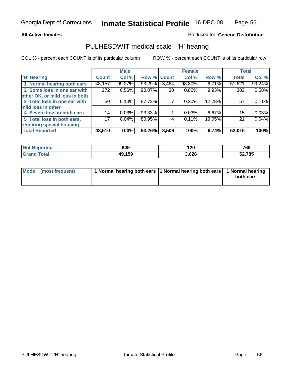#### **All Active Inmates**

#### Produced for **General Distribution**

### PULHESDWIT medical scale - 'H' hearing

|                                |                 | <b>Male</b> |             |                 | <b>Female</b> |        | <b>Total</b> |        |
|--------------------------------|-----------------|-------------|-------------|-----------------|---------------|--------|--------------|--------|
| <b>H'</b> Hearing              | <b>Count</b>    | Col %       | Row % Count |                 | Col %         | Row %  | <b>Total</b> | Col %  |
| 1 Normal hearing both ears     | 48,157          | 99.27%      | 93.29%      | 3,464           | 98.80%        | 6.71%  | 51,621       | 99.24% |
| 2 Some loss in one ear with    | 272             | 0.56%       | 90.07%      | 30 <sup>1</sup> | $0.86\%$      | 9.93%  | 302          | 0.58%  |
| other OK, or mild loss in both |                 |             |             |                 |               |        |              |        |
| 3 Total loss in one ear with   | 50              | 0.10%       | 87.72%      |                 | $0.20\%$      | 12.28% | 57           | 0.11%  |
| mild loss in other             |                 |             |             |                 |               |        |              |        |
| 4 Severe loss in both ears     | 14              | 0.03%       | 93.33%      |                 | 0.03%         | 6.67%  | 15           | 0.03%  |
| 5 Total loss in both ears,     | 17 <sub>1</sub> | 0.04%       | 80.95%      | 4               | 0.11%         | 19.05% | 21           | 0.04%  |
| requiring special housing      |                 |             |             |                 |               |        |              |        |
| <b>Total Reported</b>          | 48,510          | 100%        | 93.26%      | 3,506           | 100%          | 6.74%  | 52,016       | 100%   |

| orted  | 649    | חר ו<br>∪∡ו        | 769            |
|--------|--------|--------------------|----------------|
| $\sim$ | 49,159 | <b>GOG</b><br>.vzu | 52,785<br>JL,I |

| Mode (most frequent) | 1 Normal hearing both ears 11 Normal hearing both ears 1 Normal hearing |           |
|----------------------|-------------------------------------------------------------------------|-----------|
|                      |                                                                         | both ears |
|                      |                                                                         |           |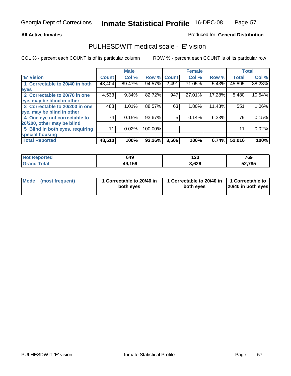#### **All Active Inmates**

#### Produced for **General Distribution**

### PULHESDWIT medical scale - 'E' vision

|                                 |              | <b>Male</b> |             |       | <b>Female</b> |        |              | <b>Total</b> |
|---------------------------------|--------------|-------------|-------------|-------|---------------|--------|--------------|--------------|
| 'E' Vision                      | <b>Count</b> | Col %       | Row % Count |       | Col %         | Row %  | <b>Total</b> | Col %        |
| 1 Correctable to 20/40 in both  | 43,404       | 89.47%      | 94.57%      | 2,491 | 71.05%        | 5.43%  | 45,895       | 88.23%       |
| eyes                            |              |             |             |       |               |        |              |              |
| 2 Correctable to 20/70 in one   | 4,533        | 9.34%       | 82.72%      | 947   | 27.01%        | 17.28% | 5,480        | 10.54%       |
| eye, may be blind in other      |              |             |             |       |               |        |              |              |
| 3 Correctable to 20/200 in one  | 488          | 1.01%       | 88.57%      | 63    | 1.80%         | 11.43% | 551          | $1.06\%$     |
| eye, may be blind in other      |              |             |             |       |               |        |              |              |
| 4 One eye not correctable to    | 74           | 0.15%       | 93.67%      | 5     | 0.14%         | 6.33%  | 79           | 0.15%        |
| 20/200, other may be blind      |              |             |             |       |               |        |              |              |
| 5 Blind in both eyes, requiring | 11           | 0.02%       | 100.00%     |       |               |        | 11           | 0.02%        |
| special housing                 |              |             |             |       |               |        |              |              |
| <b>Total Reported</b>           | 48,510       | 100%        | 93.26%      | 3,506 | 100%          | 6.74%  | 52,016       | 100%         |

| <b>Not Reported</b> | 649    | 120   | 769    |
|---------------------|--------|-------|--------|
| ™otai<br>Gra        | 49,159 | 3,626 | 52,785 |

| Mode | (most frequent) | 1 Correctable to 20/40 in<br>both eves | 1 Correctable to 20/40 in   1 Correctable to<br>both eves | 20/40 in both eyes |
|------|-----------------|----------------------------------------|-----------------------------------------------------------|--------------------|
|------|-----------------|----------------------------------------|-----------------------------------------------------------|--------------------|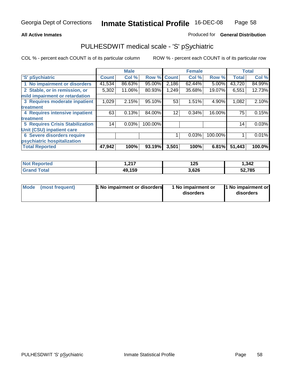#### **All Active Inmates**

#### Produced for **General Distribution**

# PULHESDWIT medical scale - 'S' pSychiatric

|                                        |              | <b>Male</b> |         |              | <b>Female</b> |         |              | <b>Total</b> |
|----------------------------------------|--------------|-------------|---------|--------------|---------------|---------|--------------|--------------|
| 'S' pSychiatric                        | <b>Count</b> | Col %       | Row %   | <b>Count</b> | Col %         | Row %   | <b>Total</b> | Col %        |
| 1 No impairment or disorders           | 41,534       | 86.63%      | 95.00%  | 2,186        | 62.44%        | 5.00%   | 43,720       | 84.99%       |
| 2 Stable, or in remission, or          | 5,302        | 11.06%      | 80.93%  | 1,249        | 35.68%        | 19.07%  | 6,551        | 12.73%       |
| mild impairment or retardation         |              |             |         |              |               |         |              |              |
| 3 Requires moderate inpatient          | 1,029        | 2.15%       | 95.10%  | 53           | 1.51%         | 4.90%   | 1,082        | 2.10%        |
| treatment                              |              |             |         |              |               |         |              |              |
| 4 Requires intensive inpatient         | 63           | 0.13%       | 84.00%  | 12           | 0.34%         | 16.00%  | 75           | 0.15%        |
| treatment                              |              |             |         |              |               |         |              |              |
| <b>5 Requires Crisis Stabilization</b> | 14           | 0.03%       | 100.00% |              |               |         | 14           | 0.03%        |
| Unit (CSU) inpatient care              |              |             |         |              |               |         |              |              |
| <b>6 Severe disorders require</b>      |              |             |         |              | 0.03%         | 100.00% |              | 0.01%        |
| psychiatric hospitalization            |              |             |         |              |               |         |              |              |
| <b>Total Reported</b>                  | 47,942       | 100%        | 93.19%  | 3,501        | 100%          | 6.81%   | 51,443       | 100.0%       |

| ported      | 247<br>، ، عر | ィっこ<br>ื้⊿ง<br>__ | , 342  |
|-------------|---------------|-------------------|--------|
| $\tau$ otal | 49,159        | 3,626             | 52,785 |

| Mode<br>1 No impairment or disorders<br>(most frequent) | 1 No impairment or<br>disorders | 1 No impairment or<br>disorders |
|---------------------------------------------------------|---------------------------------|---------------------------------|
|---------------------------------------------------------|---------------------------------|---------------------------------|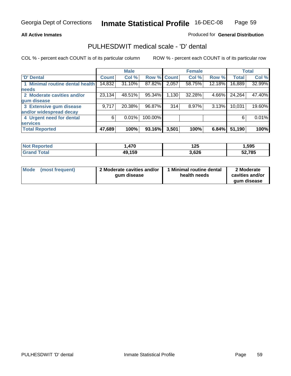#### **All Active Inmates**

#### Produced for **General Distribution**

### PULHESDWIT medical scale - 'D' dental

|                                 |              | <b>Male</b> |                    |       | <b>Female</b> |        |              | <b>Total</b> |
|---------------------------------|--------------|-------------|--------------------|-------|---------------|--------|--------------|--------------|
| <b>D' Dental</b>                | <b>Count</b> | Col %       | <b>Row % Count</b> |       | Col %         | Row %  | <b>Total</b> | Col %        |
| 1 Minimal routine dental health | 14,832       | 31.10%      | 87.82%             | 2,057 | 58.75%        | 12.18% | 16,889       | 32.99%       |
| <b>needs</b>                    |              |             |                    |       |               |        |              |              |
| 2 Moderate cavities and/or      | 23,134       | 48.51%      | 95.34%             | 1,130 | 32.28%        | 4.66%  | 24,264       | 47.40%       |
| gum disease                     |              |             |                    |       |               |        |              |              |
| 3 Extensive gum disease         | 9,717        | 20.38%      | 96.87%             | 314   | 8.97%         | 3.13%  | 10,031       | 19.60%       |
| and/or widespread decay         |              |             |                    |       |               |        |              |              |
| 4 Urgent need for dental        | 6            | 0.01%       | 100.00%            |       |               |        | 6            | 0.01%        |
| <b>services</b>                 |              |             |                    |       |               |        |              |              |
| <b>Total Reported</b>           | 47,689       | 100%        | 93.16%             | 3,501 | 100%          | 6.84%  | 51,190       | 100%         |

| orted<br><b>NA</b>        | .470   | 1 クロ<br>1 Z.J | ,595   |
|---------------------------|--------|---------------|--------|
| <b>Total</b><br><b>Gr</b> | 49,159 | 3.626         | 52,785 |

| <b>Mode</b><br>(most frequent) | 2 Moderate cavities and/or<br>qum disease | Minimal routine dental<br>health needs | 2 Moderate<br>cavities and/or<br>qum disease |
|--------------------------------|-------------------------------------------|----------------------------------------|----------------------------------------------|
|                                |                                           |                                        |                                              |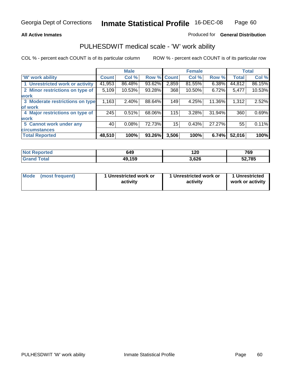#### **All Active Inmates**

#### Produced for **General Distribution**

### PULHESDWIT medical scale - 'W' work ability

|                                 |              | <b>Male</b> |        |              | <b>Female</b> |        |              | <b>Total</b> |
|---------------------------------|--------------|-------------|--------|--------------|---------------|--------|--------------|--------------|
| W' work ability                 | <b>Count</b> | Col %       | Row %  | <b>Count</b> | Col %         | Row %  | <b>Total</b> | Col %        |
| 1 Unrestricted work or activity | 41,953       | 86.48%      | 93.62% | 2,859        | 81.55%        | 6.38%  | 44,812       | 86.15%       |
| 2 Minor restrictions on type of | 5,109        | 10.53%      | 93.28% | 368          | 10.50%        | 6.72%  | 5,477        | 10.53%       |
| <b>work</b>                     |              |             |        |              |               |        |              |              |
| 3 Moderate restrictions on type | 1,163        | $2.40\%$    | 88.64% | 149          | 4.25%         | 11.36% | 1,312        | 2.52%        |
| of work                         |              |             |        |              |               |        |              |              |
| 4 Major restrictions on type of | 245          | 0.51%       | 68.06% | 115          | 3.28%         | 31.94% | 360          | 0.69%        |
| <b>work</b>                     |              |             |        |              |               |        |              |              |
| 5 Cannot work under any         | 40           | 0.08%       | 72.73% | 15           | 0.43%         | 27.27% | 55           | 0.11%        |
| <b>circumstances</b>            |              |             |        |              |               |        |              |              |
| <b>Total Reported</b>           | 48,510       | 100%        | 93.26% | 3,506        | 100%          | 6.74%  | 52,016       | 100%         |

| <b>Not Reported</b> | 649    | 120   | 769    |
|---------------------|--------|-------|--------|
| <b>Grand Total</b>  | 49,159 | 3,626 | 52,785 |

| <b>Mode</b>     | 1 Unrestricted work or | 1 Unrestricted work or | 1 Unrestricted   |
|-----------------|------------------------|------------------------|------------------|
| (most frequent) | activity               | activity               | work or activity |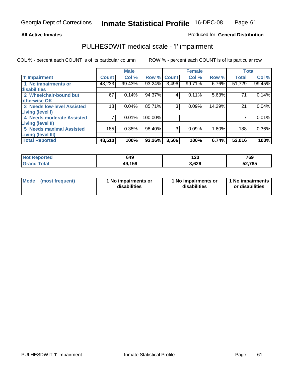#### **All Active Inmates**

#### Produced for **General Distribution**

### PULHESDWIT medical scale - 'I' impairment

|                                   |              | <b>Male</b> |         |             | <b>Female</b> |        |              | <b>Total</b> |
|-----------------------------------|--------------|-------------|---------|-------------|---------------|--------|--------------|--------------|
| 'l' Impairment                    | <b>Count</b> | Col %       |         | Row % Count | Col %         | Row %  | <b>Total</b> | Col %        |
| 1 No impairments or               | 48,233       | 99.43%      | 93.24%  | 3,496       | 99.71%        | 6.76%  | 51,729       | 99.45%       |
| disabilities                      |              |             |         |             |               |        |              |              |
| 2 Wheelchair-bound but            | 67           | 0.14%       | 94.37%  | 4           | 0.11%         | 5.63%  | 71           | 0.14%        |
| otherwise OK                      |              |             |         |             |               |        |              |              |
| <b>3 Needs low-level Assisted</b> | 18           | 0.04%       | 85.71%  | 3           | 0.09%         | 14.29% | 21           | 0.04%        |
| Living (level I)                  |              |             |         |             |               |        |              |              |
| 4 Needs moderate Assisted         |              | 0.01%       | 100.00% |             |               |        |              | 0.01%        |
| Living (level II)                 |              |             |         |             |               |        |              |              |
| <b>5 Needs maximal Assisted</b>   | 185          | 0.38%       | 98.40%  | 3           | 0.09%         | 1.60%  | 188          | $0.36\%$     |
| <b>Living (level III)</b>         |              |             |         |             |               |        |              |              |
| <b>Total Reported</b>             | 48,510       | 100%        | 93.26%  | 3,506       | 100%          | 6.74%  | 52,016       | 100%         |

| <b>Not</b><br>Reported | 649    | 120   | 769           |
|------------------------|--------|-------|---------------|
| Total<br><b>Grance</b> | 49,159 | 3,626 | 52,785<br>5Ζ, |

| Mode | (most frequent) | 1 No impairments or<br>disabilities | 1 No impairments or<br>disabilities | 1 No impairments<br>or disabilities |
|------|-----------------|-------------------------------------|-------------------------------------|-------------------------------------|
|------|-----------------|-------------------------------------|-------------------------------------|-------------------------------------|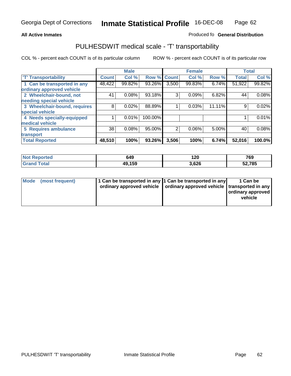#### **Inmate Statistical Profile** 16-DEC-08 Page Page 62

#### **All Active Inmates Allowski** Produced fo **General Distribution**

### PULHESDWIT medical scale - 'T' transportability

|                              |              | <b>Male</b> |         |              | <b>Female</b> |        |              | <b>Total</b> |
|------------------------------|--------------|-------------|---------|--------------|---------------|--------|--------------|--------------|
| <b>T' Transportability</b>   | <b>Count</b> | Col %       | Row %   | <b>Count</b> | Col %         | Row %  | <b>Total</b> | Col %        |
| 1 Can be transported in any  | 48,422       | 99.82%      | 93.26%  | 3,500        | 99.83%        | 6.74%  | 51,922       | 99.82%       |
| ordinary approved vehicle    |              |             |         |              |               |        |              |              |
| 2 Wheelchair-bound, not      | 41           | 0.08%       | 93.18%  | 3            | 0.09%         | 6.82%  | 44           | 0.08%        |
| needing special vehicle      |              |             |         |              |               |        |              |              |
| 3 Wheelchair-bound, requires | 8            | 0.02%       | 88.89%  |              | 0.03%         | 11.11% | 9            | 0.02%        |
| special vehicle              |              |             |         |              |               |        |              |              |
| 4 Needs specially-equipped   |              | 0.01%       | 100.00% |              |               |        |              | 0.01%        |
| medical vehicle              |              |             |         |              |               |        |              |              |
| <b>5 Requires ambulance</b>  | 38           | 0.08%       | 95.00%  | 2            | 0.06%         | 5.00%  | 40           | 0.08%        |
| transport                    |              |             |         |              |               |        |              |              |
| <b>Total Reported</b>        | 48,510       | 100%        | 93.26%  | 3,506        | 100%          | 6.74%  | 52,016       | 100.0%       |

| <b>Not</b><br>Reported | 649    | 120<br>__ | 769            |
|------------------------|--------|-----------|----------------|
| Total<br><b>Grand</b>  | 49,159 | 3,626     | 52,785<br>эz., |

| Mode (most frequent) | 1 Can be transported in any 1 Can be transported in any | ordinary approved vehicle   ordinary approved vehicle   transported in any | 1 Can be<br>ordinary approved<br>vehicle |
|----------------------|---------------------------------------------------------|----------------------------------------------------------------------------|------------------------------------------|
|                      |                                                         |                                                                            |                                          |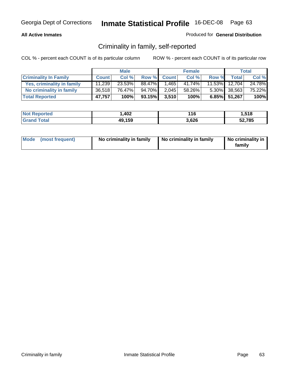#### **All Active Inmates**

#### Produced for **General Distribution**

### Criminality in family, self-reported

|                              |              | <b>Male</b> |        |              | <b>Female</b> |       |                 | <b>Total</b> |
|------------------------------|--------------|-------------|--------|--------------|---------------|-------|-----------------|--------------|
| <b>Criminality In Family</b> | <b>Count</b> | Col %       | Row %  | <b>Count</b> | Col %         | Row % | <b>Total</b>    | Col %        |
| Yes, criminality in family   | 11,239       | 23.53%      | 88.47% | 1,465        | 41.74%        |       | 11.53% 12,704   | 24.78%       |
| No criminality in family     | 36.518       | 76.47%      | 94.70% | 2,045        | 58.26%        |       | $5.30\%$ 38,563 | 75.22%       |
| <b>Total Reported</b>        | 47,757       | 100%        | 93.15% | 3,510        | 100%          |       | 6.85% 51,267    | 100%         |

| <b>Not Reported</b>          | 1,402  | 116   | .518   |
|------------------------------|--------|-------|--------|
| <b>Total</b><br><b>Grand</b> | 49,159 | 3,626 | 52,785 |

| Mode (most frequent) |  | No criminality in family | No criminality in family | No criminality in<br>family |
|----------------------|--|--------------------------|--------------------------|-----------------------------|
|----------------------|--|--------------------------|--------------------------|-----------------------------|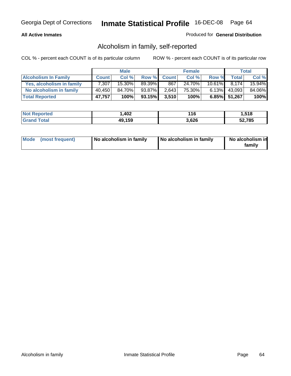#### **All Active Inmates**

#### Produced for **General Distribution**

### Alcoholism in family, self-reported

|                             |              | <b>Male</b> |        |              | <b>Female</b> |           |                 | <b>Total</b> |
|-----------------------------|--------------|-------------|--------|--------------|---------------|-----------|-----------------|--------------|
| <b>Alcoholism In Family</b> | <b>Count</b> | Col %       | Row %  | <b>Count</b> | Col %         | Row %     | <b>Total</b>    | Col %        |
| Yes, alcoholism in family   | 7.307        | 15.30%      | 89.39% | 867          | 24.70%        | $10.61\%$ | 8.174           | 15.94%       |
| No alcoholism in family     | 40,450       | 84.70%      | 93.87% | 2,643        | 75.30%        |           | $6.13\%$ 43,093 | 84.06%       |
| <b>Total Reported</b>       | 47,757       | 100%        | 93.15% | 3,510        | 100%          |           | 6.85% 51,267    | 100%         |

| <b>Not Reported</b> | 1,402  | l 16  | 518.،  |
|---------------------|--------|-------|--------|
| <b>Grand Total</b>  | 49,159 | 3,626 | 52,785 |

|  | Mode (most frequent) | No alcoholism in family | No alcoholism in family | No alcoholism in<br>familv |
|--|----------------------|-------------------------|-------------------------|----------------------------|
|--|----------------------|-------------------------|-------------------------|----------------------------|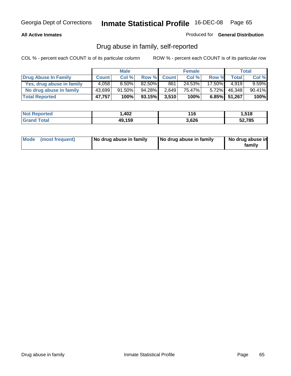#### **All Active Inmates**

Produced for **General Distribution**

### Drug abuse in family, self-reported

|                           |              | <b>Male</b> |        |              | <b>Female</b> |           |              | <b>Total</b> |
|---------------------------|--------------|-------------|--------|--------------|---------------|-----------|--------------|--------------|
| Drug Abuse In Family      | <b>Count</b> | Col %       | Row %  | <b>Count</b> | Col %         | Row %     | Total        | Col %        |
| Yes, drug abuse in family | 4.058        | $8.50\%$    | 82.50% | 861          | 24.53%        | $17.50\%$ | 4.919        | $9.59\%$     |
| No drug abuse in family   | 43,699       | $91.50\%$   | 94.28% | 2,649        | 75.47%        | $5.72\%$  | 46,348       | 90.41%       |
| <b>Total Reported</b>     | 47,757       | 100%        | 93.15% | 3,510        | 100%          |           | 6.85% 51,267 | 100%         |

| <b>Not Reported</b> | 1,402  | 116   | 518.،  |
|---------------------|--------|-------|--------|
| <b>Tota</b>         | 49,159 | 3,626 | 52,785 |

|  | Mode (most frequent) | No drug abuse in family | No drug abuse in family | No drug abuse in<br>family |
|--|----------------------|-------------------------|-------------------------|----------------------------|
|--|----------------------|-------------------------|-------------------------|----------------------------|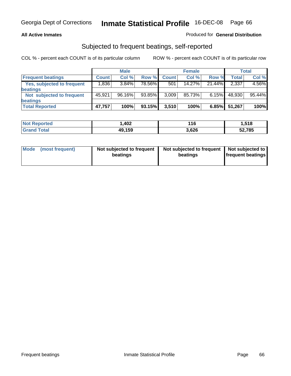#### **All Active Inmates**

#### Produced for **General Distribution**

### Subjected to frequent beatings, self-reported

|                            |              | <b>Male</b> |        |              | <b>Female</b> |          |        | Total  |
|----------------------------|--------------|-------------|--------|--------------|---------------|----------|--------|--------|
| <b>Frequent beatings</b>   | <b>Count</b> | Col%        | Row %  | <b>Count</b> | Col%          | Row %    | Total  | Col %  |
| Yes, subjected to frequent | .836         | 3.84%       | 78.56% | 501          | 14.27%        | 21.44%   | 2,337  | 4.56%  |
| beatings                   |              |             |        |              |               |          |        |        |
| Not subjected to frequent  | 45.921       | 96.16%      | 93.85% | 3,009        | 85.73%        | $6.15\%$ | 48,930 | 95.44% |
| beatings                   |              |             |        |              |               |          |        |        |
| <b>Total Reported</b>      | 47,757       | 100%        | 93.15% | 3,510        | 100%          | 6.85%    | 51,267 | 100%   |

| <b>orted</b><br><b>NO</b> t | 402، ، | 16    | 518.،  |
|-----------------------------|--------|-------|--------|
| Total<br>' Gra              | 49,159 | 3,626 | 52,785 |

| <b>Mode</b><br>(most frequent) | Not subjected to frequent<br>beatings | Not subjected to frequent   Not subjected to  <br>beatings | <b>frequent beatings</b> |  |
|--------------------------------|---------------------------------------|------------------------------------------------------------|--------------------------|--|
|                                |                                       |                                                            |                          |  |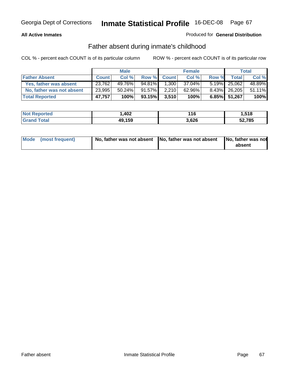#### **All Active Inmates**

#### Produced for **General Distribution**

### Father absent during inmate's childhood

|                           |              | <b>Male</b> |           |              | <b>Female</b> |       |                 | Total  |
|---------------------------|--------------|-------------|-----------|--------------|---------------|-------|-----------------|--------|
| <b>Father Absent</b>      | <b>Count</b> | Col %       | Row %     | <b>Count</b> | Col %         | Row % | <b>Total</b>    | Col %  |
| Yes, father was absent    | 23,762       | 49.76%      | $94.81\%$ | 1.300        | $37.04\%$     |       | $5.19\%$ 25,062 | 48.89% |
| No, father was not absent | 23,995       | $50.24\%$   | 91.57%    | 2,210        | 62.96%        |       | 8.43% 26,205    | 51.11% |
| <b>Total Reported</b>     | 47,757       | 100%        | 93.15%    | 3,510        | 100%          |       | 6.85% 51,267    | 100%   |

| <b>Not Reported</b>          | 1,402  | 116   | .518   |
|------------------------------|--------|-------|--------|
| <b>Total</b><br><b>Grand</b> | 49,159 | 3,626 | 52,785 |

| Mode (most frequent) |  | 「No, father was not absent ┃No, father was not absent ┃No, father was not | absent |
|----------------------|--|---------------------------------------------------------------------------|--------|
|----------------------|--|---------------------------------------------------------------------------|--------|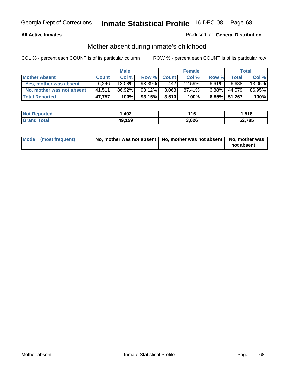#### **All Active Inmates**

#### Produced for **General Distribution**

### Mother absent during inmate's childhood

|                           |              | <b>Male</b> |        |              | <b>Female</b> |          |              | <b>Total</b> |
|---------------------------|--------------|-------------|--------|--------------|---------------|----------|--------------|--------------|
| <b>Mother Absent</b>      | <b>Count</b> | Col %       | Row %  | <b>Count</b> | Col %         | Row %    | Total        | Col %        |
| Yes, mother was absent    | 6.246        | 13.08%      | 93.39% | 442          | 12.59%        | $6.61\%$ | 6.688        | 13.05%       |
| No, mother was not absent | 41,511       | 86.92%      | 93.12% | 3.068        | 87.41%        | $6.88\%$ | 44.579       | 86.95%       |
| <b>Total Reported</b>     | 47,757       | 100%        | 93.15% | 3,510        | 100%          |          | 6.85% 51,267 | 100%         |

| <b>Not Reported</b> | .402،  | 116   | 1,518  |
|---------------------|--------|-------|--------|
| <b>Grand Total</b>  | 49,159 | 3,626 | 52,785 |

| Mode (most frequent) | No, mother was not absent $\vert$ No, mother was not absent $\vert$ No, mother was | not absent |
|----------------------|------------------------------------------------------------------------------------|------------|
|                      |                                                                                    |            |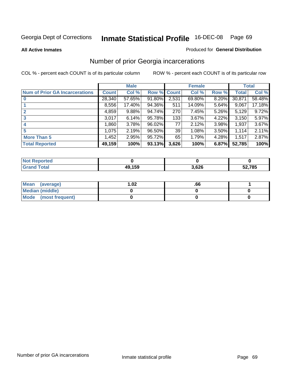**All Active Inmates**

#### Produced for **General Distribution**

# Number of prior Georgia incarcerations

|                                       |              | <b>Male</b> |                    |       | <b>Female</b> |          |        | <b>Total</b> |
|---------------------------------------|--------------|-------------|--------------------|-------|---------------|----------|--------|--------------|
| <b>Num of Prior GA Incarcerations</b> | <b>Count</b> | Col %       | <b>Row % Count</b> |       | Col %         | Row %    | Total  | Col %        |
| $\bf{0}$                              | 28,340       | 57.65%      | 91.80%             | 2,531 | 69.80%        | 8.20%    | 30,871 | 58.48%       |
|                                       | 8,556        | 17.40%      | 94.36%             | 511   | 14.09%        | 5.64%    | 9,067  | 17.18%       |
|                                       | 4,859        | 9.88%       | 94.74%             | 270   | 7.45%         | 5.26%    | 5,129  | 9.72%        |
| 3                                     | 3,017        | 6.14%       | 95.78%             | 133   | 3.67%         | 4.22%    | 3,150  | 5.97%        |
|                                       | 1,860        | 3.78%       | 96.02%             | 77    | 2.12%         | 3.98%    | 1,937  | 3.67%        |
| 5                                     | 1,075        | 2.19%       | 96.50%             | 39    | 1.08%         | $3.50\%$ | 1,114  | 2.11%        |
| <b>More Than 5</b>                    | 1,452        | 2.95%       | 95.72%             | 65    | 1.79%         | 4.28%    | 1,517  | 2.87%        |
| <b>Total Reported</b>                 | 49,159       | 100%        | 93.13%             | 3,626 | 100%          | 6.87%    | 52,785 | 100%         |

| <b>Not</b><br><b>orted</b> |             |      |        |  |
|----------------------------|-------------|------|--------|--|
| 'otal<br>Grar              | 10 150<br>. | ,626 | 52,785 |  |

| Mean (average)       | l.O2 | .00 |  |
|----------------------|------|-----|--|
| Median (middle)      |      |     |  |
| Mode (most frequent) |      |     |  |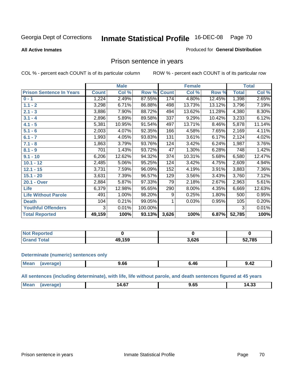#### **All Active Inmates**

#### Produced for **General Distribution**

### Prison sentence in years

COL % - percent each COUNT is of its particular column ROW % - percent each COUNT is of its particular row

|                                 |              | <b>Male</b> |         |              | <b>Female</b> |        |              | <b>Total</b> |
|---------------------------------|--------------|-------------|---------|--------------|---------------|--------|--------------|--------------|
| <b>Prison Sentence In Years</b> | <b>Count</b> | Col %       | Row %   | <b>Count</b> | Col %         | Row %  | <b>Total</b> | Col %        |
| $0 - 1$                         | 1,224        | 2.49%       | 87.55%  | 174          | 4.80%         | 12.45% | 1,398        | 2.65%        |
| $1.1 - 2$                       | 3,298        | 6.71%       | 86.88%  | 498          | 13.73%        | 13.12% | 3,796        | 7.19%        |
| $2.1 - 3$                       | 3,886        | 7.90%       | 88.72%  | 494          | 13.62%        | 11.28% | 4,380        | 8.30%        |
| $3.1 - 4$                       | 2,896        | 5.89%       | 89.58%  | 337          | 9.29%         | 10.42% | 3,233        | 6.12%        |
| $4.1 - 5$                       | 5,381        | 10.95%      | 91.54%  | 497          | 13.71%        | 8.46%  | 5,878        | 11.14%       |
| $5.1 - 6$                       | 2,003        | 4.07%       | 92.35%  | 166          | 4.58%         | 7.65%  | 2,169        | 4.11%        |
| $6.1 - 7$                       | 1,993        | 4.05%       | 93.83%  | 131          | 3.61%         | 6.17%  | 2,124        | 4.02%        |
| $7.1 - 8$                       | 1,863        | 3.79%       | 93.76%  | 124          | 3.42%         | 6.24%  | 1,987        | 3.76%        |
| $8.1 - 9$                       | 701          | 1.43%       | 93.72%  | 47           | 1.30%         | 6.28%  | 748          | 1.42%        |
| $9.1 - 10$                      | 6,206        | 12.62%      | 94.32%  | 374          | 10.31%        | 5.68%  | 6,580        | 12.47%       |
| $10.1 - 12$                     | 2,485        | 5.06%       | 95.25%  | 124          | 3.42%         | 4.75%  | 2,609        | 4.94%        |
| $12.1 - 15$                     | 3,731        | 7.59%       | 96.09%  | 152          | 4.19%         | 3.91%  | 3,883        | 7.36%        |
| $15.1 - 20$                     | 3,631        | 7.39%       | 96.57%  | 129          | 3.56%         | 3.43%  | 3,760        | 7.12%        |
| 20.1 - Over                     | 2,884        | 5.87%       | 97.33%  | 79           | 2.18%         | 2.67%  | 2,963        | 5.61%        |
| <b>Life</b>                     | 6,379        | 12.98%      | 95.65%  | 290          | 8.00%         | 4.35%  | 6,669        | 12.63%       |
| <b>Life Without Parole</b>      | 491          | 1.00%       | 98.20%  | 9            | 0.25%         | 1.80%  | 500          | 0.95%        |
| <b>Death</b>                    | 104          | 0.21%       | 99.05%  |              | 0.03%         | 0.95%  | 105          | 0.20%        |
| <b>Youthful Offenders</b>       | 3            | 0.01%       | 100.00% |              |               |        | 3            | 0.01%        |
| <b>Total Reported</b>           | 49,159       | 100%        | 93.13%  | 3,626        | 100%          | 6.87%  | 52,785       | 100%         |

| <b>Not Reported</b> |        |      |              |
|---------------------|--------|------|--------------|
| `otal<br>Grr        | 49,159 | ,626 | 52,785<br>ວ∡ |

#### **Determinate (numeric) sentences only**

| <b>Mear</b><br>$\cdots$ | פחו | , oa<br>. | . U | <br>9.4Z |
|-------------------------|-----|-----------|-----|----------|
|                         |     |           |     |          |

**All sentences (including determinate), with life, life without parole, and death sentences figured at 45 years**

| $^{\circ}$ Me:<br>$\sim$<br>14.0.<br>ıД<br>14.JJ<br>-------<br>$  -$ |  |
|----------------------------------------------------------------------|--|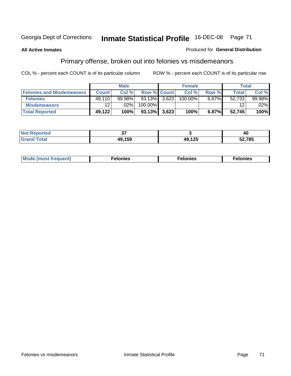#### **All Active Inmates**

#### Produced for **General Distribution**

# Primary offense, broken out into felonies vs misdemeanors

|                                  |                 | <b>Male</b> |                 | <b>Female</b> |          | <b>Total</b> |         |
|----------------------------------|-----------------|-------------|-----------------|---------------|----------|--------------|---------|
| <b>Felonies and Misdemeanors</b> | <b>Count</b>    | Col %       | Row % Count     | Col%          | Row %    | Total        | Col%    |
| <b>Felonies</b>                  | 49.110          | $99.98\%$   | $93.13\%$ 3,623 | 100.00%       | $6.87\%$ | 52.733       | 99.98%  |
| <b>Misdemeanors</b>              | 12 <sub>1</sub> | $.02\%$     | 100.00%         |               |          | 12           | $.02\%$ |
| <b>Total Reported</b>            | 49,122          | 100%        | $93.13\%$ 3,623 | 100%          | 6.87%    | 52,745       | 100%    |

| <b>Not</b><br>ted: | $\sim$ |                        | 40     |
|--------------------|--------|------------------------|--------|
|                    | 150    | $AO$ 12 $F$<br>נגו, נו | 52.785 |

| M | . | . | . |
|---|---|---|---|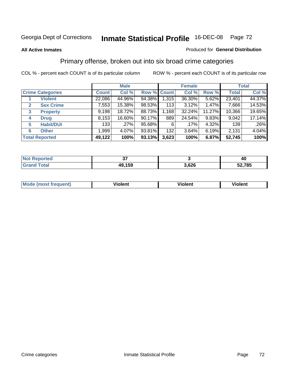#### **All Active Inmates**

#### Produced for **General Distribution**

### Primary offense, broken out into six broad crime categories

|   |                         |              | <b>Male</b> |             |       | <b>Female</b> |          |              | <b>Total</b> |
|---|-------------------------|--------------|-------------|-------------|-------|---------------|----------|--------------|--------------|
|   | <b>Crime Categories</b> | <b>Count</b> | Col %       | Row % Count |       | Col %         | Row %    | <b>Total</b> | Col %        |
|   | <b>Violent</b>          | 22,086       | 44.96%      | 94.38%      | 1,315 | 36.30%        | 5.62%    | 23,401       | 44.37%       |
| 2 | <b>Sex Crime</b>        | 7,553        | 15.38%      | 98.53%      | 113   | 3.12%         | 1.47%    | 7,666        | 14.53%       |
| 3 | <b>Property</b>         | 9,198        | 18.72%      | 88.73%      | 1,168 | 32.24%        | 11.27%   | 10,366       | 19.65%       |
| 4 | <b>Drug</b>             | 8,153        | 16.60%      | 90.17%      | 889   | 24.54%        | $9.83\%$ | 9,042        | 17.14%       |
| 5 | <b>Habit/DUI</b>        | 133          | $.27\%$     | 95.68%      | 6     | $.17\%$       | 4.32%    | 139          | $.26\%$      |
| 6 | <b>Other</b>            | 1,999        | 4.07%       | 93.81%      | 132   | 3.64%         | 6.19%    | 2,131        | 4.04%        |
|   | <b>Total Reported</b>   | 49,122       | 100%        | 93.13%      | 3,623 | 100%          | 6.87%    | 52,745       | 100%         |

| n eo<br>N |            |      | טי     |  |
|-----------|------------|------|--------|--|
| $\sim$ 40 | .159<br>49 | .626 | 52,785 |  |

|  | <b>Mou</b><br>--- | .<br>วlent | ---<br>olent | ≀lent<br>-------- |
|--|-------------------|------------|--------------|-------------------|
|--|-------------------|------------|--------------|-------------------|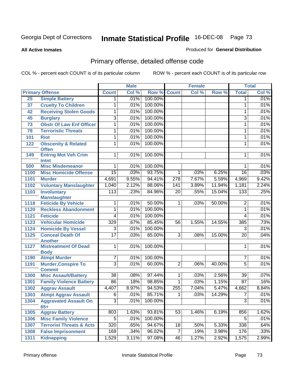#### **All Active Inmates**

### Produced for **General Distribution**

# Primary offense, detailed offense code

|      |                                                |                  | <b>Male</b> |         |                 | <b>Female</b> |        |                 | <b>Total</b> |
|------|------------------------------------------------|------------------|-------------|---------|-----------------|---------------|--------|-----------------|--------------|
|      | <b>Primary Offense</b>                         | <b>Count</b>     | Col %       | Row %   | <b>Count</b>    | Col %         | Row %  | <b>Total</b>    | Col %        |
| 25   | <b>Simple Battery</b>                          | $\mathbf 1$      | .01%        | 100.00% |                 |               |        | $\mathbf 1$     | .01%         |
| 37   | <b>Cruelty To Children</b>                     | 1                | .01%        | 100.00% |                 |               |        | 1               | .01%         |
| 42   | <b>Receiving Stolen Goods</b>                  | 1                | .01%        | 100.00% |                 |               |        | 1               | .01%         |
| 45   | <b>Burglary</b>                                | $\overline{3}$   | .01%        | 100.00% |                 |               |        | 3               | .01%         |
| 73   | <b>Obstr Of Law Enf Officer</b>                | 1                | .01%        | 100.00% |                 |               |        | 1               | .01%         |
| 78   | <b>Terroristic Threats</b>                     | $\overline{1}$   | .01%        | 100.00% |                 |               |        | 1               | .01%         |
| 101  | <b>Riot</b>                                    | 1                | .01%        | 100.00% |                 |               |        | 1               | .01%         |
| 122  | <b>Obscenity &amp; Related</b><br><b>Offen</b> | 1                | .01%        | 100.00% |                 |               |        | 1               | .01%         |
| 149  | <b>Entrng Mot Veh Crim</b><br><b>Intnt</b>     | $\mathbf{1}$     | .01%        | 100.00% |                 |               |        | 1               | .01%         |
| 500  | <b>Misc Misdemeanor</b>                        | 1                | .01%        | 100.00% |                 |               |        | 1               | .01%         |
| 1100 | <b>Misc Homicide Offense</b>                   | $\overline{15}$  | .03%        | 93.75%  | $\mathbf{1}$    | .03%          | 6.25%  | $\overline{16}$ | .03%         |
| 1101 | <b>Murder</b>                                  | 4,691            | 9.55%       | 94.41%  | 278             | 7.67%         | 5.59%  | 4,969           | 9.42%        |
| 1102 | <b>Voluntary Manslaughter</b>                  | 1,040            | 2.12%       | 88.06%  | 141             | 3.89%         | 11.94% | 1,181           | 2.24%        |
| 1103 | <b>Involuntary</b>                             | $\overline{113}$ | .23%        | 84.96%  | $\overline{20}$ | .55%          | 15.04% | 133             | .25%         |
|      | <b>Manslaughter</b>                            |                  |             |         |                 |               |        |                 |              |
| 1118 | <b>Feticide By Vehicle</b>                     | 1                | .01%        | 50.00%  | $\mathbf{1}$    | .03%          | 50.00% | 2               | .01%         |
| 1120 | <b>Reckless Abandonment</b>                    | $\overline{1}$   | .01%        | 100.00% |                 |               |        | $\overline{1}$  | .01%         |
| 1121 | <b>Feticide</b>                                | $\overline{4}$   | .01%        | 100.00% |                 |               |        | 4               | .01%         |
| 1123 | <b>Vehicular Homicide</b>                      | 329              | .67%        | 85.45%  | $\overline{56}$ | 1.55%         | 14.55% | 385             | .73%         |
| 1124 | <b>Homicide By Vessel</b>                      | 3                | .01%        | 100.00% |                 |               |        | $\overline{3}$  | .01%         |
| 1125 | <b>Conceal Death Of</b><br><b>Another</b>      | $\overline{17}$  | .03%        | 85.00%  | $\overline{3}$  | .08%          | 15.00% | $\overline{20}$ | .04%         |
| 1127 | <b>Mistreatment Of Dead</b><br><b>Body</b>     | 1                | .01%        | 100.00% |                 |               |        | 1               | .01%         |
| 1190 | <b>Atmpt Murder</b>                            | 7                | .01%        | 100.00% |                 |               |        | 7               | .01%         |
| 1191 | <b>Murder, Conspire To</b><br><b>Commit</b>    | $\overline{3}$   | .01%        | 60.00%  | $\overline{2}$  | .06%          | 40.00% | $\overline{5}$  | .01%         |
| 1300 | <b>Misc Assault/Battery</b>                    | $\overline{38}$  | .08%        | 97.44%  | 1               | .03%          | 2.56%  | $\overline{39}$ | .07%         |
| 1301 | <b>Family Violence Battery</b>                 | 86               | .18%        | 98.85%  | 1               | .03%          | 1.15%  | $\overline{87}$ | .16%         |
| 1302 | <b>Aggrav Assault</b>                          | 4,407            | 8.97%       | 94.53%  | 255             | 7.04%         | 5.47%  | 4,662           | 8.84%        |
|      | 1303 Atmpt Aggrav Assault                      | $\overline{6}$   | .01%        | 85.71%  | $\overline{1}$  | .03%          | 14.29% | $\overline{7}$  | .01%         |
| 1304 | <b>Aggravated Assault On</b><br>$65+$          | $\overline{3}$   | .01%        | 100.00% |                 |               |        | $\overline{3}$  | .01%         |
| 1305 | <b>Aggrav Battery</b>                          | 803              | 1.63%       | 93.81%  | 53              | 1.46%         | 6.19%  | 856             | 1.62%        |
| 1306 | <b>Misc Family Violence</b>                    | $\overline{5}$   | .01%        | 100.00% |                 |               |        | 5               | .01%         |
| 1307 | <b>Terrorist Threats &amp; Acts</b>            | $\overline{320}$ | .65%        | 94.67%  | 18              | .50%          | 5.33%  | 338             | .64%         |
| 1308 | <b>False Imprisonment</b>                      | 169              | .34%        | 96.02%  | $\overline{7}$  | .19%          | 3.98%  | 176             | .33%         |
| 1311 | <b>Kidnapping</b>                              | 1,529            | 3.11%       | 97.08%  | 46              | 1.27%         | 2.92%  | 1,575           | 2.99%        |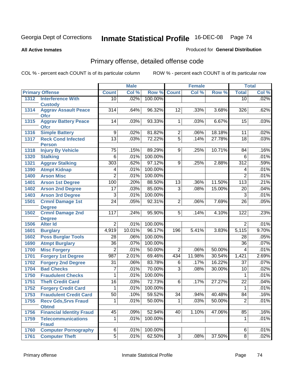**All Active Inmates**

### Produced for **General Distribution**

# Primary offense, detailed offense code

|      |                                               |                  | <b>Male</b>  |         |                 | <b>Female</b>             |        |                  | <b>Total</b> |
|------|-----------------------------------------------|------------------|--------------|---------|-----------------|---------------------------|--------|------------------|--------------|
|      | <b>Primary Offense</b>                        | <b>Count</b>     | Col %        | Row %   | <b>Count</b>    | $\overline{\text{Col 9}}$ | Row %  | <b>Total</b>     | Col %        |
| 1312 | <b>Interference With</b>                      | 10               | .02%         | 100.00% |                 |                           |        | 10               | .02%         |
| 1314 | <b>Custody</b><br><b>Aggrav Assault Peace</b> | $\overline{314}$ | .64%         | 96.32%  | $\overline{12}$ | .33%                      | 3.68%  | 326              | .62%         |
|      | <b>Ofcr</b>                                   |                  |              |         |                 |                           |        |                  |              |
| 1315 | <b>Aggrav Battery Peace</b>                   | 14               | .03%         | 93.33%  | $\overline{1}$  | .03%                      | 6.67%  | 15               | .03%         |
|      | <b>Ofcr</b>                                   |                  |              |         |                 |                           |        |                  |              |
| 1316 | <b>Simple Battery</b>                         | $\overline{9}$   | .02%         | 81.82%  | $\overline{2}$  | .06%                      | 18.18% | $\overline{11}$  | .02%         |
| 1317 | <b>Reck Cond Infected</b>                     | $\overline{13}$  | .03%         | 72.22%  | $\overline{5}$  | .14%                      | 27.78% | $\overline{18}$  | .03%         |
|      | <b>Person</b>                                 | $\overline{75}$  |              | 89.29%  |                 | .25%                      |        |                  | .16%         |
| 1318 | <b>Injury By Vehicle</b>                      |                  | .15%         |         | 9               |                           | 10.71% | 84               |              |
| 1320 | <b>Stalking</b>                               | 6                | .01%         | 100.00% |                 |                           |        | $\overline{6}$   | .01%         |
| 1321 | <b>Aggrav Stalking</b>                        | $\overline{303}$ | .62%         | 97.12%  | 9               | .25%                      | 2.88%  | $\overline{312}$ | .59%         |
| 1390 | <b>Atmpt Kidnap</b>                           | 4                | .01%<br>.01% | 100.00% |                 |                           |        | 4                | .01%         |
| 1400 | <b>Arson Misc</b>                             | $\overline{2}$   |              | 100.00% |                 |                           |        | $\overline{2}$   | .01%<br>.21% |
| 1401 | <b>Arson 1st Degree</b>                       | 100              | .20%         | 88.50%  | $\overline{13}$ | .36%                      | 11.50% | 113              |              |
| 1402 | <b>Arson 2nd Degree</b>                       | 17               | .03%         | 85.00%  | 3               | .08%                      | 15.00% | 20               | .04%         |
| 1403 | <b>Arson 3rd Degree</b>                       | $\overline{3}$   | .01%         | 100.00% |                 |                           |        | $\overline{3}$   | .01%         |
| 1501 | <b>Crmnl Damage 1st</b><br><b>Degree</b>      | $\overline{24}$  | .05%         | 92.31%  | $\overline{2}$  | .06%                      | 7.69%  | $\overline{26}$  | .05%         |
| 1502 | <b>Crmnl Damage 2nd</b>                       | 117              | .24%         | 95.90%  | 5               | .14%                      | 4.10%  | 122              | .23%         |
|      | <b>Degree</b>                                 |                  |              |         |                 |                           |        |                  |              |
| 1506 | <b>Alter Id</b>                               | $\overline{2}$   | .01%         | 100.00% |                 |                           |        | $\overline{2}$   | .01%         |
| 1601 | <b>Burglary</b>                               | 4,919            | 10.01%       | 96.17%  | 196             | 5.41%                     | 3.83%  | 5,115            | 9.70%        |
| 1602 | <b>Poss Burglar Tools</b>                     | $\overline{28}$  | .06%         | 100.00% |                 |                           |        | $\overline{28}$  | .05%         |
| 1690 | <b>Atmpt Burglary</b>                         | $\overline{36}$  | .07%         | 100.00% |                 |                           |        | $\overline{36}$  | .07%         |
| 1700 | <b>Misc Forgery</b>                           | $\overline{2}$   | .01%         | 50.00%  | $\overline{2}$  | .06%                      | 50.00% | 4                | .01%         |
| 1701 | <b>Forgery 1st Degree</b>                     | 987              | 2.01%        | 69.46%  | 434             | 11.98%                    | 30.54% | 1,421            | 2.69%        |
| 1702 | <b>Forgery 2nd Degree</b>                     | $\overline{31}$  | .06%         | 83.78%  | $\overline{6}$  | .17%                      | 16.22% | $\overline{37}$  | .07%         |
| 1704 | <b>Bad Checks</b>                             | 7                | .01%         | 70.00%  | $\overline{3}$  | .08%                      | 30.00% | $\overline{10}$  | .02%         |
| 1750 | <b>Fraudulent Checks</b>                      | 1                | .01%         | 100.00% |                 |                           |        | 1                | .01%         |
| 1751 | <b>Theft Credit Card</b>                      | 16               | .03%         | 72.73%  | $\overline{6}$  | .17%                      | 27.27% | $\overline{22}$  | .04%         |
| 1752 | <b>Forgery Credit Card</b>                    | 1                | .01%         | 100.00% |                 |                           |        | 1                | .01%         |
| 1753 | <b>Fraudulent Credit Card</b>                 | $\overline{50}$  | .10%         | 59.52%  | $\overline{34}$ | .94%                      | 40.48% | 84               | .16%         |
| 1755 | <b>Recv Gds, Srvs Fraud</b><br><b>Obtnd</b>   | 1                | .01%         | 50.00%  | 1               | .03%                      | 50.00% | $\overline{2}$   | .01%         |
| 1756 | <b>Financial Identity Fraud</b>               | $\overline{45}$  | .09%         | 52.94%  | 40              | 1.10%                     | 47.06% | 85               | .16%         |
| 1759 | <b>Telecommunications</b>                     | 1                | .01%         | 100.00% |                 |                           |        | 1                | .01%         |
|      | <b>Fraud</b>                                  |                  |              |         |                 |                           |        |                  |              |
| 1760 | <b>Computer Pornography</b>                   | $\overline{6}$   | .01%         | 100.00% |                 |                           |        | 6                | .01%         |
| 1761 | <b>Computer Theft</b>                         | $\overline{5}$   | .01%         | 62.50%  | $\overline{3}$  | .08%                      | 37.50% | $\overline{8}$   | .02%         |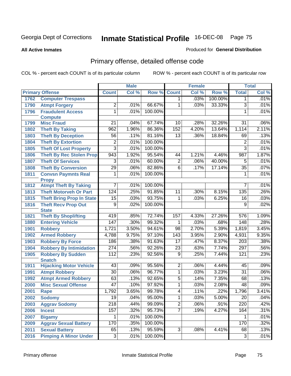#### **All Active Inmates**

#### Produced for **General Distribution**

# Primary offense, detailed offense code

|      |                                  |                       | <b>Male</b>  |         |                 | <b>Female</b> |         |                       | <b>Total</b> |
|------|----------------------------------|-----------------------|--------------|---------|-----------------|---------------|---------|-----------------------|--------------|
|      | <b>Primary Offense</b>           | <b>Count</b>          | Col %        | Row %   | <b>Count</b>    | Col %         | Row %   | <b>Total</b>          | Col %        |
| 1762 | <b>Computer Trespass</b>         |                       |              |         | 1               | .03%          | 100.00% | 1                     | .01%         |
| 1790 | <b>Atmpt Forgery</b>             | $\overline{2}$        | .01%         | 66.67%  | 1               | .03%          | 33.33%  | $\overline{3}$        | .01%         |
| 1796 | <b>Fraudulent Access</b>         | $\overline{1}$        | .01%         | 100.00% |                 |               |         | $\mathbf{1}$          | .01%         |
|      | <b>Compute</b>                   |                       |              |         |                 |               |         |                       |              |
| 1799 | <b>Misc Fraud</b>                | 21                    | .04%         | 67.74%  | 10              | .28%          | 32.26%  | 31                    | .06%         |
| 1802 | <b>Theft By Taking</b>           | 962                   | 1.96%        | 86.36%  | 152             | 4.20%         | 13.64%  | 1,114                 | 2.11%        |
| 1803 | <b>Theft By Deception</b>        | $\overline{56}$       | .11%         | 81.16%  | $\overline{13}$ | .36%          | 18.84%  | 69                    | .13%         |
| 1804 | <b>Theft By Extortion</b>        | $\overline{2}$        | .01%         | 100.00% |                 |               |         | $\overline{2}$        | .01%         |
| 1805 | <b>Theft Of Lost Property</b>    | $\overline{3}$        | .01%         | 100.00% |                 |               |         | $\overline{3}$        | .01%         |
| 1806 | <b>Theft By Rec Stolen Prop</b>  | 943                   | 1.92%        | 95.54%  | 44              | 1.21%         | 4.46%   | 987                   | 1.87%        |
| 1807 | <b>Theft Of Services</b>         | 3                     | .01%         | 60.00%  | $\overline{2}$  | .06%          | 40.00%  | $\overline{5}$        | .01%         |
| 1808 | <b>Theft By Conversion</b>       | $\overline{29}$       | .06%         | 82.86%  | $\overline{6}$  | .17%          | 17.14%  | $\overline{35}$       | .07%         |
| 1811 | <b>Convsn Paymnts Real</b>       | $\mathbf{1}$          | .01%         | 100.00% |                 |               |         | 1                     | .01%         |
|      | <b>Propy</b>                     |                       |              |         |                 |               |         |                       |              |
| 1812 | <b>Atmpt Theft By Taking</b>     | $\overline{7}$        | .01%         | 100.00% |                 |               |         | 7                     | .01%         |
| 1813 | <b>Theft Motorveh Or Part</b>    | 124                   | .25%         | 91.85%  | 11              | .30%          | 8.15%   | 135                   | .26%         |
| 1815 | <b>Theft Bring Prop In State</b> | $\overline{15}$       | .03%         | 93.75%  | 1               | .03%          | 6.25%   | 16                    | .03%         |
| 1816 | <b>Theft Recv Prop Out</b>       | $\overline{9}$        | .02%         | 100.00% |                 |               |         | $\overline{9}$        | .02%         |
|      | <b>State</b>                     |                       |              |         |                 |               |         |                       |              |
| 1821 | <b>Theft By Shoplifting</b>      | 419                   | .85%         | 72.74%  | 157             | 4.33%         | 27.26%  | $\overline{576}$      | 1.09%        |
| 1880 | <b>Entering Vehicle</b>          | 147                   | .30%         | 99.32%  | 1               | .03%          | .68%    | 148                   | .28%         |
| 1901 | <b>Robbery</b>                   | 1,721                 | 3.50%        | 94.61%  | 98              | 2.70%         | 5.39%   | 1,819                 | 3.45%        |
| 1902 | <b>Armed Robbery</b>             | 4,788                 | 9.75%        | 97.10%  | 143             | 3.95%         | 2.90%   | 4,931                 | 9.35%        |
| 1903 | <b>Robbery By Force</b>          | 186                   | .38%         | 91.63%  | $\overline{17}$ | .47%          | 8.37%   | $\sqrt{203}$          | .38%         |
| 1904 | <b>Robbery By Intimidation</b>   | 274                   | .56%         | 92.26%  | $\overline{23}$ | .63%          | 7.74%   | 297                   | .56%         |
| 1905 | <b>Robbery By Sudden</b>         | 112                   | .23%         | 92.56%  | $\overline{9}$  | .25%          | 7.44%   | 121                   | .23%         |
|      | <b>Snatch</b>                    | 43                    |              | 95.56%  | $\overline{2}$  | .06%          | 4.44%   |                       |              |
| 1911 | <b>Hijacking Motor Vehicle</b>   | $\overline{30}$       | .09%<br>.06% | 96.77%  | $\overline{1}$  | .03%          | 3.23%   | 45<br>$\overline{31}$ | .09%         |
| 1991 | <b>Atmpt Robbery</b>             |                       |              |         |                 |               |         |                       | .06%         |
| 1992 | <b>Atmpt Armed Robbery</b>       | 63<br>$\overline{47}$ | .13%         | 92.65%  | $\overline{5}$  | .14%          | 7.35%   | 68                    | .13%         |
| 2000 | <b>Misc Sexual Offense</b>       |                       | .10%         | 97.92%  | $\overline{1}$  | .03%          | 2.08%   | 48                    | .09%         |
| 2001 | <b>Rape</b>                      | 1,792                 | 3.65%        | 99.78%  | $\overline{4}$  | .11%          | .22%    | 1,796                 | 3.41%        |
| 2002 | <b>Sodomy</b>                    | 19                    | .04%         | 95.00%  | $\mathbf{1}$    | .03%          | 5.00%   | $\overline{20}$       | .04%         |
| 2003 | <b>Aggrav Sodomy</b>             | $\overline{218}$      | .44%         | 99.09%  | $\overline{2}$  | .06%          | .91%    | 220                   | .42%         |
| 2006 | <b>Incest</b>                    | 157                   | .32%         | 95.73%  | $\overline{7}$  | .19%          | 4.27%   | 164                   | .31%         |
| 2007 | <b>Bigamy</b>                    | 1                     | .01%         | 100.00% |                 |               |         | 1.                    | .01%         |
| 2009 | <b>Aggrav Sexual Battery</b>     | 170                   | .35%         | 100.00% |                 |               |         | 170                   | .32%         |
| 2011 | <b>Sexual Battery</b>            | 65                    | .13%         | 95.59%  | $\overline{3}$  | .08%          | 4.41%   | 68                    | .13%         |
| 2016 | <b>Pimping A Minor Under</b>     | $\overline{3}$        | .01%         | 100.00% |                 |               |         | $\overline{3}$        | .01%         |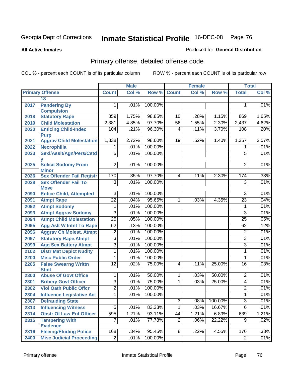#### **All Active Inmates**

### Produced for **General Distribution**

# Primary offense, detailed offense code

|      |                                            | <b>Male</b>     |       |             | <b>Female</b>   |       |         | <b>Total</b>    |       |  |
|------|--------------------------------------------|-----------------|-------|-------------|-----------------|-------|---------|-----------------|-------|--|
|      | <b>Primary Offense</b>                     | <b>Count</b>    | Col % | Row % Count |                 | Col % | Row %   | <b>Total</b>    | Col % |  |
|      | 18                                         |                 |       |             |                 |       |         |                 |       |  |
| 2017 | <b>Pandering By</b>                        | 1.              | .01%  | 100.00%     |                 |       |         | 1               | .01%  |  |
|      | <b>Compulsion</b>                          |                 |       |             |                 |       |         |                 |       |  |
| 2018 | <b>Statutory Rape</b>                      | 859             | 1.75% | 98.85%      | 10              | .28%  | 1.15%   | 869             | 1.65% |  |
| 2019 | <b>Child Molestation</b>                   | 2,381           | 4.85% | 97.70%      | $\overline{56}$ | 1.55% | 2.30%   | 2,437           | 4.62% |  |
| 2020 | <b>Enticing Child-Indec</b><br><b>Purp</b> | 104             | .21%  | 96.30%      | 4               | .11%  | 3.70%   | 108             | .20%  |  |
| 2021 | <b>Aggrav Child Molestation</b>            | 1,338           | 2.72% | 98.60%      | 19              | .52%  | 1.40%   | 1,357           | 2.57% |  |
| 2022 | Necrophilia                                | 1               | .01%  | 100.00%     |                 |       |         | 1               | .01%  |  |
| 2023 | Sexl/Asslt/Agn/Pers/Cstd                   | $\overline{5}$  | .01%  | 100.00%     |                 |       |         | $\overline{5}$  | .01%  |  |
|      |                                            |                 |       |             |                 |       |         |                 |       |  |
| 2025 | <b>Solicit Sodomy From</b><br><b>Minor</b> | $\overline{2}$  | .01%  | 100.00%     |                 |       |         | $\overline{2}$  | .01%  |  |
| 2026 | <b>Sex Offender Fail Registr</b>           | 170             | .35%  | 97.70%      | 4               | .11%  | 2.30%   | 174             | .33%  |  |
| 2028 | <b>Sex Offender Fail To</b>                | 3               | .01%  | 100.00%     |                 |       |         | 3               | .01%  |  |
|      | <b>Move</b>                                |                 |       |             |                 |       |         |                 |       |  |
| 2090 | <b>Entice Child, Attempted</b>             | $\overline{3}$  | .01%  | 100.00%     |                 |       |         | $\overline{3}$  | .01%  |  |
| 2091 | <b>Atmpt Rape</b>                          | $\overline{22}$ | .04%  | 95.65%      | 1               | .03%  | 4.35%   | $\overline{23}$ | .04%  |  |
| 2092 | <b>Atmpt Sodomy</b>                        | $\mathbf{1}$    | .01%  | 100.00%     |                 |       |         | 1               | .01%  |  |
| 2093 | <b>Atmpt Aggrav Sodomy</b>                 | 3               | .01%  | 100.00%     |                 |       |         | 3               | .01%  |  |
| 2094 | <b>Atmpt Child Molestation</b>             | $\overline{25}$ | .05%  | 100.00%     |                 |       |         | 25              | .05%  |  |
| 2095 | <b>Agg Aslt W Intnt To Rape</b>            | 62              | .13%  | 100.00%     |                 |       |         | 62              | .12%  |  |
| 2096 | <b>Aggrav Ch Molest, Atmpt</b>             | $\overline{2}$  | .01%  | 100.00%     |                 |       |         | $\overline{2}$  | .01%  |  |
| 2097 | <b>Statutory Rape, Atmpt</b>               | $\overline{3}$  | .01%  | 100.00%     |                 |       |         | 3               | .01%  |  |
| 2099 | <b>Agg Sex Battery Atmpt</b>               | $\overline{3}$  | .01%  | 100.00%     |                 |       |         | $\overline{3}$  | .01%  |  |
| 2102 | <b>Distr Mat Depict Nudity</b>             | 1               | .01%  | 100.00%     |                 |       |         | 1               | .01%  |  |
| 2200 | <b>Misc Public Order</b>                   | $\mathbf{1}$    | .01%  | 100.00%     |                 |       |         | 1               | .01%  |  |
| 2205 | <b>False Swearng Writtn</b>                | $\overline{12}$ | .02%  | 75.00%      | $\overline{4}$  | .11%  | 25.00%  | 16              | .03%  |  |
|      | <b>Stmt</b>                                |                 |       |             |                 |       |         |                 |       |  |
| 2300 | <b>Abuse Of Govt Office</b>                | 1               | .01%  | 50.00%      | 1               | .03%  | 50.00%  | $\overline{2}$  | .01%  |  |
| 2301 | <b>Bribery Govt Officer</b>                | $\overline{3}$  | .01%  | 75.00%      | 1               | .03%  | 25.00%  | $\overline{4}$  | .01%  |  |
| 2302 | <b>Viol Oath Public Offcr</b>              | $\overline{2}$  | .01%  | 100.00%     |                 |       |         | $\overline{2}$  | .01%  |  |
| 2304 | <b>Influence Legislative Act</b>           | $\mathbf 1$     | .01%  | 100.00%     |                 |       |         | 1               | .01%  |  |
| 2307 | <b>Defrauding State</b>                    |                 |       |             | $\overline{3}$  | .08%  | 100.00% | $\overline{3}$  | .01%  |  |
| 2313 | <b>Influencing Witness</b>                 | $\overline{5}$  | .01%  | 83.33%      | 1               | .03%  | 16.67%  | $\overline{6}$  | .01%  |  |
| 2314 | <b>Obstr Of Law Enf Officer</b>            | 595             | 1.21% | 93.11%      | 44              | 1.21% | 6.89%   | 639             | 1.21% |  |
| 2315 | <b>Tampering With</b>                      | $\overline{7}$  | .01%  | 77.78%      | $\overline{2}$  | .06%  | 22.22%  | $\overline{9}$  | .02%  |  |
|      | <b>Evidence</b>                            |                 |       |             |                 |       |         |                 |       |  |
| 2316 | <b>Fleeing/Eluding Police</b>              | 168             | .34%  | 95.45%      | 8 <sup>1</sup>  | .22%  | 4.55%   | 176             | .33%  |  |
| 2400 | <b>Misc Judicial Proceeding</b>            | $\overline{2}$  | .01%  | 100.00%     |                 |       |         | $\overline{2}$  | .01%  |  |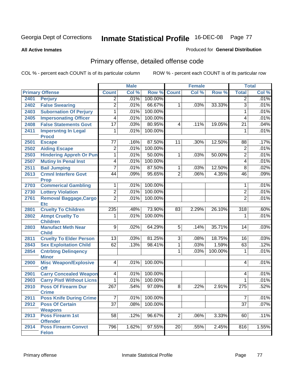#### **All Active Inmates**

### Produced for **General Distribution**

# Primary offense, detailed offense code

|      |                                                               |                 | <b>Male</b> |         |                 | <b>Female</b> |         |                 | <b>Total</b> |
|------|---------------------------------------------------------------|-----------------|-------------|---------|-----------------|---------------|---------|-----------------|--------------|
|      | <b>Primary Offense</b>                                        | <b>Count</b>    | Col %       | Row %   | <b>Count</b>    | Col %         | Row %   | <b>Total</b>    | Col %        |
| 2401 | <b>Perjury</b>                                                | $\overline{2}$  | .01%        | 100.00% |                 |               |         | $\overline{2}$  | .01%         |
| 2402 | <b>False Swearing</b>                                         | $\overline{2}$  | .01%        | 66.67%  | $\mathbf{1}$    | .03%          | 33.33%  | $\overline{3}$  | .01%         |
| 2403 | <b>Subornation Of Perjury</b>                                 | 1               | .01%        | 100.00% |                 |               |         | $\mathbf{1}$    | .01%         |
| 2405 | <b>Impersonating Officer</b>                                  | $\overline{4}$  | .01%        | 100.00% |                 |               |         | 4               | .01%         |
| 2408 | <b>False Statements Govt</b>                                  | $\overline{17}$ | .03%        | 80.95%  | $\overline{4}$  | .11%          | 19.05%  | $\overline{21}$ | .04%         |
| 2411 | <b>Impersntng In Legal</b><br><b>Procd</b>                    | 1               | .01%        | 100.00% |                 |               |         | 1               | .01%         |
| 2501 | <b>Escape</b>                                                 | 77              | .16%        | 87.50%  | 11              | .30%          | 12.50%  | 88              | .17%         |
| 2502 | <b>Aiding Escape</b>                                          | 2               | .01%        | 100.00% |                 |               |         | $\overline{2}$  | .01%         |
| 2503 | <b>Hindering Appreh Or Pun</b>                                | $\overline{1}$  | .01%        | 50.00%  | 1               | .03%          | 50.00%  | $\overline{2}$  | .01%         |
| 2507 | <b>Mutiny In Penal Inst</b>                                   | $\overline{4}$  | .01%        | 100.00% |                 |               |         | 4               | .01%         |
| 2511 | <b>Bail Jumping</b>                                           | $\overline{7}$  | .01%        | 87.50%  | $\mathbf 1$     | .03%          | 12.50%  | $\overline{8}$  | .02%         |
| 2613 | <b>Crmnl Interfere Govt</b><br><b>Prop</b>                    | 44              | .09%        | 95.65%  | $\overline{2}$  | .06%          | 4.35%   | 46              | .09%         |
| 2703 | <b>Commerical Gambling</b>                                    | 1               | .01%        | 100.00% |                 |               |         | 1               | .01%         |
| 2730 | <b>Lottery Violation</b>                                      | $\overline{2}$  | .01%        | 100.00% |                 |               |         | $\overline{2}$  | .01%         |
| 2761 | <b>Removal Baggage, Cargo</b>                                 | $\overline{2}$  | .01%        | 100.00% |                 |               |         | $\overline{2}$  | .01%         |
|      | <b>Etc</b>                                                    |                 |             |         |                 |               |         |                 |              |
| 2801 | <b>Cruelty To Children</b>                                    | 235             | .48%        | 73.90%  | 83              | 2.29%         | 26.10%  | 318             | .60%         |
| 2802 | <b>Atmpt Cruelty To</b><br><b>Children</b>                    | 1               | .01%        | 100.00% |                 |               |         | 1               | .01%         |
| 2803 | <b>Manufact Meth Near</b><br><b>Child</b>                     | $\overline{9}$  | .02%        | 64.29%  | $\overline{5}$  | .14%          | 35.71%  | 14              | .03%         |
| 2811 | <b>Cruelty To Elder Person</b>                                | $\overline{13}$ | .03%        | 81.25%  | $\overline{3}$  | .08%          | 18.75%  | $\overline{16}$ | .03%         |
| 2843 | <b>Sex Exploitation Child</b>                                 | 62              | .13%        | 98.41%  | $\overline{1}$  | .03%          | 1.59%   | 63              | .12%         |
| 2854 | <b>Cntrbtng Delingency</b>                                    |                 |             |         | 1               | .03%          | 100.00% | 1               | .01%         |
| 2900 | <b>Minor</b><br><b>Misc Weapon/Explosive</b><br>Off           | $\overline{4}$  | .01%        | 100.00% |                 |               |         | 4               | .01%         |
| 2901 | <b>Carry Concealed Weapon</b>                                 | 4               | .01%        | 100.00% |                 |               |         | 4               | .01%         |
| 2903 | <b>Carry Pistl Without Licns</b>                              | 1               | .01%        | 100.00% |                 |               |         | 1               | .01%         |
| 2910 | <b>Poss Of Firearm Dur</b><br><b>Crime</b>                    | 267             | .54%        | 97.09%  | 8               | .22%          | 2.91%   | 275             | .52%         |
| 2911 | <b>Poss Knife During Crime</b>                                | 7 <sup>1</sup>  | .01%        | 100.00% |                 |               |         | $\overline{7}$  | .01%         |
| 2912 | <b>Poss Of Certain</b>                                        | $\overline{37}$ | .08%        | 100.00% |                 |               |         | $\overline{37}$ | .07%         |
| 2913 | <b>Weapons</b><br><b>Poss Firearm 1st</b>                     | 58              | .12%        | 96.67%  | $\overline{2}$  | .06%          | 3.33%   | 60              | .11%         |
| 2914 | <b>Offender</b><br><b>Poss Firearm Convct</b><br><b>Felon</b> | 796             | 1.62%       | 97.55%  | $\overline{20}$ | .55%          | 2.45%   | 816             | 1.55%        |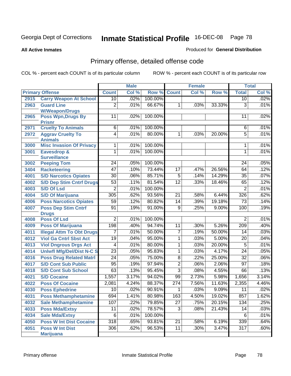**All Active Inmates**

### Produced for **General Distribution**

# Primary offense, detailed offense code

|      |                                            |                  | <b>Male</b> |         |                  | <b>Female</b> |        |                  | <b>Total</b> |
|------|--------------------------------------------|------------------|-------------|---------|------------------|---------------|--------|------------------|--------------|
|      | <b>Primary Offense</b>                     | <b>Count</b>     | Col %       | Row %   | <b>Count</b>     | Col %         | Row %  | <b>Total</b>     | Col %        |
| 2915 | <b>Carry Weapon At School</b>              | 10               | .02%        | 100.00% |                  |               |        | 10               | .02%         |
| 2963 | <b>Guard Line</b>                          | $\overline{2}$   | .01%        | 66.67%  | 1                | .03%          | 33.33% | $\overline{3}$   | .01%         |
|      | <b>W/Weapon/Drugs</b>                      |                  |             |         |                  |               |        |                  |              |
| 2965 | <b>Poss Wpn, Drugs By</b>                  | 11               | .02%        | 100.00% |                  |               |        | 11               | .02%         |
|      | <b>Prisnr</b><br><b>Cruelty To Animals</b> | $\overline{6}$   | .01%        | 100.00% |                  |               |        | 6                | .01%         |
| 2971 |                                            | $\overline{4}$   | .01%        | 80.00%  | 1                | .03%          | 20.00% | $\overline{5}$   | .01%         |
| 2972 | <b>Aggrav Cruelty To</b><br><b>Animals</b> |                  |             |         |                  |               |        |                  |              |
| 3000 | <b>Misc Invasion Of Privacy</b>            | 1                | .01%        | 100.00% |                  |               |        | 1                | .01%         |
| 3001 | Eavesdrop &                                | $\overline{1}$   | .01%        | 100.00% |                  |               |        | 1                | .01%         |
|      | <b>Surveillance</b>                        |                  |             |         |                  |               |        |                  |              |
| 3002 | <b>Peeping Tom</b>                         | 24               | .05%        | 100.00% |                  |               |        | 24               | .05%         |
| 3404 | <b>Racketeering</b>                        | $\overline{47}$  | .10%        | 73.44%  | $\overline{17}$  | .47%          | 26.56% | 64               | .12%         |
| 4001 | <b>S/D Narcotics Opiates</b>               | $\overline{30}$  | .06%        | 85.71%  | $\overline{5}$   | .14%          | 14.29% | $\overline{35}$  | .07%         |
| 4002 | <b>S/D Dep Stim Cntrf Drugs</b>            | $\overline{53}$  | .11%        | 81.54%  | $\overline{12}$  | .33%          | 18.46% | 65               | .12%         |
| 4003 | <b>S/D Of Lsd</b>                          | $\overline{2}$   | .01%        | 100.00% |                  |               |        | $\overline{2}$   | .01%         |
| 4004 | <b>S/D Of Marijuana</b>                    | 305              | .62%        | 93.56%  | $\overline{21}$  | .58%          | 6.44%  | $\overline{326}$ | .62%         |
| 4006 | <b>Poss Narcotics Opiates</b>              | 59               | .12%        | 80.82%  | 14               | .39%          | 19.18% | 73               | .14%         |
| 4007 | <b>Poss Dep Stim Cntrf</b>                 | $\overline{91}$  | .19%        | 91.00%  | $\overline{9}$   | .25%          | 9.00%  | 100              | .19%         |
|      | <b>Drugs</b>                               |                  |             |         |                  |               |        |                  |              |
| 4008 | <b>Poss Of Lsd</b>                         | $\overline{2}$   | .01%        | 100.00% |                  |               |        | $\overline{2}$   | .01%         |
| 4009 | <b>Poss Of Marijuana</b>                   | 198              | .40%        | 94.74%  | 11               | .30%          | 5.26%  | 209              | .40%         |
| 4011 | <b>Illegal Attm To Obt Drugs</b>           | 7                | .01%        | 50.00%  | 7                | .19%          | 50.00% | $\overline{14}$  | .03%         |
| 4012 | <b>Viol Ga Cntrl Sbst Act</b>              | $\overline{19}$  | .04%        | 95.00%  | 1                | .03%          | 5.00%  | 20               | .04%         |
| 4013 | <b>Viol Dngrous Drgs Act</b>               | 4                | .01%        | 80.00%  | 1                | .03%          | 20.00% | 5                | .01%         |
| 4014 | <b>Uniwfl Mfg/Del/Dist N-C S</b>           | $\overline{23}$  | .05%        | 95.83%  | 1                | .03%          | 4.17%  | 24               | .05%         |
| 4016 | <b>Poss Drug Related Matri</b>             | $\overline{24}$  | .05%        | 75.00%  | $\overline{8}$   | .22%          | 25.00% | $\overline{32}$  | .06%         |
| 4017 | <b>S/D Cont Sub Public</b>                 | 95               | .19%        | 97.94%  | $\overline{2}$   | .06%          | 2.06%  | $\overline{97}$  | .18%         |
| 4018 | <b>S/D Cont Sub School</b>                 | 63               | .13%        | 95.45%  | $\overline{3}$   | .08%          | 4.55%  | 66               | .13%         |
| 4021 | <b>S/D Cocaine</b>                         | 1,557            | 3.17%       | 94.02%  | 99               | 2.73%         | 5.98%  | 1,656            | 3.14%        |
| 4022 | <b>Poss Of Cocaine</b>                     | 2,081            | 4.24%       | 88.37%  | $\overline{274}$ | 7.56%         | 11.63% | 2,355            | 4.46%        |
| 4030 | <b>Poss Ephedrine</b>                      | 10               | .02%        | 90.91%  | 1                | .03%          | 9.09%  | 11               | .02%         |
| 4031 | <b>Poss Methamphetamine</b>                | 694              | 1.41%       | 80.98%  | 163              | 4.50%         | 19.02% | 857              | 1.62%        |
| 4032 | <b>Sale Methamphetamine</b>                | 107              | .22%        | 79.85%  | $\overline{27}$  | .75%          | 20.15% | 134              | .25%         |
| 4033 | <b>Poss Mda/Extsy</b>                      | 11               | .02%        | 78.57%  | 3                | .08%          | 21.43% | 14               | .03%         |
| 4034 | <b>Sale Mda/Extsy</b>                      | 6                | .01%        | 100.00% |                  |               |        | 6                | .01%         |
| 4050 | <b>Poss W Int Dist Cocaine</b>             | $\overline{318}$ | .65%        | 93.81%  | $\overline{21}$  | .58%          | 6.19%  | 339              | .64%         |
| 4051 | <b>Poss W Int Dist</b>                     | 306              | .62%        | 96.53%  | 11               | .30%          | 3.47%  | $\overline{317}$ | .60%         |
|      | <b>Marijuana</b>                           |                  |             |         |                  |               |        |                  |              |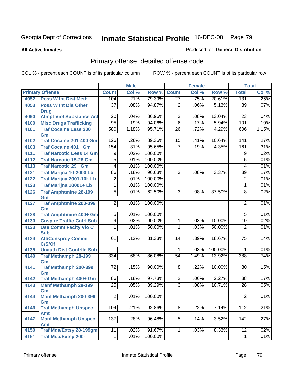**All Active Inmates**

### Produced for **General Distribution**

# Primary offense, detailed offense code

|      |                                            |                 | <b>Male</b> |              |                 | <b>Female</b> |         |                 | <b>Total</b> |
|------|--------------------------------------------|-----------------|-------------|--------------|-----------------|---------------|---------|-----------------|--------------|
|      | <b>Primary Offense</b>                     | <b>Count</b>    | Col %       | Row %        | <b>Count</b>    | Col %         | Row %   | <b>Total</b>    | Col %        |
| 4052 | <b>Poss W Int Dist Meth</b>                | 104             | .21%        | 79.39%       | $\overline{27}$ | .75%          | 20.61%  | 131             | .25%         |
| 4053 | <b>Poss W Int Dis Other</b>                | $\overline{37}$ | .08%        | 94.87%       | 2               | .06%          | 5.13%   | 39              | .07%         |
|      | <b>Drug</b>                                |                 |             |              |                 |               |         |                 |              |
| 4090 | <b>Atmpt Viol Substance Act</b>            | 20              | .04%        | 86.96%       | $\overline{3}$  | .08%          | 13.04%  | 23              | .04%         |
| 4100 | <b>Misc Drugs Trafficking</b>              | $\overline{95}$ | .19%        | 94.06%       | $\overline{6}$  | .17%          | 5.94%   | 101             | .19%         |
| 4101 | <b>Traf Cocaine Less 200</b>               | 580             | 1.18%       | 95.71%       | $\overline{26}$ | .72%          | 4.29%   | 606             | 1.15%        |
| 4102 | Gm<br><b>Traf Cocaine 201-400 Gm</b>       | 126             | .26%        | 89.36%       | 15              | .41%          | 10.64%  | 141             | .27%         |
| 4103 | <b>Traf Cocaine 401+ Gm</b>                | 154             | .31%        | 95.65%       | $\overline{7}$  | .19%          | 4.35%   | 161             | .31%         |
| 4111 | <b>Traf Narcotic Less 14 Gm</b>            | $\overline{9}$  | .02%        | 100.00%      |                 |               |         | $\overline{9}$  | .02%         |
| 4112 | <b>Traf Narcotic 15-28 Gm</b>              | $\overline{5}$  | .01%        | 100.00%      |                 |               |         | $\overline{5}$  | .01%         |
| 4113 | <b>Traf Narcotic 29+ Gm</b>                | 4               | .01%        | 100.00%      |                 |               |         | 4               | .01%         |
| 4121 | Traf Marijna 10-2000 Lb                    | 86              | .18%        | 96.63%       | $\overline{3}$  | .08%          | 3.37%   | 89              | .17%         |
| 4122 | Traf Marijna 2001-10k Lb                   | $\overline{2}$  | .01%        | 100.00%      |                 |               |         | $\overline{2}$  | .01%         |
| 4123 | Traf Marijna 10001+ Lb                     | $\overline{1}$  | .01%        | 100.00%      |                 |               |         | $\overline{1}$  | .01%         |
| 4126 | <b>Traf Amphtmine 28-199</b>               | $\overline{5}$  | .01%        | 62.50%       | $\overline{3}$  | .08%          | 37.50%  | $\overline{8}$  | .02%         |
|      | Gm                                         |                 |             |              |                 |               |         |                 |              |
| 4127 | <b>Traf Amphtmine 200-399</b>              | $\overline{2}$  | .01%        | 100.00%      |                 |               |         | $\overline{2}$  | .01%         |
|      | Gm                                         |                 |             |              |                 |               |         |                 |              |
| 4128 | <b>Traf Amphtmine 400+ Gm</b>              | $\overline{5}$  | .01%        | 100.00%      |                 |               |         | $\overline{5}$  | .01%         |
| 4130 | <b>Cnspire Traffic Cntrl Sub</b>           | $\overline{9}$  | .02%        | 90.00%       | 1               | .03%          | 10.00%  | 10              | .02%         |
| 4133 | <b>Use Comm Facity Vio C</b><br><b>Sub</b> | 1               | .01%        | 50.00%       | 1               | .03%          | 50.00%  | $\overline{2}$  | .01%         |
| 4134 | <b>Att/Consprcy Commt</b>                  | 61              | .12%        | 81.33%       | 14              | .39%          | 18.67%  | $\overline{75}$ | .14%         |
|      | C/S/Of                                     |                 |             |              |                 |               |         |                 |              |
| 4135 | <b>Unauth Dist Contrild Sub</b>            |                 |             |              | 1               | .03%          | 100.00% | 1               | .01%         |
| 4140 | <b>Traf Methamph 28-199</b>                | 334             | .68%        | 86.08%       | $\overline{54}$ | 1.49%         | 13.92%  | 388             | .74%         |
|      | Gm                                         |                 |             |              |                 |               |         |                 |              |
| 4141 | <b>Traf Methamph 200-399</b><br>Gm         | $\overline{72}$ | .15%        | 90.00%       | $\overline{8}$  | .22%          | 10.00%  | 80              | .15%         |
| 4142 | Traf Methamph 400+ Gm                      | $\overline{86}$ | .18%        | 97.73%       | $\overline{2}$  | .06%          | 2.27%   | 88              | .17%         |
| 4143 | <b>Manf Methamph 28-199</b>                | $\overline{25}$ | .05%        | 89.29%       | $\overline{3}$  | .08%          | 10.71%  | 28              | .05%         |
|      | Gm                                         |                 |             |              |                 |               |         |                 |              |
| 4144 | <b>Manf Methamph 200-399</b>               | $2\vert$        |             | .01% 100.00% |                 |               |         | $2\vert$        | .01%         |
| 4146 | Gm<br><b>Traf Methamph Unspec</b>          | 104             | .21%        | 92.86%       | $\overline{8}$  | .22%          | 7.14%   | 112             | .21%         |
|      | Amt                                        |                 |             |              |                 |               |         |                 |              |
| 4147 | <b>Manf Methamph Unspec</b>                | 137             | .28%        | 96.48%       | $\overline{5}$  | .14%          | 3.52%   | 142             | .27%         |
|      | <b>Amt</b>                                 |                 |             |              |                 |               |         |                 |              |
| 4150 | <b>Traf Mda/Extsy 28-199gm</b>             | $\overline{11}$ | .02%        | 91.67%       | 1               | .03%          | 8.33%   | $\overline{12}$ | .02%         |
| 4151 | <b>Traf Mda/Extsy 200-</b>                 | $\mathbf{1}$    | .01%        | 100.00%      |                 |               |         | $\mathbf 1$     | .01%         |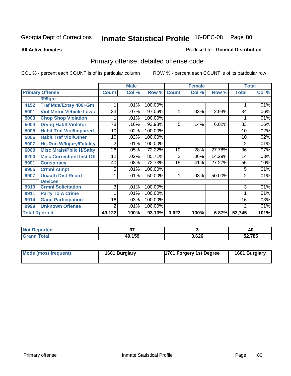**All Active Inmates**

#### Produced for **General Distribution**

# Primary offense, detailed offense code

|                      |                                  |                 | <b>Male</b> |         |                | <b>Female</b> |        | <b>Total</b>   |         |
|----------------------|----------------------------------|-----------------|-------------|---------|----------------|---------------|--------|----------------|---------|
|                      | <b>Primary Offense</b>           | <b>Count</b>    | Col %       | Row %   | <b>Count</b>   | Col %         | Row %  | <b>Total</b>   | Col %   |
|                      | 399gm                            |                 |             |         |                |               |        |                |         |
| 4152                 | Traf Mda/Extsy 400+Gm            |                 | .01%        | 100.00% |                |               |        |                | .01%    |
| 5001                 | <b>Viol Motor Vehicle Laws</b>   | $\overline{33}$ | .07%        | 97.06%  | 1              | .03%          | 2.94%  | 34             | .06%    |
| 5003                 | <b>Chop Shop Violation</b>       |                 | .01%        | 100.00% |                |               |        |                | .01%    |
| 5004                 | <b>Drvng Habtl Violator</b>      | 78              | .16%        | 93.98%  | 5              | .14%          | 6.02%  | 83             | .16%    |
| 5005                 | <b>Habit Traf Viol/Impaired</b>  | 10              | .02%        | 100.00% |                |               |        | 10             | .02%    |
| 5006                 | <b>Habit Traf Viol/Other</b>     | 10              | .02%        | 100.00% |                |               |        | 10             | .02%    |
| 5007                 | <b>Hit-Run W/Injury/Fatality</b> | 2               | .01%        | 100.00% |                |               |        | 2              | .01%    |
| 6000                 | <b>Misc Mrals/Pblic H/Safty</b>  | 26              | .05%        | 72.22%  | 10             | .28%          | 27.78% | 36             | .07%    |
| 6200                 | <b>Misc CorrectionI Inst Off</b> | 12              | $.02\%$     | 85.71%  | $\overline{2}$ | .06%          | 14.29% | 14             | .03%    |
| 9901                 | <b>Conspiracy</b>                | 40              | .08%        | 72.73%  | 15             | .41%          | 27.27% | 55             | .10%    |
| 9905                 | <b>Crmnl Atmpt</b>               | 5               | .01%        | 100.00% |                |               |        | 5              | .01%    |
| 9907                 | <b>Unauth Dist Recrd</b>         |                 | .01%        | 50.00%  | 1              | .03%          | 50.00% | $\overline{2}$ | .01%    |
|                      | <b>Devices</b>                   |                 |             |         |                |               |        |                |         |
| 9910                 | <b>Crmnl Solicitation</b>        | 3               | .01%        | 100.00% |                |               |        | 3              | .01%    |
| 9911                 | <b>Party To A Crime</b>          |                 | .01%        | 100.00% |                |               |        |                | $.01\%$ |
| 9914                 | <b>Gang Participation</b>        | 16              | .03%        | 100.00% |                |               |        | 16             | .03%    |
| 9999                 | <b>Unknown Offense</b>           | 2               | .01%        | 100.00% |                |               |        | 2              | .01%    |
| <b>Total Rported</b> |                                  | 49,122          | 100%        | 93.13%  | 3,623          | 100%          | 6.87%  | 52,745         | 101%    |

| <b>Not Reported</b> | ~-     |       | 40     |
|---------------------|--------|-------|--------|
| <b>Grand Total</b>  | 49,159 | 3,626 | 52,785 |

| Mode (most frequent) | 1601 Burglary | 1701 Forgery 1st Degree | 1601 Burglary |
|----------------------|---------------|-------------------------|---------------|
|----------------------|---------------|-------------------------|---------------|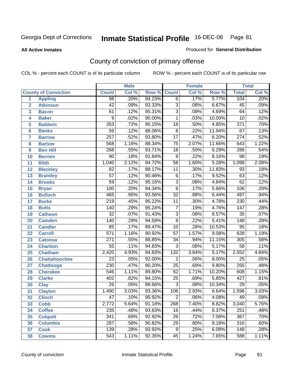#### **All Active Inmates**

#### Produced for **General Distribution**

# County of conviction of primary offense

|                 |                             |                  | <b>Male</b> |        | <b>Female</b>   |       |        | <b>Total</b>     |         |  |
|-----------------|-----------------------------|------------------|-------------|--------|-----------------|-------|--------|------------------|---------|--|
|                 | <b>County of Conviction</b> | <b>Count</b>     | Col %       | Row %  | <b>Count</b>    | Col % | Row %  | <b>Total</b>     | Col %   |  |
| 1               | <b>Appling</b>              | $\overline{98}$  | .20%        | 94.23% | $\overline{6}$  | .17%  | 5.77%  | 104              | .20%    |  |
| $\overline{2}$  | <b>Atkinson</b>             | $\overline{42}$  | .09%        | 93.33% | $\overline{3}$  | .08%  | 6.67%  | 45               | .09%    |  |
| 3               | <b>Bacon</b>                | 61               | .12%        | 95.31% | $\overline{3}$  | .08%  | 4.69%  | 64               | .12%    |  |
| 4               | <b>Baker</b>                | 9                | .02%        | 90.00% | $\mathbf 1$     | .03%  | 10.00% | $\overline{10}$  | .02%    |  |
| 5               | <b>Baldwin</b>              | 353              | .72%        | 95.15% | $\overline{18}$ | .50%  | 4.85%  | $\overline{371}$ | .70%    |  |
| 6               | <b>Banks</b>                | $\overline{59}$  | .12%        | 88.06% | $\overline{8}$  | .22%  | 11.94% | $\overline{67}$  | .13%    |  |
| 7               | <b>Barrow</b>               | $\overline{257}$ | .52%        | 93.80% | $\overline{17}$ | .47%  | 6.20%  | $\overline{274}$ | .52%    |  |
| 8               | <b>Bartow</b>               | 568              | 1.16%       | 88.34% | $\overline{75}$ | 2.07% | 11.66% | 643              | 1.22%   |  |
| 9               | <b>Ben Hill</b>             | 268              | .55%        | 93.71% | $\overline{18}$ | .50%  | 6.29%  | 286              | .54%    |  |
| 10              | <b>Berrien</b>              | $\overline{90}$  | .18%        | 91.84% | $\overline{8}$  | .22%  | 8.16%  | 98               | .19%    |  |
| 11              | <b>Bibb</b>                 | 1,040            | 2.12%       | 94.72% | $\overline{58}$ | 1.60% | 5.28%  | 1,098            | 2.08%   |  |
| 12              | <b>Bleckley</b>             | $\overline{82}$  | .17%        | 88.17% | 11              | .30%  | 11.83% | $\overline{93}$  | .18%    |  |
| $\overline{13}$ | <b>Brantley</b>             | $\overline{57}$  | .12%        | 90.48% | $\overline{6}$  | .17%  | 9.52%  | 63               | .12%    |  |
| 14              | <b>Brooks</b>               | $\overline{59}$  | .12%        | 95.16% | $\overline{3}$  | .08%  | 4.84%  | 62               | .12%    |  |
| 15              | <b>Bryan</b>                | 100              | .20%        | 94.34% | $\overline{6}$  | .17%  | 5.66%  | 106              | .20%    |  |
| 16              | <b>Bulloch</b>              | 465              | .95%        | 93.56% | $\overline{32}$ | .88%  | 6.44%  | 497              | .94%    |  |
| 17              | <b>Burke</b>                | $\overline{219}$ | .45%        | 95.22% | $\overline{11}$ | .30%  | 4.78%  | 230              | .44%    |  |
| 18              | <b>Butts</b>                | 140              | .29%        | 95.24% | $\overline{7}$  | .19%  | 4.76%  | 147              | .28%    |  |
| 19              | <b>Calhoun</b>              | $\overline{32}$  | .07%        | 91.43% | $\overline{3}$  | .08%  | 8.57%  | $\overline{35}$  | .07%    |  |
| 20              | <b>Camden</b>               | 140              | .29%        | 94.59% | $\overline{8}$  | .22%  | 5.41%  | $\overline{148}$ | .28%    |  |
| 21              | <b>Candler</b>              | 85               | .17%        | 89.47% | $\overline{10}$ | .28%  | 10.53% | $\overline{95}$  | .18%    |  |
| 22              | <b>Carroll</b>              | $\overline{571}$ | 1.16%       | 90.92% | $\overline{57}$ | 1.57% | 9.08%  | 628              | 1.19%   |  |
| 23              | <b>Catoosa</b>              | $\overline{271}$ | .55%        | 88.85% | $\overline{34}$ | .94%  | 11.15% | 305              | .58%    |  |
| 24              | <b>Charlton</b>             | $\overline{55}$  | .11%        | 94.83% | $\overline{3}$  | .08%  | 5.17%  | $\overline{58}$  | .11%    |  |
| 25              | <b>Chatham</b>              | 2,420            | 4.93%       | 94.83% | 132             | 3.64% | 5.17%  | 2,552            | 4.84%   |  |
| 26              | <b>Chattahoochee</b>        | $\overline{23}$  | .05%        | 92.00% | $\overline{2}$  | .06%  | 8.00%  | $\overline{25}$  | .05%    |  |
| 27              | <b>Chattooga</b>            | $\overline{230}$ | .47%        | 90.20% | $\overline{25}$ | .69%  | 9.80%  | 255              | .48%    |  |
| 28              | <b>Cherokee</b>             | $\overline{546}$ | 1.11%       | 89.80% | 62              | 1.71% | 10.20% | 608              | 1.15%   |  |
| 29              | <b>Clarke</b>               | 402              | .82%        | 94.15% | $\overline{25}$ | .69%  | 5.85%  | 427              | .81%    |  |
| 30              | <b>Clay</b>                 | $\overline{26}$  | .05%        | 89.66% | $\overline{3}$  | .08%  | 10.34% | 29               | .05%    |  |
| 31              | <b>Clayton</b>              | 1,490            | 3.03%       | 93.36% | 106             | 2.93% | 6.64%  | 1,596            | 3.03%   |  |
| 32              | <b>Clinch</b>               | 47               | .10%        | 95.92% | $\overline{2}$  | .06%  | 4.08%  | 49               | $.09\%$ |  |
| 33              | <b>Cobb</b>                 | 2,772            | 5.64%       | 91.18% | 268             | 7.40% | 8.82%  | 3,040            | 5.76%   |  |
| 34              | <b>Coffee</b>               | 235              | .48%        | 93.63% | 16              | .44%  | 6.37%  | 251              | .48%    |  |
| 35              | <b>Colquitt</b>             | 341              | .69%        | 92.92% | 26              | .72%  | 7.08%  | 367              | .70%    |  |
| 36              | <b>Columbia</b>             | 287              | .58%        | 90.82% | 29              | .80%  | 9.18%  | 316              | .60%    |  |
| 37              | <b>Cook</b>                 | 139              | .28%        | 93.92% | $\overline{9}$  | .25%  | 6.08%  | 148              | .28%    |  |
| 38              | <b>Coweta</b>               | 543              | 1.11%       | 92.35% | 45              | 1.24% | 7.65%  | 588              | 1.11%   |  |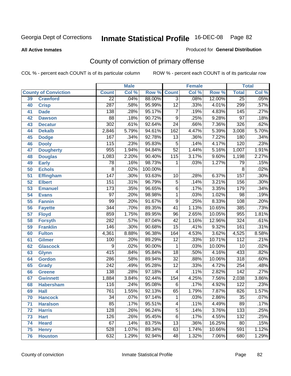#### **All Active Inmates**

#### Produced for **General Distribution**

# County of conviction of primary offense

|                 |                             |                  | <b>Male</b> |         | <b>Female</b>    |       |        | <b>Total</b>     |       |
|-----------------|-----------------------------|------------------|-------------|---------|------------------|-------|--------|------------------|-------|
|                 | <b>County of Conviction</b> | <b>Count</b>     | Col %       | Row %   | <b>Count</b>     | Col % | Row %  | <b>Total</b>     | Col % |
| 39              | <b>Crawford</b>             | $\overline{22}$  | .04%        | 88.00%  | $\overline{3}$   | .08%  | 12.00% | $\overline{25}$  | .05%  |
| 40              | <b>Crisp</b>                | 287              | .58%        | 95.99%  | $\overline{12}$  | .33%  | 4.01%  | 299              | .57%  |
| 41              | <b>Dade</b>                 | 138              | .28%        | 95.17%  | $\overline{7}$   | .19%  | 4.83%  | $\overline{145}$ | .27%  |
| 42              | <b>Dawson</b>               | $\overline{88}$  | .18%        | 90.72%  | $\overline{9}$   | .25%  | 9.28%  | $\overline{97}$  | .18%  |
| 43              | <b>Decatur</b>              | $\overline{302}$ | .61%        | 92.64%  | $\overline{24}$  | .66%  | 7.36%  | $\overline{326}$ | .62%  |
| 44              | <b>Dekalb</b>               | 2,846            | 5.79%       | 94.61%  | $\overline{162}$ | 4.47% | 5.39%  | 3,008            | 5.70% |
| 45              | <b>Dodge</b>                | 167              | .34%        | 92.78%  | 13               | .36%  | 7.22%  | 180              | .34%  |
| 46              | <b>Dooly</b>                | 115              | .23%        | 95.83%  | $\overline{5}$   | .14%  | 4.17%  | 120              | .23%  |
| 47              | <b>Dougherty</b>            | 955              | 1.94%       | 94.84%  | $\overline{52}$  | 1.44% | 5.16%  | 1,007            | 1.91% |
| 48              | <b>Douglas</b>              | 1,083            | 2.20%       | 90.40%  | 115              | 3.17% | 9.60%  | 1,198            | 2.27% |
| 49              | <b>Early</b>                | 78               | .16%        | 98.73%  | 1                | .03%  | 1.27%  | 79               | .15%  |
| 50              | <b>Echols</b>               | $\overline{8}$   | .02%        | 100.00% |                  |       |        | 8                | .02%  |
| $\overline{51}$ | <b>Effingham</b>            | 147              | .30%        | 93.63%  | 10               | .28%  | 6.37%  | 157              | .30%  |
| 52              | <b>Elbert</b>               | 151              | .31%        | 96.79%  | $\overline{5}$   | .14%  | 3.21%  | 156              | .30%  |
| 53              | <b>Emanuel</b>              | $\overline{173}$ | .35%        | 96.65%  | $\overline{6}$   | .17%  | 3.35%  | 179              | .34%  |
| $\overline{54}$ | <b>Evans</b>                | $\overline{97}$  | .20%        | 98.98%  | 1                | .03%  | 1.02%  | $\overline{98}$  | .19%  |
| 55              | <b>Fannin</b>               | 99               | .20%        | 91.67%  | $\overline{9}$   | .25%  | 8.33%  | 108              | .20%  |
| 56              | <b>Fayette</b>              | 344              | .70%        | 89.35%  | $\overline{41}$  | 1.13% | 10.65% | 385              | .73%  |
| 57              | <b>Floyd</b>                | 859              | 1.75%       | 89.95%  | 96               | 2.65% | 10.05% | 955              | 1.81% |
| 58              | <b>Forsyth</b>              | $\overline{282}$ | .57%        | 87.04%  | $\overline{42}$  | 1.16% | 12.96% | 324              | .61%  |
| 59              | <b>Franklin</b>             | 146              | .30%        | 90.68%  | $\overline{15}$  | .41%  | 9.32%  | 161              | .31%  |
| 60              | <b>Fulton</b>               | 4,361            | 8.88%       | 96.38%  | 164              | 4.53% | 3.62%  | 4,525            | 8.58% |
| 61              | Gilmer                      | 100              | .20%        | 89.29%  | $\overline{12}$  | .33%  | 10.71% | $\overline{112}$ | .21%  |
| 62              | <b>Glascock</b>             | $\overline{9}$   | .02%        | 90.00%  | $\overline{1}$   | .03%  | 10.00% | $\overline{10}$  | .02%  |
| 63              | <b>Glynn</b>                | 415              | .84%        | 95.84%  | $\overline{18}$  | .50%  | 4.16%  | 433              | .82%  |
| 64              | <b>Gordon</b>               | 286              | .58%        | 89.94%  | $\overline{32}$  | .88%  | 10.06% | $\overline{318}$ | .60%  |
| 65              | <b>Grady</b>                | $\overline{242}$ | .49%        | 95.28%  | $\overline{12}$  | .33%  | 4.72%  | 254              | .48%  |
| 66              | <b>Greene</b>               | 138              | .28%        | 97.18%  | 4                | .11%  | 2.82%  | $\overline{142}$ | .27%  |
| 67              | <b>Gwinnett</b>             | 1,884            | 3.84%       | 92.44%  | 154              | 4.25% | 7.56%  | 2,038            | 3.86% |
| 68              | <b>Habersham</b>            | 116              | .24%        | 95.08%  | $\overline{6}$   | .17%  | 4.92%  | $\overline{122}$ | .23%  |
| 69              | <b>Hall</b>                 | 761              | 1.55%       | 92.13%  | 65               | 1.79% | 7.87%  | $\overline{826}$ | 1.57% |
| 70              | <b>Hancock</b>              | 34               | $.07\%$     | 97.14%  | 1                | .03%  | 2.86%  | $\overline{35}$  | .07%  |
| 71              | <b>Haralson</b>             | 85               | .17%        | 95.51%  | 4                | .11%  | 4.49%  | 89               | .17%  |
| 72              | <b>Harris</b>               | 128              | .26%        | 96.24%  | $\overline{5}$   | .14%  | 3.76%  | 133              | .25%  |
| 73              | <b>Hart</b>                 | 126              | .26%        | 95.45%  | $\overline{6}$   | .17%  | 4.55%  | $\overline{132}$ | .25%  |
| 74              | <b>Heard</b>                | 67               | .14%        | 83.75%  | $\overline{13}$  | .36%  | 16.25% | 80               | .15%  |
| 75              | <b>Henry</b>                | 528              | 1.07%       | 89.34%  | 63               | 1.74% | 10.66% | 591              | 1.12% |
| 76              | <b>Houston</b>              | 632              | 1.29%       | 92.94%  | 48               | 1.32% | 7.06%  | 680              | 1.29% |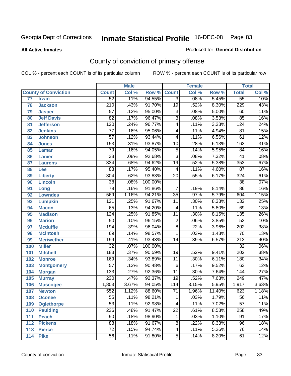**All Active Inmates**

#### Produced for **General Distribution**

# County of conviction of primary offense

|                 |                             |                  | <b>Male</b> |         |                 | <b>Female</b> |        |                  | <b>Total</b> |
|-----------------|-----------------------------|------------------|-------------|---------|-----------------|---------------|--------|------------------|--------------|
|                 | <b>County of Conviction</b> | <b>Count</b>     | Col %       | Row %   | <b>Count</b>    | Col %         | Row %  | <b>Total</b>     | Col %        |
| $\overline{77}$ | <b>Irwin</b>                | $\overline{52}$  | .11%        | 94.55%  | $\overline{3}$  | .08%          | 5.45%  | $\overline{55}$  | .10%         |
| 78              | <b>Jackson</b>              | $\overline{210}$ | .43%        | 91.70%  | $\overline{19}$ | .52%          | 8.30%  | 229              | .43%         |
| 79              | <b>Jasper</b>               | $\overline{57}$  | .12%        | 95.00%  | $\overline{3}$  | .08%          | 5.00%  | 60               | .11%         |
| 80              | <b>Jeff Davis</b>           | $\overline{82}$  | .17%        | 96.47%  | $\overline{3}$  | .08%          | 3.53%  | 85               | .16%         |
| 81              | <b>Jefferson</b>            | 120              | .24%        | 96.77%  | $\overline{4}$  | .11%          | 3.23%  | 124              | .24%         |
| 82              | <b>Jenkins</b>              | $\overline{77}$  | .16%        | 95.06%  | $\overline{4}$  | .11%          | 4.94%  | $\overline{81}$  | .15%         |
| 83              | <b>Johnson</b>              | $\overline{57}$  | .12%        | 93.44%  | 4               | .11%          | 6.56%  | 61               | .12%         |
| 84              | <b>Jones</b>                | 153              | .31%        | 93.87%  | 10              | .28%          | 6.13%  | 163              | .31%         |
| 85              | <b>Lamar</b>                | 79               | .16%        | 94.05%  | $\overline{5}$  | .14%          | 5.95%  | 84               | .16%         |
| 86              | <b>Lanier</b>               | $\overline{38}$  | .08%        | 92.68%  | $\overline{3}$  | .08%          | 7.32%  | $\overline{41}$  | .08%         |
| 87              | <b>Laurens</b>              | 334              | .68%        | 94.62%  | $\overline{19}$ | .52%          | 5.38%  | 353              | .67%         |
| 88              | Lee                         | 83               | .17%        | 95.40%  | 4               | .11%          | 4.60%  | $\overline{87}$  | .16%         |
| 89              | <b>Liberty</b>              | 304              | .62%        | 93.83%  | $\overline{20}$ | .55%          | 6.17%  | 324              | .61%         |
| 90              | <b>Lincoln</b>              | $\overline{38}$  | .08%        | 100.00% |                 |               |        | $\overline{38}$  | .07%         |
| 91              | Long                        | $\overline{79}$  | .16%        | 91.86%  | $\overline{7}$  | .19%          | 8.14%  | 86               | .16%         |
| 92              | <b>Lowndes</b>              | 569              | 1.16%       | 94.21%  | $\overline{35}$ | .97%          | 5.79%  | 604              | 1.15%        |
| 93              | <b>Lumpkin</b>              | 121              | .25%        | 91.67%  | $\overline{11}$ | .30%          | 8.33%  | $\overline{132}$ | .25%         |
| 94              | <b>Macon</b>                | 65               | .13%        | 94.20%  | 4               | .11%          | 5.80%  | 69               | .13%         |
| 95              | <b>Madison</b>              | 124              | .25%        | 91.85%  | $\overline{11}$ | .30%          | 8.15%  | 135              | .26%         |
| 96              | <b>Marion</b>               | $\overline{50}$  | .10%        | 96.15%  | $\overline{2}$  | .06%          | 3.85%  | $\overline{52}$  | .10%         |
| 97              | <b>Mcduffie</b>             | 194              | .39%        | 96.04%  | $\overline{8}$  | .22%          | 3.96%  | 202              | .38%         |
| 98              | <b>Mcintosh</b>             | 69               | .14%        | 98.57%  | $\mathbf{1}$    | .03%          | 1.43%  | $\overline{70}$  | .13%         |
| 99              | <b>Meriwether</b>           | 199              | .41%        | 93.43%  | 14              | .39%          | 6.57%  | $\overline{213}$ | .40%         |
| 100             | <b>Miller</b>               | $\overline{32}$  | .07%        | 100.00% |                 |               |        | $\overline{32}$  | .06%         |
| 101             | <b>Mitchell</b>             | 183              | .37%        | 90.59%  | 19              | .52%          | 9.41%  | $\overline{202}$ | .38%         |
| 102             | <b>Monroe</b>               | 169              | .34%        | 93.89%  | $\overline{11}$ | .30%          | 6.11%  | 180              | .34%         |
| 103             | <b>Montgomery</b>           | $\overline{57}$  | .12%        | 90.48%  | $\overline{6}$  | .17%          | 9.52%  | 63               | .12%         |
| 104             | <b>Morgan</b>               | $\overline{133}$ | .27%        | 92.36%  | $\overline{11}$ | .30%          | 7.64%  | 144              | .27%         |
| 105             | <b>Murray</b>               | 230              | .47%        | 92.37%  | $\overline{19}$ | .52%          | 7.63%  | 249              | .47%         |
| 106             | <b>Muscogee</b>             | 1,803            | 3.67%       | 94.05%  | 114             | 3.15%         | 5.95%  | 1,917            | 3.63%        |
| 107             | <b>Newton</b>               | 552              | 1.12%       | 88.60%  | $\overline{71}$ | 1.96%         | 11.40% | 623              | 1.18%        |
| 108             | <b>Oconee</b>               | 55               | .11%        | 98.21%  | 1               | .03%          | 1.79%  | 56               | .11%         |
| 109             | <b>Oglethorpe</b>           | $\overline{53}$  | .11%        | 92.98%  | 4               | .11%          | 7.02%  | $\overline{57}$  | .11%         |
| 110             | Paulding                    | 236              | .48%        | 91.47%  | $\overline{22}$ | .61%          | 8.53%  | 258              | .49%         |
| 111             | <b>Peach</b>                | $\overline{90}$  | .18%        | 98.90%  | 1               | .03%          | 1.10%  | 91               | .17%         |
| 112             | <b>Pickens</b>              | $\overline{88}$  | .18%        | 91.67%  | 8               | .22%          | 8.33%  | 96               | .18%         |
| 113             | <b>Pierce</b>               | $\overline{72}$  | .15%        | 94.74%  | 4               | .11%          | 5.26%  | 76               | .14%         |
| 114             | <b>Pike</b>                 | $\overline{56}$  | .11%        | 91.80%  | $\overline{5}$  | .14%          | 8.20%  | 61               | .12%         |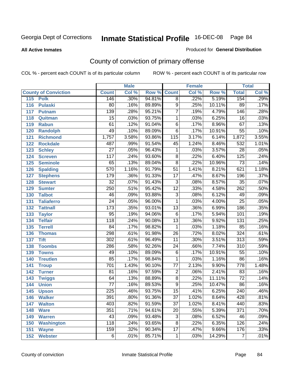#### **All Active Inmates**

#### Produced for **General Distribution**

# County of conviction of primary offense

|                             |                  | <b>Male</b> |        |                 | <b>Female</b> |        |                  | <b>Total</b>               |
|-----------------------------|------------------|-------------|--------|-----------------|---------------|--------|------------------|----------------------------|
| <b>County of Conviction</b> | <b>Count</b>     | Col %       | Row %  | <b>Count</b>    | Col %         | Row %  | <b>Total</b>     | $\overline{\text{Col }\%}$ |
| 115<br><b>Polk</b>          | 146              | .30%        | 94.81% | $\overline{8}$  | .22%          | 5.19%  | 154              | .29%                       |
| <b>Pulaski</b><br>116       | $\overline{80}$  | .16%        | 89.89% | $\overline{9}$  | .25%          | 10.11% | 89               | .17%                       |
| 117<br><b>Putnam</b>        | 139              | .28%        | 95.21% | $\overline{7}$  | .19%          | 4.79%  | 146              | .28%                       |
| 118<br>Quitman              | $\overline{15}$  | .03%        | 93.75% | 1               | .03%          | 6.25%  | $\overline{16}$  | .03%                       |
| 119<br><b>Rabun</b>         | 61               | .12%        | 91.04% | $\overline{6}$  | .17%          | 8.96%  | 67               | .13%                       |
| 120<br><b>Randolph</b>      | 49               | .10%        | 89.09% | $\overline{6}$  | .17%          | 10.91% | $\overline{55}$  | .10%                       |
| 121<br><b>Richmond</b>      | 1,757            | 3.58%       | 93.86% | 115             | 3.17%         | 6.14%  | 1,872            | 3.55%                      |
| 122<br><b>Rockdale</b>      | 487              | .99%        | 91.54% | 45              | 1.24%         | 8.46%  | $\overline{532}$ | 1.01%                      |
| 123<br><b>Schley</b>        | $\overline{27}$  | .05%        | 96.43% | $\mathbf{1}$    | .03%          | 3.57%  | $\overline{28}$  | .05%                       |
| 124<br><b>Screven</b>       | $\overline{117}$ | .24%        | 93.60% | $\overline{8}$  | .22%          | 6.40%  | $\overline{125}$ | .24%                       |
| 125<br><b>Seminole</b>      | 65               | .13%        | 89.04% | $\overline{8}$  | .22%          | 10.96% | $\overline{73}$  | .14%                       |
| <b>Spalding</b><br>126      | $\overline{570}$ | 1.16%       | 91.79% | $\overline{51}$ | 1.41%         | 8.21%  | 621              | 1.18%                      |
| 127<br><b>Stephens</b>      | 179              | .36%        | 91.33% | $\overline{17}$ | .47%          | 8.67%  | 196              | .37%                       |
| 128<br><b>Stewart</b>       | $\overline{32}$  | .07%        | 91.43% | $\overline{3}$  | .08%          | 8.57%  | $\overline{35}$  | .07%                       |
| 129<br><b>Sumter</b>        | 250              | .51%        | 95.42% | $\overline{12}$ | .33%          | 4.58%  | $\overline{262}$ | .50%                       |
| <b>Talbot</b><br>130        | 46               | .09%        | 93.88% | $\overline{3}$  | .08%          | 6.12%  | 49               | .09%                       |
| 131<br><b>Taliaferro</b>    | $\overline{24}$  | .05%        | 96.00% | $\mathbf{1}$    | .03%          | 4.00%  | $\overline{25}$  | .05%                       |
| 132<br><b>Tattnall</b>      | 173              | .35%        | 93.01% | $\overline{13}$ | .36%          | 6.99%  | 186              | .35%                       |
| 133<br><b>Taylor</b>        | $\overline{95}$  | .19%        | 94.06% | $\overline{6}$  | .17%          | 5.94%  | 101              | .19%                       |
| <b>Telfair</b><br>134       | $\overline{118}$ | .24%        | 90.08% | $\overline{13}$ | .36%          | 9.92%  | $\overline{131}$ | .25%                       |
| 135<br><b>Terrell</b>       | $\overline{84}$  | .17%        | 98.82% | $\mathbf{1}$    | .03%          | 1.18%  | 85               | .16%                       |
| 136<br><b>Thomas</b>        | 298              | .61%        | 91.98% | $\overline{26}$ | .72%          | 8.02%  | 324              | .61%                       |
| 137<br><b>Tift</b>          | $\overline{302}$ | .61%        | 96.49% | $\overline{11}$ | .30%          | 3.51%  | $\overline{313}$ | .59%                       |
| <b>Toombs</b><br>138        | 286              | .58%        | 92.26% | 24              | .66%          | 7.74%  | $\overline{310}$ | .59%                       |
| 139<br><b>Towns</b>         | 49               | .10%        | 89.09% | $\overline{6}$  | .17%          | 10.91% | $\overline{55}$  | .10%                       |
| 140<br><b>Treutlen</b>      | $\overline{85}$  | .17%        | 98.84% | $\mathbf{1}$    | .03%          | 1.16%  | $\overline{86}$  | .16%                       |
| 141<br><b>Troup</b>         | 701              | 1.43%       | 90.10% | $\overline{77}$ | 2.13%         | 9.90%  | 778              | 1.48%                      |
| 142<br><b>Turner</b>        | 81               | .16%        | 97.59% | $\overline{2}$  | .06%          | 2.41%  | 83               | .16%                       |
| 143<br><b>Twiggs</b>        | $\overline{64}$  | .13%        | 88.89% | $\overline{8}$  | .22%          | 11.11% | $\overline{72}$  | .14%                       |
| 144<br><b>Union</b>         | $\overline{77}$  | .16%        | 89.53% | $\overline{9}$  | .25%          | 10.47% | $\overline{86}$  | .16%                       |
| 145<br><b>Upson</b>         | $\overline{225}$ | .46%        | 93.75% | $\overline{15}$ | .41%          | 6.25%  | $\overline{240}$ | .46%                       |
| 146<br><b>Walker</b>        | 391              | .80%        | 91.36% | 37              | 1.02%         | 8.64%  | 428              | .81%                       |
| <b>Walton</b><br>147        | 403              | .82%        | 91.59% | $\overline{37}$ | 1.02%         | 8.41%  | 440              | .83%                       |
| <b>Ware</b><br>148          | 351              | .71%        | 94.61% | $\overline{20}$ | .55%          | 5.39%  | $\overline{371}$ | .70%                       |
| <b>Warren</b><br>149        | 43               | .09%        | 93.48% | $\overline{3}$  | .08%          | 6.52%  | 46               | .09%                       |
| <b>Washington</b><br>150    | $\overline{118}$ | .24%        | 93.65% | $\overline{8}$  | .22%          | 6.35%  | 126              | .24%                       |
| 151<br><b>Wayne</b>         | 159              | .32%        | 90.34% | $\overline{17}$ | .47%          | 9.66%  | 176              | .33%                       |
| <b>Webster</b><br>152       | $\overline{6}$   | .01%        | 85.71% | $\mathbf{1}$    | .03%          | 14.29% | $\overline{7}$   | .01%                       |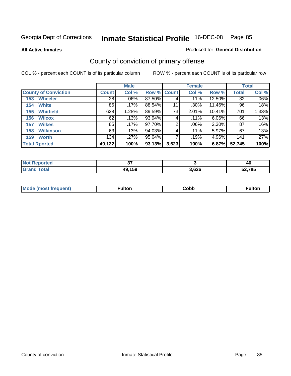**All Active Inmates**

### Produced for **General Distribution**

# County of conviction of primary offense

|                             |              | <b>Male</b> |             |       | <b>Female</b> |        |              | <b>Total</b> |
|-----------------------------|--------------|-------------|-------------|-------|---------------|--------|--------------|--------------|
| <b>County of Conviction</b> | <b>Count</b> | Col %       | Row % Count |       | Col %         | Row %  | <b>Total</b> | Col %        |
| <b>Wheeler</b><br>153       | 28           | $.06\%$     | 87.50%      | 4     | .11%          | 12.50% | 32           | $.06\%$      |
| <b>White</b><br>154         | 85           | .17%        | 88.54%      | 11    | $.30\%$       | 11.46% | 96           | .18%         |
| <b>Whitfield</b><br>155     | 628          | 1.28%       | 89.59%      | 73    | 2.01%         | 10.41% | 701          | 1.33%        |
| <b>Wilcox</b><br>156        | 62           | .13%        | 93.94%      | 4     | $.11\%$       | 6.06%  | 66           | .13%         |
| <b>Wilkes</b><br>157        | 85           | .17%        | 97.70%      | 2     | $.06\%$       | 2.30%  | 87           | .16%         |
| <b>Wilkinson</b><br>158     | 63           | .13%        | 94.03%      | 4     | .11%          | 5.97%  | 67           | .13%         |
| <b>Worth</b><br>159         | 134          | $.27\%$     | $95.04\%$   |       | .19%          | 4.96%  | 141          | .27%         |
| <b>Total Rported</b>        | 49,122       | 100%        | 93.13%      | 3,623 | 100%          | 6.87%  | 52,745       | 100%         |

| <b>`Reported</b><br><b>NOT</b> | ^¬<br>vı |       | 40     |
|--------------------------------|----------|-------|--------|
| <b>Total</b><br>Gra            | 49,159   | 3,626 | 52,785 |

| Mc | ™ulton | Cobb |  |
|----|--------|------|--|
|    |        |      |  |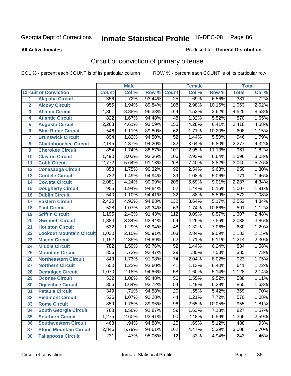#### **All Active Inmates**

#### Produced for **General Distribution**

# Circuit of conviction of primary offense

|                         |                                 |                  | <b>Male</b> |        |                  | <b>Female</b> |        |                  | <b>Total</b> |
|-------------------------|---------------------------------|------------------|-------------|--------|------------------|---------------|--------|------------------|--------------|
|                         | <b>Circuit of Conviction</b>    | <b>Count</b>     | CoI%        | Row %  | <b>Count</b>     | Col %         | Row %  | <b>Total</b>     | Col %        |
| 1                       | <b>Alapaha Circuit</b>          | 356              | .72%        | 93.44% | $\overline{25}$  | .69%          | 6.56%  | 381              | .72%         |
| $\overline{2}$          | <b>Alcovy Circuit</b>           | 955              | 1.94%       | 89.84% | 108              | 2.98%         | 10.16% | 1,063            | 2.02%        |
| $\overline{\mathbf{3}}$ | <b>Atlanta Circuit</b>          | 4,361            | 8.88%       | 96.38% | 164              | 4.53%         | 3.62%  | 4,525            | 8.58%        |
| 4                       | <b>Atlantic Circuit</b>         | 822              | 1.67%       | 94.48% | 48               | 1.32%         | 5.52%  | 870              | 1.65%        |
| 5                       | <b>Augusta Circuit</b>          | 2,263            | 4.61%       | 93.59% | 155              | 4.28%         | 6.41%  | 2,418            | 4.58%        |
| $6\phantom{a}$          | <b>Blue Ridge Circuit</b>       | $\overline{546}$ | 1.11%       | 89.80% | 62               | 1.71%         | 10.20% | 608              | 1.15%        |
| $\overline{7}$          | <b>Brunswick Circuit</b>        | 894              | 1.82%       | 94.50% | $\overline{52}$  | 1.44%         | 5.50%  | 946              | 1.79%        |
| 8                       | <b>Chattahoochee Circuit</b>    | 2,145            | 4.37%       | 94.20% | 132              | 3.64%         | 5.80%  | 2,277            | 4.32%        |
| 9                       | <b>Cherokee Circuit</b>         | 854              | 1.74%       | 88.87% | 107              | 2.95%         | 11.13% | 961              | 1.82%        |
| 10                      | <b>Clayton Circuit</b>          | 1,490            | 3.03%       | 93.36% | 106              | 2.93%         | 6.64%  | 1,596            | 3.03%        |
| 11                      | <b>Cobb Circuit</b>             | 2,772            | 5.64%       | 91.18% | $\overline{268}$ | 7.40%         | 8.82%  | 3,040            | 5.76%        |
| 12                      | <b>Conasauga Circuit</b>        | 858              | 1.75%       | 90.32% | $\overline{92}$  | 2.54%         | 9.68%  | 950              | 1.80%        |
| 13                      | <b>Cordele Circuit</b>          | 732              | 1.49%       | 94.94% | $\overline{39}$  | 1.08%         | 5.06%  | $\overline{771}$ | 1.46%        |
| 14                      | <b>Coweta Circuit</b>           | 2,081            | 4.24%       | 90.99% | $\overline{206}$ | 5.69%         | 9.01%  | 2,287            | 4.34%        |
| 15                      | <b>Dougherty Circuit</b>        | 955              | 1.94%       | 94.84% | 52               | 1.44%         | 5.16%  | 1,007            | 1.91%        |
| 16                      | <b>Dublin Circuit</b>           | 540              | 1.10%       | 94.41% | $\overline{32}$  | .88%          | 5.59%  | $\overline{572}$ | 1.08%        |
| 17                      | <b>Eastern Circuit</b>          | 2,420            | 4.93%       | 94.83% | $\overline{132}$ | 3.64%         | 5.17%  | 2,552            | 4.84%        |
| 18                      | <b>Flint Circuit</b>            | 528              | 1.07%       | 89.34% | 63               | 1.74%         | 10.66% | 591              | 1.12%        |
| 19                      | <b>Griffin Circuit</b>          | 1,195            | 2.43%       | 91.43% | 112              | 3.09%         | 8.57%  | 1,307            | 2.48%        |
| 20                      | <b>Gwinnett Circuit</b>         | 1,884            | 3.84%       | 92.44% | 154              | 4.25%         | 7.56%  | 2,038            | 3.86%        |
| 21                      | <b>Houston Circuit</b>          | 632              | 1.29%       | 92.94% | 48               | 1.32%         | 7.06%  | 680              | 1.29%        |
| 22                      | <b>Lookout Mountain Circuit</b> | 1,030            | 2.10%       | 90.91% | 103              | 2.84%         | 9.09%  | 1,133            | 2.15%        |
| 23                      | <b>Macon Circuit</b>            | 1,152            | 2.35%       | 94.89% | 62               | 1.71%         | 5.11%  | 1,214            | 2.30%        |
| 24                      | <b>Middle Circuit</b>           | 782              | 1.59%       | 93.76% | $\overline{52}$  | 1.44%         | 6.24%  | 834              | 1.58%        |
| 25                      | <b>Mountain Circuit</b>         | 356              | .72%        | 92.47% | $\overline{29}$  | .80%          | 7.53%  | 385              | .73%         |
| 26                      | <b>Northeastern Circuit</b>     | 849              | 1.73%       | 91.98% | $\overline{74}$  | 2.04%         | 8.02%  | $\overline{923}$ | 1.75%        |
| 27                      | <b>Northern Circuit</b>         | 600              | 1.22%       | 93.60% | $\overline{41}$  | 1.13%         | 6.40%  | 641              | 1.22%        |
| 28                      | <b>Ocmulgee Circuit</b>         | 1,070            | 2.18%       | 94.86% | 58               | 1.60%         | 5.14%  | 1,128            | 2.14%        |
| 29                      | <b>Oconee Circuit</b>           | $\overline{532}$ | 1.08%       | 90.48% | 56               | 1.55%         | 9.52%  | 588              | 1.11%        |
| 30                      | <b>Ogeechee Circuit</b>         | 806              | 1.64%       | 93.72% | $\overline{54}$  | 1.49%         | 6.28%  | 860              | 1.63%        |
| 31                      | <b>Pataula Circuit</b>          | 349              | .71%        | 94.58% | 20               | .55%          | 5.42%  | 369              | .70%         |
| 32                      | <b>Piedmont Circuit</b>         | $\overline{526}$ | 1.07%       | 92.28% | 44               | 1.21%         | 7.72%  | 570              | 1.08%        |
| 33                      | <b>Rome Circuit</b>             | 859              | 1.75%       | 89.95% | 96               | 2.65%         | 10.05% | 955              | 1.81%        |
| 34                      | <b>South Georgia Circuit</b>    | 768              | 1.56%       | 92.87% | $\overline{59}$  | 1.63%         | 7.13%  | 827              | 1.57%        |
| 35                      | <b>Southern Circuit</b>         | 1,275            | 2.60%       | 93.41% | 90               | 2.48%         | 6.59%  | 1,365            | 2.59%        |
| 36                      | <b>Southwestern Circuit</b>     | 463              | .94%        | 94.88% | 25               | .69%          | 5.12%  | 488              | .93%         |
| 37                      | <b>Stone Mountain Circuit</b>   | 2,846            | 5.79%       | 94.61% | 162              | 4.47%         | 5.39%  | 3,008            | 5.70%        |
| 38                      | <b>Tallapoosa Circuit</b>       | 231              | .47%        | 95.06% | $\overline{12}$  | .33%          | 4.94%  | 243              | .46%         |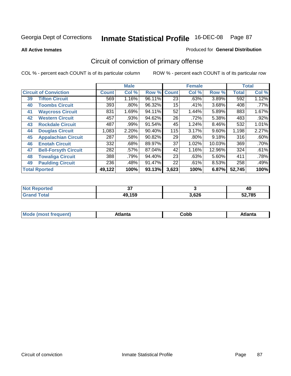**All Active Inmates**

#### Produced for **General Distribution**

# Circuit of conviction of primary offense

|    |                              |              | <b>Male</b> |        |              | <b>Female</b> |          |              | <b>Total</b> |
|----|------------------------------|--------------|-------------|--------|--------------|---------------|----------|--------------|--------------|
|    | <b>Circuit of Conviction</b> | <b>Count</b> | Col %       | Row %  | <b>Count</b> | Col %         | Row %    | <b>Total</b> | Col %        |
| 39 | <b>Tifton Circuit</b>        | 569          | 1.16%       | 96.11% | 23           | .63%          | 3.89%    | 592          | 1.12%        |
| 40 | <b>Toombs Circuit</b>        | 393          | .80%        | 96.32% | 15           | .41%          | 3.68%    | 408          | .77%         |
| 41 | <b>Waycross Circuit</b>      | 831          | 1.69%       | 94.11% | 52           | 1.44%         | 5.89%    | 883          | 1.67%        |
| 42 | <b>Western Circuit</b>       | 457          | .93%        | 94.62% | 26           | .72%          | 5.38%    | 483          | .92%         |
| 43 | <b>Rockdale Circuit</b>      | 487          | .99%        | 91.54% | 45           | 1.24%         | 8.46%    | 532          | 1.01%        |
| 44 | <b>Douglas Circuit</b>       | 1,083        | 2.20%       | 90.40% | 115          | 3.17%         | $9.60\%$ | 1,198        | 2.27%        |
| 45 | <b>Appalachian Circuit</b>   | 287          | .58%        | 90.82% | 29           | $.80\%$       | 9.18%    | 316          | .60%         |
| 46 | <b>Enotah Circuit</b>        | 332          | .68%        | 89.97% | 37           | 1.02%         | 10.03%   | 369          | .70%         |
| 47 | <b>Bell-Forsyth Circuit</b>  | 282          | $.57\%$     | 87.04% | 42           | 1.16%         | 12.96%   | 324          | .61%         |
| 48 | <b>Towaliga Circuit</b>      | 388          | .79%        | 94.40% | 23           | .63%          | 5.60%    | 411          | .78%         |
| 49 | <b>Paulding Circuit</b>      | 236          | .48%        | 91.47% | 22           | .61%          | 8.53%    | 258          | .49%         |
|    | <b>Total Rported</b>         | 49,122       | 100%        | 93.13% | 3,623        | 100%          | 6.87%    | 52,745       | 100%         |

| ted:<br>m. | $\sim$<br>v, |       | 40     |
|------------|--------------|-------|--------|
|            | 49,159       | 3,626 | 52,785 |

| M, | $+1 - - + -$<br>annu -<br>uu | ∶obb<br>- - - - - | .<br>чна<br>- --------- |
|----|------------------------------|-------------------|-------------------------|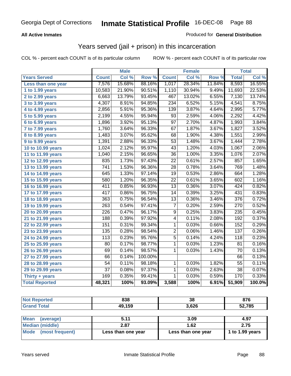### **All Active Inmates**

### Produced for **General Distribution**

### Years served (jail + prison) in this incarceration

|                              |                   | <b>Male</b> |         |                 | <b>Female</b> |        |                 | <b>Total</b> |
|------------------------------|-------------------|-------------|---------|-----------------|---------------|--------|-----------------|--------------|
| <b>Years Served</b>          | <b>Count</b>      | Col %       | Row %   | <b>Count</b>    | Col %         | Row %  | <b>Total</b>    | Col %        |
| Less than one year           | 7,576             | 15.68%      | 88.16%  | 1,017           | 28.34%        | 11.84% | 8,593           | 16.55%       |
| 1 to 1.99 years              | 10,583            | 21.90%      | 90.51%  | 1,110           | 30.94%        | 9.49%  | 11,693          | 22.53%       |
| 2 to 2.99 years              | 6,663             | 13.79%      | 93.45%  | 467             | 13.02%        | 6.55%  | 7,130           | 13.74%       |
| $3$ to 3.99 years            | 4,307             | 8.91%       | 94.85%  | 234             | 6.52%         | 5.15%  | 4,541           | 8.75%        |
| 4 to 4.99 years              | 2,856             | 5.91%       | 95.36%  | 139             | 3.87%         | 4.64%  | 2,995           | 5.77%        |
| 5 to 5.99 years              | 2,199             | 4.55%       | 95.94%  | $\overline{93}$ | 2.59%         | 4.06%  | 2,292           | 4.42%        |
| 6 to 6.99 years              | 1,896             | 3.92%       | 95.13%  | $\overline{97}$ | 2.70%         | 4.87%  | 1,993           | 3.84%        |
| $\overline{7}$ to 7.99 years | 1,760             | 3.64%       | 96.33%  | 67              | 1.87%         | 3.67%  | 1,827           | 3.52%        |
| 8 to 8.99 years              | 1,483             | 3.07%       | 95.62%  | 68              | 1.90%         | 4.38%  | 1,551           | 2.99%        |
| 9 to 9.99 years              | 1,391             | 2.88%       | 96.33%  | $\overline{53}$ | 1.48%         | 3.67%  | 1,444           | 2.78%        |
| 10 to 10.99 years            | 1,024             | 2.12%       | 95.97%  | 43              | 1.20%         | 4.03%  | 1,067           | 2.06%        |
| 11 to 11.99 years            | 1,040             | 2.15%       | 96.65%  | $\overline{36}$ | 1.00%         | 3.35%  | 1,076           | 2.07%        |
| 12 to 12.99 years            | 835               | 1.73%       | 97.43%  | $\overline{22}$ | 0.61%         | 2.57%  | 857             | 1.65%        |
| 13 to 13.99 years            | $\overline{741}$  | 1.53%       | 96.36%  | $\overline{28}$ | 0.78%         | 3.64%  | 769             | 1.48%        |
| 14 to 14.99 years            | $\overline{6}$ 45 | 1.33%       | 97.14%  | $\overline{19}$ | 0.53%         | 2.86%  | 664             | 1.28%        |
| 15 to 15.99 years            | 580               | 1.20%       | 96.35%  | 22              | 0.61%         | 3.65%  | 602             | 1.16%        |
| 16 to 16.99 years            | 411               | 0.85%       | 96.93%  | $\overline{13}$ | 0.36%         | 3.07%  | 424             | 0.82%        |
| 17 to 17.99 years            | 417               | 0.86%       | 96.75%  | $\overline{14}$ | 0.39%         | 3.25%  | 431             | 0.83%        |
| 18 to 18.99 years            | 363               | 0.75%       | 96.54%  | 13              | 0.36%         | 3.46%  | 376             | 0.72%        |
| 19 to 19.99 years            | $\overline{263}$  | 0.54%       | 97.41%  | $\overline{7}$  | 0.20%         | 2.59%  | 270             | 0.52%        |
| 20 to 20.99 years            | $\overline{226}$  | 0.47%       | 96.17%  | $\overline{9}$  | 0.25%         | 3.83%  | 235             | 0.45%        |
| 21 to 21.99 years            | 188               | 0.39%       | 97.92%  | 4               | 0.11%         | 2.08%  | 192             | 0.37%        |
| 22 to 22.99 years            | 151               | 0.31%       | 99.34%  | $\mathbf{1}$    | 0.03%         | 0.66%  | 152             | 0.29%        |
| 23 to 23.99 years            | 135               | 0.28%       | 98.54%  | $\overline{2}$  | 0.06%         | 1.46%  | 137             | 0.26%        |
| 24 to 24.99 years            | 113               | 0.23%       | 95.76%  | $\overline{5}$  | 0.14%         | 4.24%  | 118             | 0.23%        |
| 25 to 25.99 years            | 80                | 0.17%       | 98.77%  | $\overline{1}$  | 0.03%         | 1.23%  | 81              | 0.16%        |
| 26 to 26.99 years            | 69                | 0.14%       | 98.57%  | 1               | 0.03%         | 1.43%  | 70              | 0.13%        |
| 27 to 27.99 years            | 66                | 0.14%       | 100.00% |                 |               |        | 66              | 0.13%        |
| 28 to 28.99 years            | $\overline{54}$   | 0.11%       | 98.18%  | $\mathbf{1}$    | 0.03%         | 1.82%  | $\overline{55}$ | 0.11%        |
| 29 to 29.99 years            | $\overline{37}$   | 0.08%       | 97.37%  | $\mathbf 1$     | 0.03%         | 2.63%  | $\overline{38}$ | 0.07%        |
| Thirty + years               | 169               | 0.35%       | 99.41%  | $\overline{1}$  | 0.03%         | 0.59%  | 170             | 0.33%        |
| <b>Total Reported</b>        | 48,321            | 100%        | 93.09%  | 3,588           | 100%          | 6.91%  | 51,909          | 100.0%       |

| <b>Not Reported</b>             | 838    | 38    | 876    |
|---------------------------------|--------|-------|--------|
| <b>Grand Total</b>              | 49,159 | 3,626 | 52,785 |
|                                 |        |       |        |
| <b>Mean</b><br><i>laverane)</i> | 5 1 1  | 3.09  | 4 Q7   |

| Mean<br>(average)    | 5.11               | 3.09               | 4.97            |
|----------------------|--------------------|--------------------|-----------------|
| Median (middle)      | 2.87               | 1.62               | 2.75            |
| Mode (most frequent) | Less than one year | Less than one year | 1 to 1.99 years |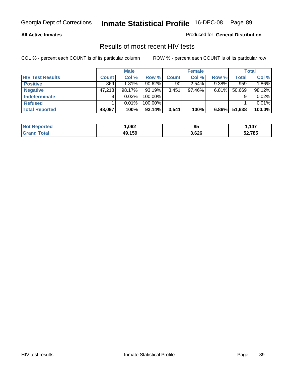### **All Active Inmates**

Produced for **General Distribution**

### Results of most recent HIV tests

|                         |              | <b>Male</b> |           |              | <b>Female</b> |          |              | <b>Total</b> |
|-------------------------|--------------|-------------|-----------|--------------|---------------|----------|--------------|--------------|
| <b>HIV Test Results</b> | <b>Count</b> | Col %       | Row %     | <b>Count</b> | Col %         | Row %    | <b>Total</b> | Col %        |
| <b>Positive</b>         | 869          | 1.81%       | $90.62\%$ | 90           | 2.54%         | $9.38\%$ | 959          | 1.86%        |
| <b>Negative</b>         | 47.218       | 98.17%      | 93.19%    | 3,451        | 97.46%        | 6.81%    | 50,669       | 98.12%       |
| Indeterminate           | 9            | 0.02%       | 100.00%   |              |               |          |              | 0.02%        |
| <b>Refused</b>          |              | 0.01%       | 100.00%   |              |               |          |              | 0.01%        |
| <b>Total Reported</b>   | 48,097       | 100%        | 93.14%    | 3,541        | 100%          | $6.86\%$ | 51,638       | 100.0%       |

| <b>Not</b><br>Reported | ,062   | oι<br>οa | 147    |
|------------------------|--------|----------|--------|
| <b>Grand</b><br>⊺otal  | 49.159 | 3,626    | 52,785 |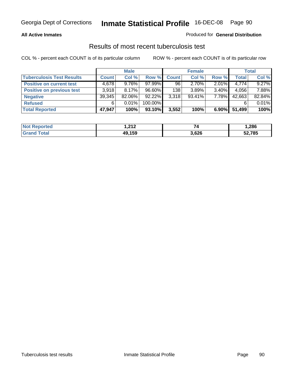### **All Active Inmates**

### Produced for **General Distribution**

### Results of most recent tuberculosis test

|                                  |              | <b>Male</b> |         |              | <b>Female</b> |          |              | Total  |
|----------------------------------|--------------|-------------|---------|--------------|---------------|----------|--------------|--------|
| <b>Tuberculosis Test Results</b> | <b>Count</b> | Col %       | Row %   | <b>Count</b> | Col %         | Row %    | <b>Total</b> | Col %  |
| <b>Positive on current test</b>  | 4,678        | $9.76\%$    | 97.99%  | 96           | $2.70\%$      | 2.01%    | 4,774        | 9.27%  |
| <b>Positive on previous test</b> | 3.918        | 8.17%       | 96.60%  | 138          | 3.89%         | $3.40\%$ | 4,056        | 7.88%  |
| <b>Negative</b>                  | 39,345       | 82.06%      | 92.22%  | 3,318        | $93.41\%$     | $7.78\%$ | 42,663       | 82.84% |
| <b>Refused</b>                   | 6            | 0.01%       | 100.00% |              |               |          |              | 0.01%  |
| <b>Total Reported</b>            | 47,947       | 100%        | 93.10%  | 3,552        | 100%          | $6.90\%$ | 51,499       | 100%   |

| <b>Not Reported</b>   | ົາ1 າ<br>I . <i>l</i> i <i>l</i> |       | ,286   |
|-----------------------|----------------------------------|-------|--------|
| <b>Grand</b><br>Total | 49.159                           | 3,626 | 52,785 |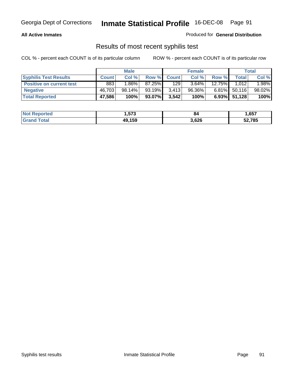### **All Active Inmates**

Produced for **General Distribution**

### Results of most recent syphilis test

|                                 |              | <b>Male</b> |        |              | <b>Female</b> |                 |                 | Total  |
|---------------------------------|--------------|-------------|--------|--------------|---------------|-----------------|-----------------|--------|
| <b>Syphilis Test Results</b>    | <b>Count</b> | Col %       | Row %  | <b>Count</b> | Col %         | Row %           | <b>Total</b>    | Col %  |
| <b>Positive on current test</b> | 883          | $1.86\%$    | 87.25% | 129          | $3.64\%$      | 12.75% <b>I</b> | 1,012           | 1.98%  |
| <b>Negative</b>                 | 46.703       | 98.14%      | 93.19% | 3,413        | 96.36%        | $6.81\%$        | 50,116          | 98.02% |
| <b>Total Reported</b>           | 47,586       | 100%        | 93.07% | 3,542        | 100%          |                 | $6.93\%$ 51,128 | 100%   |

| <b>Not Reported</b> | 573. ا | 84    | 1,657  |
|---------------------|--------|-------|--------|
| <b>Grand Total</b>  | 49.159 | 3,626 | 52,785 |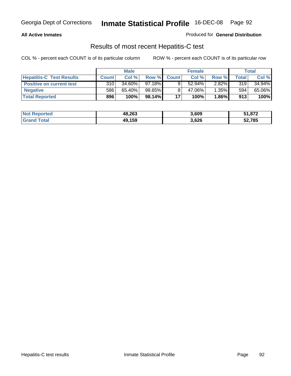### **All Active Inmates**

Produced for **General Distribution**

### Results of most recent Hepatitis-C test

|                                 |              | <b>Male</b> |         |              | <b>Female</b> |          |             | Total  |
|---------------------------------|--------------|-------------|---------|--------------|---------------|----------|-------------|--------|
| <b>Hepatitis-C Test Results</b> | <b>Count</b> | Col %       | Row %I  | <b>Count</b> | Col %         | Row %    | $\tau$ otal | Col %  |
| <b>Positive on current test</b> | 310          | $34.60\%$   | 97.18%I |              | $52.94\%$     | $2.82\%$ | 319         | 34.94% |
| <b>Negative</b>                 | 586          | 65.40%      | 98.65%  |              | 47.06%        | 1.35%    | 594         | 65.06% |
| <b>Total Reported</b>           | 896          | 100%        | 98.14%  | 17           | 100%          | 1.86%    | 913         | 100%   |

| <b>Not Reported</b> | 48,263 | 3,609 | 51,872 |
|---------------------|--------|-------|--------|
| <b>Grand Total</b>  | 49,159 | 3,626 | 52,785 |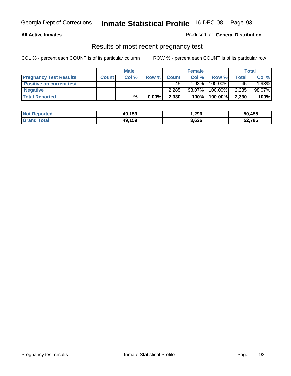### **All Active Inmates**

### Produced for **General Distribution**

### Results of most recent pregnancy test

|                                 |              | <b>Male</b> |          |              | <b>Female</b> |         |       | Total  |
|---------------------------------|--------------|-------------|----------|--------------|---------------|---------|-------|--------|
| <b>Pregnancy Test Results</b>   | <b>Count</b> | Col %       | Row %    | <b>Count</b> | Col %         | Row %   | Total | Col %  |
| <b>Positive on current test</b> |              |             |          | 45           | 1.93%         | 100.00% | 45    | 1.93%  |
| <b>Negative</b>                 |              |             |          | 2.285        | 98.07%        | 100.00% | 2,285 | 98.07% |
| <b>Total Reported</b>           |              | $\%$        | $0.00\%$ | 2,330        | 100%          | 100.00% | 2,330 | 100%   |

| <b>Not Reported</b> | 49,159 | 1,296 | 50,455 |
|---------------------|--------|-------|--------|
| <b>Grand Total</b>  | 49.159 | 3,626 | 52,785 |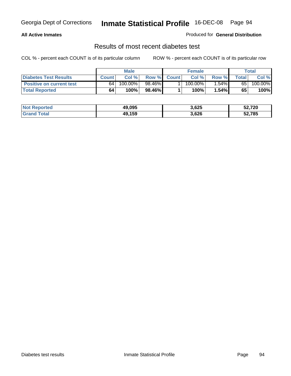### **All Active Inmates**

### Produced for **General Distribution**

### Results of most recent diabetes test

|                              |              | <b>Male</b> |        |              | <b>Female</b>         |        |       | Total   |
|------------------------------|--------------|-------------|--------|--------------|-----------------------|--------|-------|---------|
| <b>Diabetes Test Results</b> | <b>Count</b> | Col %       | Row %  | <b>Count</b> | Col %                 | Row %I | Total | Col %   |
| Positive on current test     | 64           | 100.00%     | 98.46% |              | $100.\overline{00\%}$ | 1.54%  | 65    | 100.00% |
| <b>Total Reported</b>        | 64           | 100%        | 98.46% |              | 100%                  | 1.54%  | 65    | 100%    |

| <b>Not Reported</b>   | 49.095 | 3,625 | 52,720 |
|-----------------------|--------|-------|--------|
| <b>Total</b><br>Grand | 49.159 | 3,626 | 52,785 |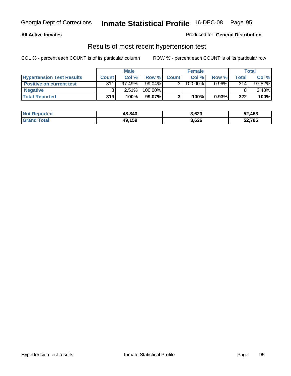### **All Active Inmates**

### Produced for **General Distribution**

### Results of most recent hypertension test

|                                  | <b>Male</b>  |           |         | <b>Female</b> |         |          | <b>Total</b> |           |
|----------------------------------|--------------|-----------|---------|---------------|---------|----------|--------------|-----------|
| <b>Hypertension Test Results</b> | <b>Count</b> | Col %     | Row %   | <b>Count</b>  | Col %   | Row %    | Total        | Col %     |
| <b>Positive on current test</b>  | 311          | $97.49\%$ | 99.04%  |               | 100.00% | $0.96\%$ | 314          | $97.52\%$ |
| <b>Negative</b>                  |              | $2.51\%$  | 100.00% |               |         |          |              | $2.48\%$  |
| <b>Total Reported</b>            | 319          | 100%      | 99.07%  |               | 100%    | 0.93%    | 322          | 100%      |

| <b>Not Reported</b> | 48,840 | 3,623 | 52,463 |
|---------------------|--------|-------|--------|
| <b>Grand Total</b>  | 49,159 | 3,626 | 52,785 |